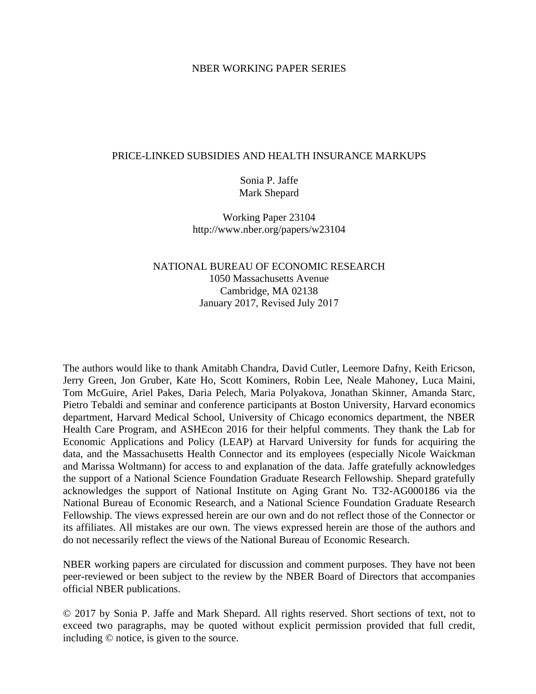#### NBER WORKING PAPER SERIES

#### PRICE-LINKED SUBSIDIES AND HEALTH INSURANCE MARKUPS

# Sonia P. Jaffe Mark Shepard

Working Paper 23104 http://www.nber.org/papers/w23104

# NATIONAL BUREAU OF ECONOMIC RESEARCH 1050 Massachusetts Avenue Cambridge, MA 02138 January 2017, Revised July 2017

The authors would like to thank Amitabh Chandra, David Cutler, Leemore Dafny, Keith Ericson, Jerry Green, Jon Gruber, Kate Ho, Scott Kominers, Robin Lee, Neale Mahoney, Luca Maini, Tom McGuire, Ariel Pakes, Daria Pelech, Maria Polyakova, Jonathan Skinner, Amanda Starc, Pietro Tebaldi and seminar and conference participants at Boston University, Harvard economics department, Harvard Medical School, University of Chicago economics department, the NBER Health Care Program, and ASHEcon 2016 for their helpful comments. They thank the Lab for Economic Applications and Policy (LEAP) at Harvard University for funds for acquiring the data, and the Massachusetts Health Connector and its employees (especially Nicole Waickman and Marissa Woltmann) for access to and explanation of the data. Jaffe gratefully acknowledges the support of a National Science Foundation Graduate Research Fellowship. Shepard gratefully acknowledges the support of National Institute on Aging Grant No. T32-AG000186 via the National Bureau of Economic Research, and a National Science Foundation Graduate Research Fellowship. The views expressed herein are our own and do not reflect those of the Connector or its affiliates. All mistakes are our own. The views expressed herein are those of the authors and do not necessarily reflect the views of the National Bureau of Economic Research.

NBER working papers are circulated for discussion and comment purposes. They have not been peer-reviewed or been subject to the review by the NBER Board of Directors that accompanies official NBER publications.

© 2017 by Sonia P. Jaffe and Mark Shepard. All rights reserved. Short sections of text, not to exceed two paragraphs, may be quoted without explicit permission provided that full credit, including © notice, is given to the source.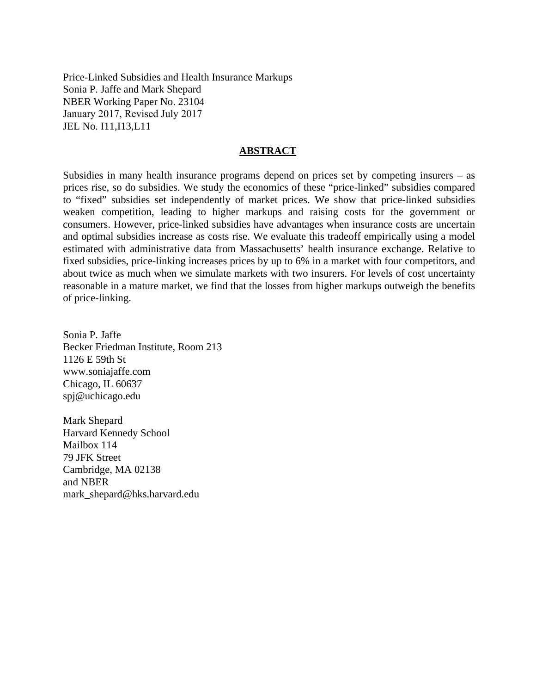Price-Linked Subsidies and Health Insurance Markups Sonia P. Jaffe and Mark Shepard NBER Working Paper No. 23104 January 2017, Revised July 2017 JEL No. I11,I13,L11

#### **ABSTRACT**

Subsidies in many health insurance programs depend on prices set by competing insurers – as prices rise, so do subsidies. We study the economics of these "price-linked" subsidies compared to "fixed" subsidies set independently of market prices. We show that price-linked subsidies weaken competition, leading to higher markups and raising costs for the government or consumers. However, price-linked subsidies have advantages when insurance costs are uncertain and optimal subsidies increase as costs rise. We evaluate this tradeoff empirically using a model estimated with administrative data from Massachusetts' health insurance exchange. Relative to fixed subsidies, price-linking increases prices by up to 6% in a market with four competitors, and about twice as much when we simulate markets with two insurers. For levels of cost uncertainty reasonable in a mature market, we find that the losses from higher markups outweigh the benefits of price-linking.

Sonia P. Jaffe Becker Friedman Institute, Room 213 1126 E 59th St www.soniajaffe.com Chicago, IL 60637 spj@uchicago.edu

Mark Shepard Harvard Kennedy School Mailbox 114 79 JFK Street Cambridge, MA 02138 and NBER mark\_shepard@hks.harvard.edu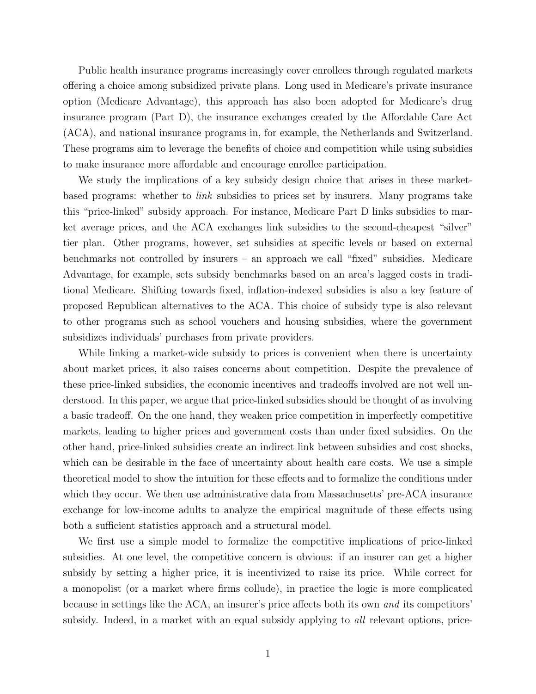Public health insurance programs increasingly cover enrollees through regulated markets offering a choice among subsidized private plans. Long used in Medicare's private insurance option (Medicare Advantage), this approach has also been adopted for Medicare's drug insurance program (Part D), the insurance exchanges created by the Affordable Care Act (ACA), and national insurance programs in, for example, the Netherlands and Switzerland. These programs aim to leverage the benefits of choice and competition while using subsidies to make insurance more affordable and encourage enrollee participation.

We study the implications of a key subsidy design choice that arises in these marketbased programs: whether to link subsidies to prices set by insurers. Many programs take this "price-linked" subsidy approach. For instance, Medicare Part D links subsidies to market average prices, and the ACA exchanges link subsidies to the second-cheapest "silver" tier plan. Other programs, however, set subsidies at specific levels or based on external benchmarks not controlled by insurers – an approach we call "fixed" subsidies. Medicare Advantage, for example, sets subsidy benchmarks based on an area's lagged costs in traditional Medicare. Shifting towards fixed, inflation-indexed subsidies is also a key feature of proposed Republican alternatives to the ACA. This choice of subsidy type is also relevant to other programs such as school vouchers and housing subsidies, where the government subsidizes individuals' purchases from private providers.

While linking a market-wide subsidy to prices is convenient when there is uncertainty about market prices, it also raises concerns about competition. Despite the prevalence of these price-linked subsidies, the economic incentives and tradeoffs involved are not well understood. In this paper, we argue that price-linked subsidies should be thought of as involving a basic tradeoff. On the one hand, they weaken price competition in imperfectly competitive markets, leading to higher prices and government costs than under fixed subsidies. On the other hand, price-linked subsidies create an indirect link between subsidies and cost shocks, which can be desirable in the face of uncertainty about health care costs. We use a simple theoretical model to show the intuition for these effects and to formalize the conditions under which they occur. We then use administrative data from Massachusetts' pre-ACA insurance exchange for low-income adults to analyze the empirical magnitude of these effects using both a sufficient statistics approach and a structural model.

We first use a simple model to formalize the competitive implications of price-linked subsidies. At one level, the competitive concern is obvious: if an insurer can get a higher subsidy by setting a higher price, it is incentivized to raise its price. While correct for a monopolist (or a market where firms collude), in practice the logic is more complicated because in settings like the ACA, an insurer's price affects both its own and its competitors' subsidy. Indeed, in a market with an equal subsidy applying to *all* relevant options, price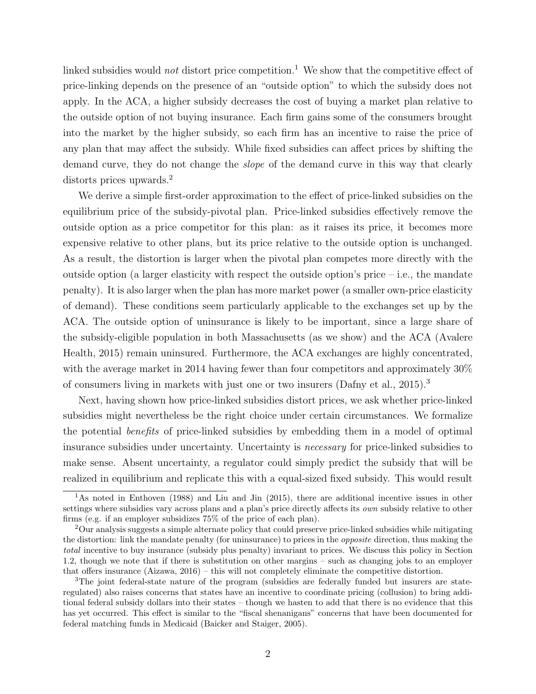linked subsidies would *not* distort price competition.<sup>1</sup> We show that the competitive effect of price-linking depends on the presence of an "outside option" to which the subsidy does not apply. In the ACA, a higher subsidy decreases the cost of buying a market plan relative to the outside option of not buying insurance. Each firm gains some of the consumers brought into the market by the higher subsidy, so each firm has an incentive to raise the price of any plan that may affect the subsidy. While fixed subsidies can affect prices by shifting the demand curve, they do not change the slope of the demand curve in this way that clearly distorts prices upwards.<sup>2</sup>

We derive a simple first-order approximation to the effect of price-linked subsidies on the equilibrium price of the subsidy-pivotal plan. Price-linked subsidies effectively remove the outside option as a price competitor for this plan: as it raises its price, it becomes more expensive relative to other plans, but its price relative to the outside option is unchanged. As a result, the distortion is larger when the pivotal plan competes more directly with the outside option (a larger elasticity with respect the outside option's price  $-$  i.e., the mandate penalty). It is also larger when the plan has more market power (a smaller own-price elasticity of demand). These conditions seem particularly applicable to the exchanges set up by the ACA. The outside option of uninsurance is likely to be important, since a large share of the subsidy-eligible population in both Massachusetts (as we show) and the ACA [\(Avalere](#page-43-0) [Health, 2015\)](#page-43-0) remain uninsured. Furthermore, the ACA exchanges are highly concentrated, with the average market in 2014 having fewer than four competitors and approximately 30% of consumers living in markets with just one or two insurers  $(Dafny et al., 2015).$  $(Dafny et al., 2015).$ <sup>3</sup>

Next, having shown how price-linked subsidies distort prices, we ask whether price-linked subsidies might nevertheless be the right choice under certain circumstances. We formalize the potential benefits of price-linked subsidies by embedding them in a model of optimal insurance subsidies under uncertainty. Uncertainty is necessary for price-linked subsidies to make sense. Absent uncertainty, a regulator could simply predict the subsidy that will be realized in equilibrium and replicate this with a equal-sized fixed subsidy. This would result

<sup>&</sup>lt;sup>1</sup>As noted in [Enthoven](#page-43-2) [\(1988\)](#page-43-2) and [Liu and Jin](#page-44-0) [\(2015\)](#page-44-0), there are additional incentive issues in other settings where subsidies vary across plans and a plan's price directly affects its *own* subsidy relative to other firms (e.g. if an employer subsidizes 75% of the price of each plan).

<sup>2</sup>Our analysis suggests a simple alternate policy that could preserve price-linked subsidies while mitigating the distortion: link the mandate penalty (for uninsurance) to prices in the opposite direction, thus making the total incentive to buy insurance (subsidy plus penalty) invariant to prices. We discuss this policy in Section [1.2,](#page-10-0) though we note that if there is substitution on other margins – such as changing jobs to an employer that offers insurance [\(Aizawa, 2016\)](#page-43-3) – this will not completely eliminate the competitive distortion.

<sup>3</sup>The joint federal-state nature of the program (subsidies are federally funded but insurers are stateregulated) also raises concerns that states have an incentive to coordinate pricing (collusion) to bring additional federal subsidy dollars into their states – though we hasten to add that there is no evidence that this has yet occurred. This effect is similar to the "fiscal shenanigans" concerns that have been documented for federal matching funds in Medicaid [\(Baicker and Staiger, 2005\)](#page-43-4).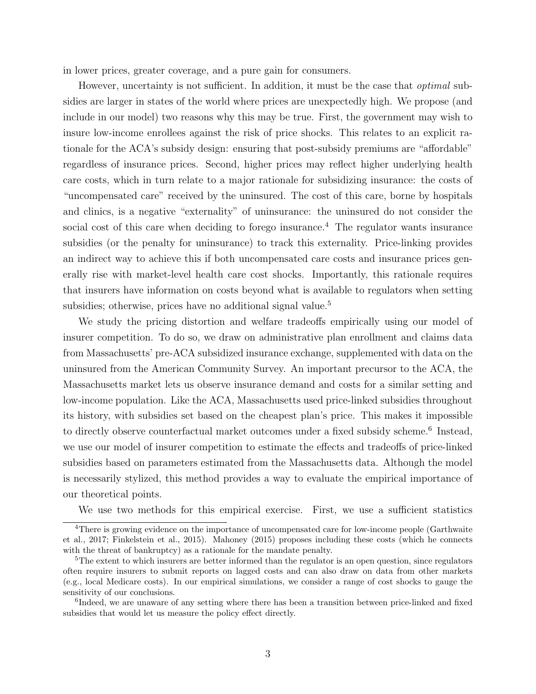in lower prices, greater coverage, and a pure gain for consumers.

However, uncertainty is not sufficient. In addition, it must be the case that *optimal* subsidies are larger in states of the world where prices are unexpectedly high. We propose (and include in our model) two reasons why this may be true. First, the government may wish to insure low-income enrollees against the risk of price shocks. This relates to an explicit rationale for the ACA's subsidy design: ensuring that post-subsidy premiums are "affordable" regardless of insurance prices. Second, higher prices may reflect higher underlying health care costs, which in turn relate to a major rationale for subsidizing insurance: the costs of "uncompensated care" received by the uninsured. The cost of this care, borne by hospitals and clinics, is a negative "externality" of uninsurance: the uninsured do not consider the social cost of this care when deciding to forego insurance.<sup>4</sup> The regulator wants insurance subsidies (or the penalty for uninsurance) to track this externality. Price-linking provides an indirect way to achieve this if both uncompensated care costs and insurance prices generally rise with market-level health care cost shocks. Importantly, this rationale requires that insurers have information on costs beyond what is available to regulators when setting subsidies; otherwise, prices have no additional signal value.<sup>5</sup>

We study the pricing distortion and welfare tradeoffs empirically using our model of insurer competition. To do so, we draw on administrative plan enrollment and claims data from Massachusetts' pre-ACA subsidized insurance exchange, supplemented with data on the uninsured from the American Community Survey. An important precursor to the ACA, the Massachusetts market lets us observe insurance demand and costs for a similar setting and low-income population. Like the ACA, Massachusetts used price-linked subsidies throughout its history, with subsidies set based on the cheapest plan's price. This makes it impossible to directly observe counterfactual market outcomes under a fixed subsidy scheme.<sup>6</sup> Instead, we use our model of insurer competition to estimate the effects and tradeoffs of price-linked subsidies based on parameters estimated from the Massachusetts data. Although the model is necessarily stylized, this method provides a way to evaluate the empirical importance of our theoretical points.

We use two methods for this empirical exercise. First, we use a sufficient statistics

<sup>&</sup>lt;sup>4</sup>There is growing evidence on the importance of uncompensated care for low-income people [\(Garthwaite](#page-44-1)) [et al., 2017;](#page-44-1) [Finkelstein et al., 2015\)](#page-44-2). [Mahoney](#page-44-3) [\(2015\)](#page-44-3) proposes including these costs (which he connects with the threat of bankruptcy) as a rationale for the mandate penalty.

<sup>&</sup>lt;sup>5</sup>The extent to which insurers are better informed than the regulator is an open question, since regulators often require insurers to submit reports on lagged costs and can also draw on data from other markets (e.g., local Medicare costs). In our empirical simulations, we consider a range of cost shocks to gauge the sensitivity of our conclusions.

<sup>&</sup>lt;sup>6</sup>Indeed, we are unaware of any setting where there has been a transition between price-linked and fixed subsidies that would let us measure the policy effect directly.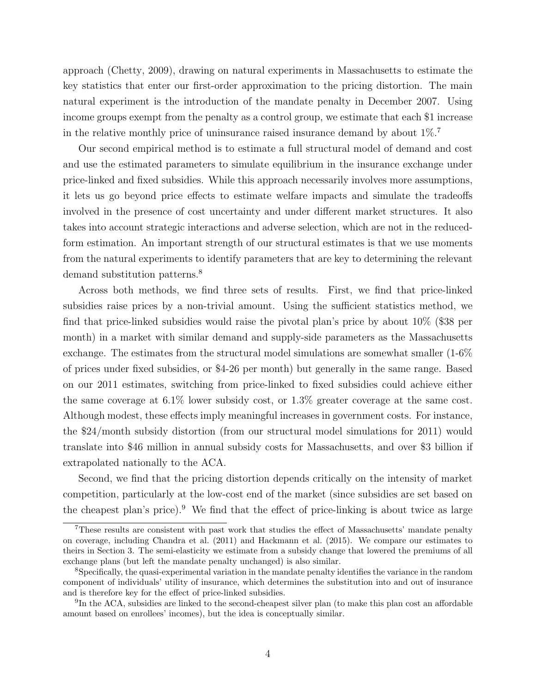approach [\(Chetty, 2009\)](#page-43-5), drawing on natural experiments in Massachusetts to estimate the key statistics that enter our first-order approximation to the pricing distortion. The main natural experiment is the introduction of the mandate penalty in December 2007. Using income groups exempt from the penalty as a control group, we estimate that each \$1 increase in the relative monthly price of uninsurance raised insurance demand by about  $1\%$ .<sup>7</sup>

Our second empirical method is to estimate a full structural model of demand and cost and use the estimated parameters to simulate equilibrium in the insurance exchange under price-linked and fixed subsidies. While this approach necessarily involves more assumptions, it lets us go beyond price effects to estimate welfare impacts and simulate the tradeoffs involved in the presence of cost uncertainty and under different market structures. It also takes into account strategic interactions and adverse selection, which are not in the reducedform estimation. An important strength of our structural estimates is that we use moments from the natural experiments to identify parameters that are key to determining the relevant demand substitution patterns.<sup>8</sup>

Across both methods, we find three sets of results. First, we find that price-linked subsidies raise prices by a non-trivial amount. Using the sufficient statistics method, we find that price-linked subsidies would raise the pivotal plan's price by about 10% (\$38 per month) in a market with similar demand and supply-side parameters as the Massachusetts exchange. The estimates from the structural model simulations are somewhat smaller (1-6% of prices under fixed subsidies, or \$4-26 per month) but generally in the same range. Based on our 2011 estimates, switching from price-linked to fixed subsidies could achieve either the same coverage at 6.1% lower subsidy cost, or 1.3% greater coverage at the same cost. Although modest, these effects imply meaningful increases in government costs. For instance, the \$24/month subsidy distortion (from our structural model simulations for 2011) would translate into \$46 million in annual subsidy costs for Massachusetts, and over \$3 billion if extrapolated nationally to the ACA.

Second, we find that the pricing distortion depends critically on the intensity of market competition, particularly at the low-cost end of the market (since subsidies are set based on the cheapest plan's price).<sup>9</sup> We find that the effect of price-linking is about twice as large

<sup>7</sup>These results are consistent with past work that studies the effect of Massachusetts' mandate penalty on coverage, including [Chandra et al.](#page-43-6) [\(2011\)](#page-43-6) and [Hackmann et al.](#page-44-4) [\(2015\)](#page-44-4). We compare our estimates to theirs in Section [3.](#page-18-0) The semi-elasticity we estimate from a subsidy change that lowered the premiums of all exchange plans (but left the mandate penalty unchanged) is also similar.

<sup>8</sup>Specifically, the quasi-experimental variation in the mandate penalty identifies the variance in the random component of individuals' utility of insurance, which determines the substitution into and out of insurance and is therefore key for the effect of price-linked subsidies.

<sup>&</sup>lt;sup>9</sup>In the ACA, subsidies are linked to the second-cheapest silver plan (to make this plan cost an affordable amount based on enrollees' incomes), but the idea is conceptually similar.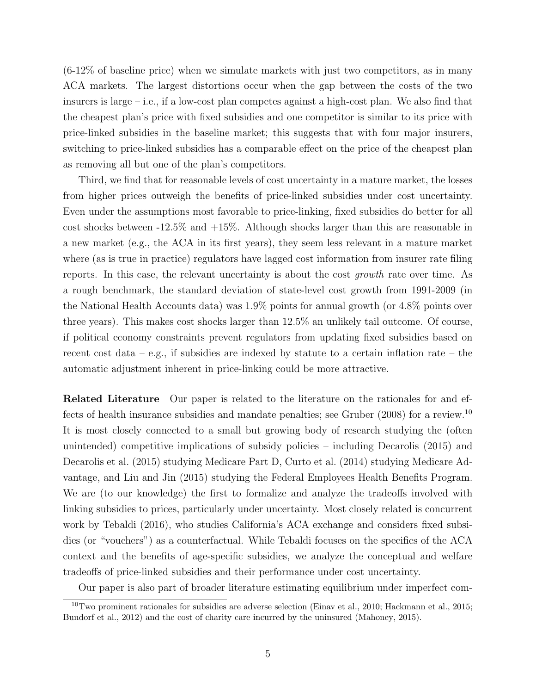(6-12% of baseline price) when we simulate markets with just two competitors, as in many ACA markets. The largest distortions occur when the gap between the costs of the two insurers is large – i.e., if a low-cost plan competes against a high-cost plan. We also find that the cheapest plan's price with fixed subsidies and one competitor is similar to its price with price-linked subsidies in the baseline market; this suggests that with four major insurers, switching to price-linked subsidies has a comparable effect on the price of the cheapest plan as removing all but one of the plan's competitors.

Third, we find that for reasonable levels of cost uncertainty in a mature market, the losses from higher prices outweigh the benefits of price-linked subsidies under cost uncertainty. Even under the assumptions most favorable to price-linking, fixed subsidies do better for all cost shocks between  $-12.5\%$  and  $+15\%$ . Although shocks larger than this are reasonable in a new market (e.g., the ACA in its first years), they seem less relevant in a mature market where (as is true in practice) regulators have lagged cost information from insurer rate filing reports. In this case, the relevant uncertainty is about the cost growth rate over time. As a rough benchmark, the standard deviation of state-level cost growth from 1991-2009 (in the National Health Accounts data) was 1.9% points for annual growth (or 4.8% points over three years). This makes cost shocks larger than 12.5% an unlikely tail outcome. Of course, if political economy constraints prevent regulators from updating fixed subsidies based on recent cost data – e.g., if subsidies are indexed by statute to a certain inflation rate – the automatic adjustment inherent in price-linking could be more attractive.

Related Literature Our paper is related to the literature on the rationales for and effects of health insurance subsidies and mandate penalties; see [Gruber](#page-44-5) [\(2008\)](#page-44-5) for a review.<sup>10</sup> It is most closely connected to a small but growing body of research studying the (often unintended) competitive implications of subsidy policies – including [Decarolis](#page-43-7) [\(2015\)](#page-43-7) and [Decarolis et al.](#page-43-8) [\(2015\)](#page-43-8) studying Medicare Part D, [Curto et al.](#page-43-9) [\(2014\)](#page-43-9) studying Medicare Advantage, and [Liu and Jin](#page-44-0) [\(2015\)](#page-44-0) studying the Federal Employees Health Benefits Program. We are (to our knowledge) the first to formalize and analyze the tradeoffs involved with linking subsidies to prices, particularly under uncertainty. Most closely related is concurrent work by [Tebaldi](#page-45-0) [\(2016\)](#page-45-0), who studies California's ACA exchange and considers fixed subsidies (or "vouchers") as a counterfactual. While Tebaldi focuses on the specifics of the ACA context and the benefits of age-specific subsidies, we analyze the conceptual and welfare tradeoffs of price-linked subsidies and their performance under cost uncertainty.

Our paper is also part of broader literature estimating equilibrium under imperfect com-

 $10$ Two prominent rationales for subsidies are adverse selection [\(Einav et al., 2010;](#page-43-10) [Hackmann et al., 2015;](#page-44-4) [Bundorf et al., 2012\)](#page-43-11) and the cost of charity care incurred by the uninsured [\(Mahoney, 2015\)](#page-44-3).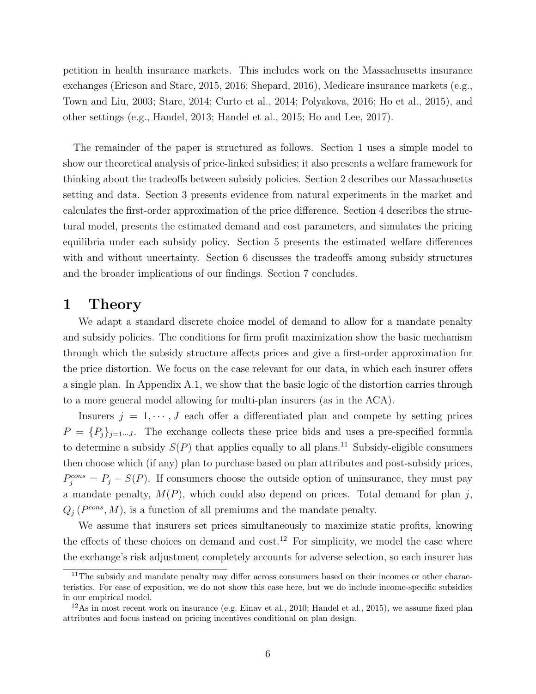petition in health insurance markets. This includes work on the Massachusetts insurance exchanges [\(Ericson and Starc, 2015,](#page-44-6) [2016;](#page-44-7) [Shepard, 2016\)](#page-44-8), Medicare insurance markets (e.g., [Town and Liu, 2003;](#page-45-1) [Starc, 2014;](#page-45-2) [Curto et al., 2014;](#page-43-9) [Polyakova, 2016;](#page-44-9) [Ho et al., 2015\)](#page-44-10), and other settings (e.g., [Handel, 2013;](#page-44-11) [Handel et al., 2015;](#page-44-12) [Ho and Lee, 2017\)](#page-44-13).

The remainder of the paper is structured as follows. Section [1](#page-7-0) uses a simple model to show our theoretical analysis of price-linked subsidies; it also presents a welfare framework for thinking about the tradeoffs between subsidy policies. Section [2](#page-14-0) describes our Massachusetts setting and data. Section [3](#page-18-0) presents evidence from natural experiments in the market and calculates the first-order approximation of the price difference. Section [4](#page-23-0) describes the structural model, presents the estimated demand and cost parameters, and simulates the pricing equilibria under each subsidy policy. Section [5](#page-32-0) presents the estimated welfare differences with and without uncertainty. Section [6](#page-40-0) discusses the tradeoffs among subsidy structures and the broader implications of our findings. Section [7](#page-42-0) concludes.

# <span id="page-7-0"></span>1 Theory

We adapt a standard discrete choice model of demand to allow for a mandate penalty and subsidy policies. The conditions for firm profit maximization show the basic mechanism through which the subsidy structure affects prices and give a first-order approximation for the price distortion. We focus on the case relevant for our data, in which each insurer offers a single plan. In Appendix [A.1,](#page-46-0) we show that the basic logic of the distortion carries through to a more general model allowing for multi-plan insurers (as in the ACA).

Insurers  $j = 1, \dots, J$  each offer a differentiated plan and compete by setting prices  $P = \{P_j\}_{j=1...J}$ . The exchange collects these price bids and uses a pre-specified formula to determine a subsidy  $S(P)$  that applies equally to all plans.<sup>11</sup> Subsidy-eligible consumers then choose which (if any) plan to purchase based on plan attributes and post-subsidy prices,  $P_j^{cons} = P_j - S(P)$ . If consumers choose the outside option of uninsurance, they must pay a mandate penalty,  $M(P)$ , which could also depend on prices. Total demand for plan j,  $Q_j$  ( $P^{cons}, M$ ), is a function of all premiums and the mandate penalty.

We assume that insurers set prices simultaneously to maximize static profits, knowing the effects of these choices on demand and cost.<sup>12</sup> For simplicity, we model the case where the exchange's risk adjustment completely accounts for adverse selection, so each insurer has

<sup>&</sup>lt;sup>11</sup>The subsidy and mandate penalty may differ across consumers based on their incomes or other characteristics. For ease of exposition, we do not show this case here, but we do include income-specific subsidies in our empirical model.

<sup>&</sup>lt;sup>12</sup>As in most recent work on insurance (e.g. [Einav et al., 2010;](#page-43-10) [Handel et al., 2015\)](#page-44-12), we assume fixed plan attributes and focus instead on pricing incentives conditional on plan design.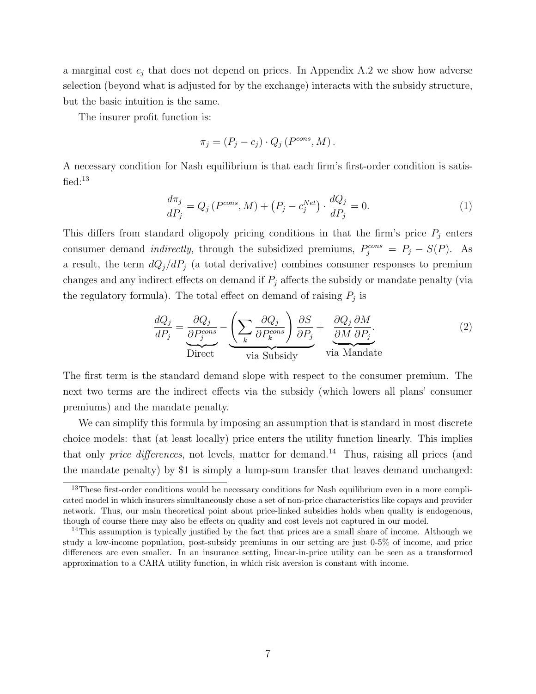a marginal cost  $c_j$  that does not depend on prices. In Appendix [A.2](#page-47-0) we show how adverse selection (beyond what is adjusted for by the exchange) interacts with the subsidy structure, but the basic intuition is the same.

The insurer profit function is:

<span id="page-8-1"></span>
$$
\pi_j = (P_j - c_j) \cdot Q_j \left( P^{\text{cons}}, M \right).
$$

A necessary condition for Nash equilibrium is that each firm's first-order condition is satisfied: $13$ 

$$
\frac{d\pi_j}{dP_j} = Q_j \left( P^{\text{cons}}, M \right) + \left( P_j - c_j^{\text{Net}} \right) \cdot \frac{dQ_j}{dP_j} = 0. \tag{1}
$$

This differs from standard oligopoly pricing conditions in that the firm's price  $P_j$  enters consumer demand *indirectly*, through the subsidized premiums,  $P_j^{cons} = P_j - S(P)$ . As a result, the term  $dQ_i/dP_j$  (a total derivative) combines consumer responses to premium changes and any indirect effects on demand if  $P_i$  affects the subsidy or mandate penalty (via the regulatory formula). The total effect on demand of raising  $P_j$  is

<span id="page-8-0"></span>
$$
\frac{dQ_j}{dP_j} = \underbrace{\frac{\partial Q_j}{\partial P_j^{cons}}}_{\text{Direct}} - \underbrace{\left(\sum_k \frac{\partial Q_j}{\partial P_k^{cons}}\right) \frac{\partial S}{\partial P_j}}_{\text{via Subsidy}} + \underbrace{\frac{\partial Q_j}{\partial M} \frac{\partial M}{\partial P_j}}_{\text{via Mandate}}.
$$
\n(2)

The first term is the standard demand slope with respect to the consumer premium. The next two terms are the indirect effects via the subsidy (which lowers all plans' consumer premiums) and the mandate penalty.

We can simplify this formula by imposing an assumption that is standard in most discrete choice models: that (at least locally) price enters the utility function linearly. This implies that only *price differences*, not levels, matter for demand.<sup>14</sup> Thus, raising all prices (and the mandate penalty) by \$1 is simply a lump-sum transfer that leaves demand unchanged:

<sup>&</sup>lt;sup>13</sup>These first-order conditions would be necessary conditions for Nash equilibrium even in a more complicated model in which insurers simultaneously chose a set of non-price characteristics like copays and provider network. Thus, our main theoretical point about price-linked subsidies holds when quality is endogenous, though of course there may also be effects on quality and cost levels not captured in our model.

<sup>&</sup>lt;sup>14</sup>This assumption is typically justified by the fact that prices are a small share of income. Although we study a low-income population, post-subsidy premiums in our setting are just 0-5% of income, and price differences are even smaller. In an insurance setting, linear-in-price utility can be seen as a transformed approximation to a CARA utility function, in which risk aversion is constant with income.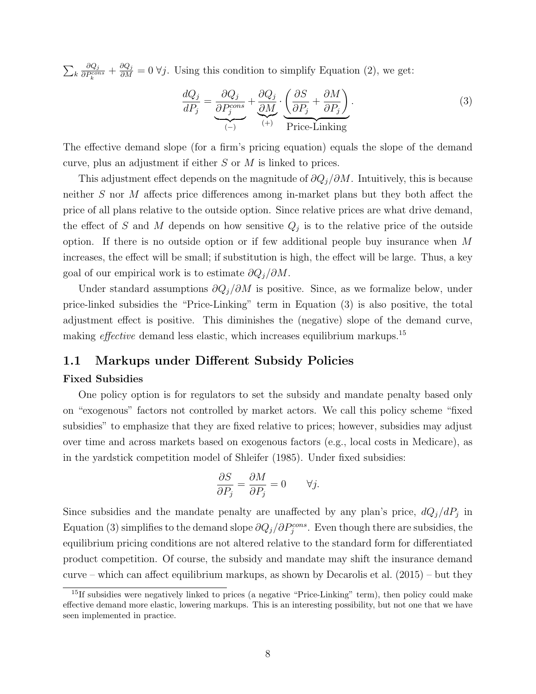$\sum_k$  $\partial Q_j$  $\frac{\partial Q_j}{\partial P_k^{cons}} + \frac{\partial Q_j}{\partial M} = 0 \ \forall j$ . Using this condition to simplify Equation [\(2\)](#page-8-0), we get:

<span id="page-9-0"></span>
$$
\frac{dQ_j}{dP_j} = \underbrace{\frac{\partial Q_j}{\partial P_j^{cons}}}_{(-)} + \underbrace{\frac{\partial Q_j}{\partial M}}_{(+)} \cdot \underbrace{\left(\frac{\partial S}{\partial P_j} + \frac{\partial M}{\partial P_j}\right)}_{\text{Price-Linking}}.
$$
\n(3)

The effective demand slope (for a firm's pricing equation) equals the slope of the demand curve, plus an adjustment if either S or M is linked to prices.

This adjustment effect depends on the magnitude of  $\partial Q_i/\partial M$ . Intuitively, this is because neither S nor M affects price differences among in-market plans but they both affect the price of all plans relative to the outside option. Since relative prices are what drive demand, the effect of S and M depends on how sensitive  $Q_j$  is to the relative price of the outside option. If there is no outside option or if few additional people buy insurance when M increases, the effect will be small; if substitution is high, the effect will be large. Thus, a key goal of our empirical work is to estimate  $\partial Q_i/\partial M$ .

Under standard assumptions  $\partial Q_j/\partial M$  is positive. Since, as we formalize below, under price-linked subsidies the "Price-Linking" term in Equation [\(3\)](#page-9-0) is also positive, the total adjustment effect is positive. This diminishes the (negative) slope of the demand curve, making *effective* demand less elastic, which increases equilibrium markups.<sup>15</sup>

# 1.1 Markups under Different Subsidy Policies

#### Fixed Subsidies

One policy option is for regulators to set the subsidy and mandate penalty based only on "exogenous" factors not controlled by market actors. We call this policy scheme "fixed subsidies" to emphasize that they are fixed relative to prices; however, subsidies may adjust over time and across markets based on exogenous factors (e.g., local costs in Medicare), as in the yardstick competition model of [Shleifer](#page-45-3) [\(1985\)](#page-45-3). Under fixed subsidies:

$$
\frac{\partial S}{\partial P_j} = \frac{\partial M}{\partial P_j} = 0 \qquad \forall j.
$$

Since subsidies and the mandate penalty are unaffected by any plan's price,  $dQ_j/dP_j$  in Equation [\(3\)](#page-9-0) simplifies to the demand slope  $\partial Q_j/\partial P_j^{cons}$ . Even though there are subsidies, the equilibrium pricing conditions are not altered relative to the standard form for differentiated product competition. Of course, the subsidy and mandate may shift the insurance demand curve – which can affect equilibrium markups, as shown by [Decarolis et al.](#page-43-8) [\(2015\)](#page-43-8) – but they

<sup>&</sup>lt;sup>15</sup>If subsidies were negatively linked to prices (a negative "Price-Linking" term), then policy could make effective demand more elastic, lowering markups. This is an interesting possibility, but not one that we have seen implemented in practice.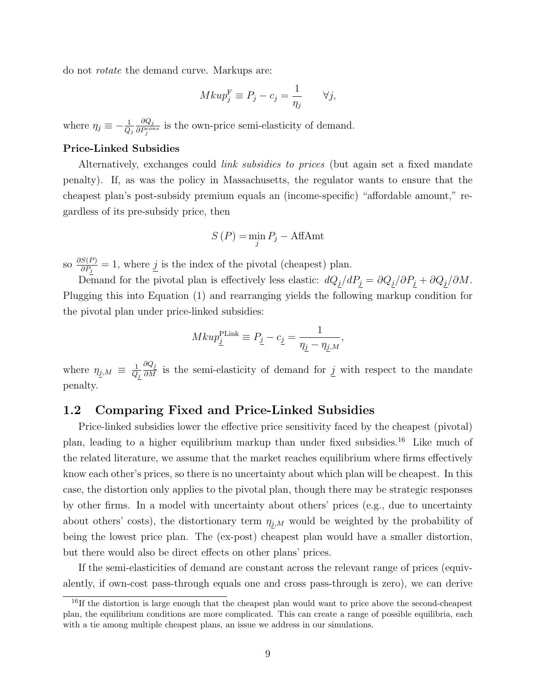do not rotate the demand curve. Markups are:

$$
Mkup_j^{\mathrm F} \equiv P_j - c_j = \frac{1}{\eta_j} \qquad \forall j,
$$

where  $\eta_j \equiv -\frac{1}{Q_j}$  $\partial Q_j$  $\frac{\partial Q_j}{\partial P_j^{cons}}$  is the own-price semi-elasticity of demand.

#### Price-Linked Subsidies

Alternatively, exchanges could *link subsidies to prices* (but again set a fixed mandate penalty). If, as was the policy in Massachusetts, the regulator wants to ensure that the cheapest plan's post-subsidy premium equals an (income-specific) "affordable amount," regardless of its pre-subsidy price, then

$$
S(P) = \min_{j} P_j - \text{AffAmt}
$$

so  $\frac{\partial S(P)}{\partial P}$  $\frac{S(P)}{\partial P_j} = 1$ , where  $j$  is the index of the pivotal (cheapest) plan.

Demand for the pivotal plan is effectively less elastic:  $dQ_j/dP_j = \partial Q_j/\partial P_j + \partial Q_j/\partial M$ . Plugging this into Equation [\(1\)](#page-8-1) and rearranging yields the following markup condition for the pivotal plan under price-linked subsidies:

$$
Mkup_{\underline{j}}^{\text{PLink}} \equiv P_{\underline{j}} - c_{\underline{j}} = \frac{1}{\eta_{\underline{j}} - \eta_{\underline{j},M}},
$$

where  $\eta_{j,M} \equiv \frac{1}{Q}$  $Q_j$  $\frac{\partial Q_j}{\partial M}$  is the semi-elasticity of demand for  $\underline{j}$  with respect to the mandate penalty.

# <span id="page-10-0"></span>1.2 Comparing Fixed and Price-Linked Subsidies

Price-linked subsidies lower the effective price sensitivity faced by the cheapest (pivotal) plan, leading to a higher equilibrium markup than under fixed subsidies.<sup>16</sup> Like much of the related literature, we assume that the market reaches equilibrium where firms effectively know each other's prices, so there is no uncertainty about which plan will be cheapest. In this case, the distortion only applies to the pivotal plan, though there may be strategic responses by other firms. In a model with uncertainty about others' prices (e.g., due to uncertainty about others' costs), the distortionary term  $\eta_{j,M}$  would be weighted by the probability of being the lowest price plan. The (ex-post) cheapest plan would have a smaller distortion, but there would also be direct effects on other plans' prices.

If the semi-elasticities of demand are constant across the relevant range of prices (equivalently, if own-cost pass-through equals one and cross pass-through is zero), we can derive

<sup>&</sup>lt;sup>16</sup>If the distortion is large enough that the cheapest plan would want to price above the second-cheapest plan, the equilibrium conditions are more complicated. This can create a range of possible equilibria, each with a tie among multiple cheapest plans, an issue we address in our simulations.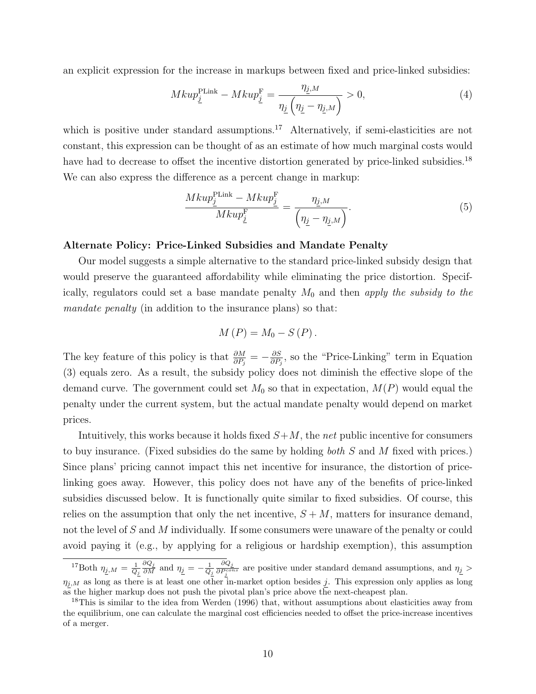an explicit expression for the increase in markups between fixed and price-linked subsidies:

<span id="page-11-0"></span>
$$
Mkup_{\underline{j}}^{\text{PLink}} - Mkup_{\underline{j}}^{\text{F}} = \frac{\eta_{\underline{j},M}}{\eta_{\underline{j}}\left(\eta_{\underline{j}} - \eta_{\underline{j},M}\right)} > 0,\tag{4}
$$

which is positive under standard assumptions.<sup>17</sup> Alternatively, if semi-elasticities are not constant, this expression can be thought of as an estimate of how much marginal costs would have had to decrease to offset the incentive distortion generated by price-linked subsidies.<sup>18</sup> We can also express the difference as a percent change in markup:

$$
\frac{Mkup_{\underline{j}}^{\text{PLink}} - Mku p_{\underline{j}}^{\text{F}}}{Mku p_{\underline{j}}^{\text{F}}} = \frac{\eta_{\underline{j},M}}{\left(\eta_{\underline{j}} - \eta_{\underline{j},M}\right)}.
$$
\n
$$
(5)
$$

#### Alternate Policy: Price-Linked Subsidies and Mandate Penalty

Our model suggests a simple alternative to the standard price-linked subsidy design that would preserve the guaranteed affordability while eliminating the price distortion. Specifically, regulators could set a base mandate penalty  $M_0$  and then apply the subsidy to the mandate penalty (in addition to the insurance plans) so that:

$$
M(P) = M_0 - S(P).
$$

The key feature of this policy is that  $\frac{\partial M}{\partial P_j} = -\frac{\partial S}{\partial P_j}$  $\frac{\partial S}{\partial P_j}$ , so the "Price-Linking" term in Equation [\(3\)](#page-9-0) equals zero. As a result, the subsidy policy does not diminish the effective slope of the demand curve. The government could set  $M_0$  so that in expectation,  $M(P)$  would equal the penalty under the current system, but the actual mandate penalty would depend on market prices.

Intuitively, this works because it holds fixed  $S+M$ , the net public incentive for consumers to buy insurance. (Fixed subsidies do the same by holding both S and M fixed with prices.) Since plans' pricing cannot impact this net incentive for insurance, the distortion of pricelinking goes away. However, this policy does not have any of the benefits of price-linked subsidies discussed below. It is functionally quite similar to fixed subsidies. Of course, this relies on the assumption that only the net incentive,  $S + M$ , matters for insurance demand, not the level of S and M individually. If some consumers were unaware of the penalty or could avoid paying it (e.g., by applying for a religious or hardship exemption), this assumption

<sup>&</sup>lt;sup>17</sup>Both  $\eta_{\underline{j},M} = \frac{1}{Q_{\underline{j}}}$  $\frac{\partial Q_j}{\partial M}$  and  $\eta_{\underline{j}} = -\frac{1}{Q_j}$  $\partial Q_j$  $\frac{\partial Q_2}{\partial P_i^{cons}}$  are positive under standard demand assumptions, and  $\eta_{\underline{j}} >$  $\eta_{j,M}$  as long as there is at least one other in-market option besides j. This expression only applies as long as the higher markup does not push the pivotal plan's price above the next-cheapest plan.

<sup>&</sup>lt;sup>18</sup>This is similar to the idea from [Werden](#page-45-4) [\(1996\)](#page-45-4) that, without assumptions about elasticities away from the equilibrium, one can calculate the marginal cost efficiencies needed to offset the price-increase incentives of a merger.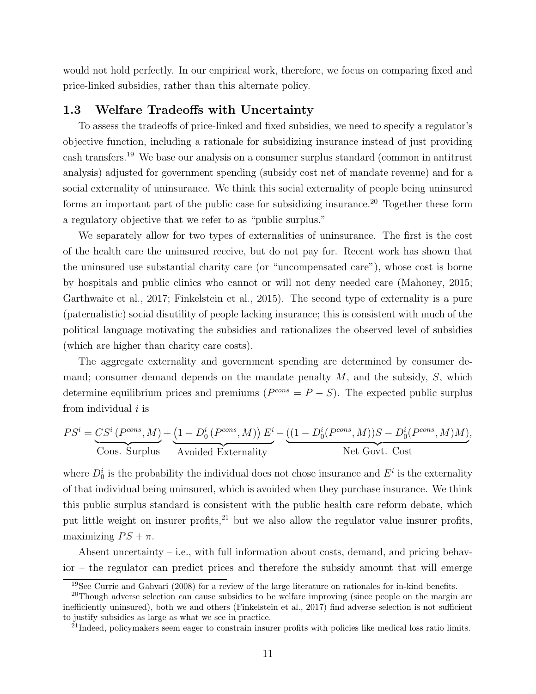would not hold perfectly. In our empirical work, therefore, we focus on comparing fixed and price-linked subsidies, rather than this alternate policy.

# <span id="page-12-0"></span>1.3 Welfare Tradeoffs with Uncertainty

To assess the tradeoffs of price-linked and fixed subsidies, we need to specify a regulator's objective function, including a rationale for subsidizing insurance instead of just providing cash transfers.<sup>19</sup> We base our analysis on a consumer surplus standard (common in antitrust analysis) adjusted for government spending (subsidy cost net of mandate revenue) and for a social externality of uninsurance. We think this social externality of people being uninsured forms an important part of the public case for subsidizing insurance.<sup>20</sup> Together these form a regulatory objective that we refer to as "public surplus."

We separately allow for two types of externalities of uninsurance. The first is the cost of the health care the uninsured receive, but do not pay for. Recent work has shown that the uninsured use substantial charity care (or "uncompensated care"), whose cost is borne by hospitals and public clinics who cannot or will not deny needed care [\(Mahoney, 2015;](#page-44-3) [Garthwaite et al., 2017;](#page-44-1) [Finkelstein et al., 2015\)](#page-44-2). The second type of externality is a pure (paternalistic) social disutility of people lacking insurance; this is consistent with much of the political language motivating the subsidies and rationalizes the observed level of subsidies (which are higher than charity care costs).

The aggregate externality and government spending are determined by consumer demand; consumer demand depends on the mandate penalty  $M$ , and the subsidy,  $S$ , which determine equilibrium prices and premiums ( $P^{cons} = P - S$ ). The expected public surplus from individual  $i$  is

$$
PS^{i} = \underbrace{CS^{i} (P^{cons}, M)}_{\text{Cons. Surplus}} + \underbrace{(1 - D_{0}^{i} (P^{cons}, M)) E^{i}}_{\text{Avoided Externality}} - \underbrace{((1 - D_{0}^{i} (P^{cons}, M))S - D_{0}^{i} (P^{cons}, M)M)}_{\text{Net Govt. Cost}},
$$

where  $D_0^i$  is the probability the individual does not chose insurance and  $E^i$  is the externality of that individual being uninsured, which is avoided when they purchase insurance. We think this public surplus standard is consistent with the public health care reform debate, which put little weight on insurer profits, $^{21}$  but we also allow the regulator value insurer profits, maximizing  $PS + \pi$ .

Absent uncertainty – i.e., with full information about costs, demand, and pricing behavior – the regulator can predict prices and therefore the subsidy amount that will emerge

 $19$ See [Currie and Gahvari](#page-43-12) [\(2008\)](#page-43-12) for a review of the large literature on rationales for in-kind benefits.

<sup>&</sup>lt;sup>20</sup>Though adverse selection can cause subsidies to be welfare improving (since people on the margin are inefficiently uninsured), both we and others [\(Finkelstein et al., 2017\)](#page-44-14) find adverse selection is not sufficient to justify subsidies as large as what we see in practice.

<sup>&</sup>lt;sup>21</sup>Indeed, policymakers seem eager to constrain insurer profits with policies like medical loss ratio limits.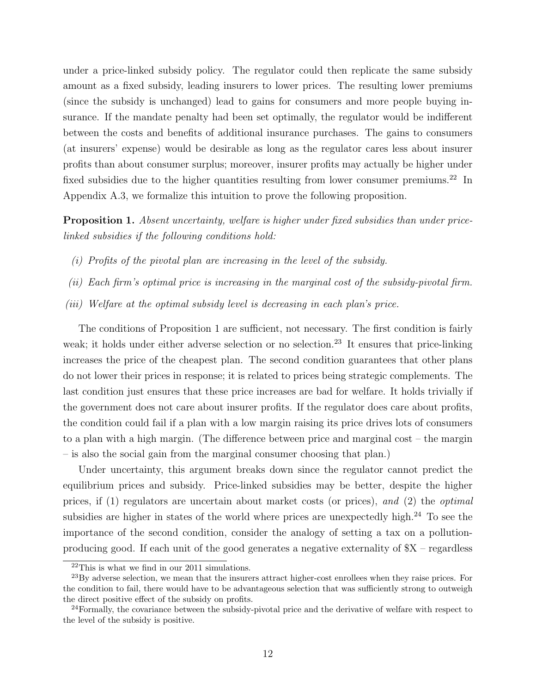under a price-linked subsidy policy. The regulator could then replicate the same subsidy amount as a fixed subsidy, leading insurers to lower prices. The resulting lower premiums (since the subsidy is unchanged) lead to gains for consumers and more people buying insurance. If the mandate penalty had been set optimally, the regulator would be indifferent between the costs and benefits of additional insurance purchases. The gains to consumers (at insurers' expense) would be desirable as long as the regulator cares less about insurer profits than about consumer surplus; moreover, insurer profits may actually be higher under fixed subsidies due to the higher quantities resulting from lower consumer premiums.<sup>22</sup> In Appendix [A.3,](#page-48-0) we formalize this intuition to prove the following proposition.

<span id="page-13-0"></span>Proposition 1. Absent uncertainty, welfare is higher under fixed subsidies than under pricelinked subsidies if the following conditions hold:

- (i) Profits of the pivotal plan are increasing in the level of the subsidy.
- (ii) Each firm's optimal price is increasing in the marginal cost of the subsidy-pivotal firm.
- (iii) Welfare at the optimal subsidy level is decreasing in each plan's price.

The conditions of Proposition [1](#page-13-0) are sufficient, not necessary. The first condition is fairly weak; it holds under either adverse selection or no selection.<sup>23</sup> It ensures that price-linking increases the price of the cheapest plan. The second condition guarantees that other plans do not lower their prices in response; it is related to prices being strategic complements. The last condition just ensures that these price increases are bad for welfare. It holds trivially if the government does not care about insurer profits. If the regulator does care about profits, the condition could fail if a plan with a low margin raising its price drives lots of consumers to a plan with a high margin. (The difference between price and marginal cost – the margin – is also the social gain from the marginal consumer choosing that plan.)

Under uncertainty, this argument breaks down since the regulator cannot predict the equilibrium prices and subsidy. Price-linked subsidies may be better, despite the higher prices, if (1) regulators are uncertain about market costs (or prices), and (2) the optimal subsidies are higher in states of the world where prices are unexpectedly high.<sup>24</sup> To see the importance of the second condition, consider the analogy of setting a tax on a pollutionproducing good. If each unit of the good generates a negative externality of  $X$  – regardless

<sup>22</sup>This is what we find in our 2011 simulations.

<sup>&</sup>lt;sup>23</sup>By adverse selection, we mean that the insurers attract higher-cost enrollees when they raise prices. For the condition to fail, there would have to be advantageous selection that was sufficiently strong to outweigh the direct positive effect of the subsidy on profits.

 $24$  Formally, the covariance between the subsidy-pivotal price and the derivative of welfare with respect to the level of the subsidy is positive.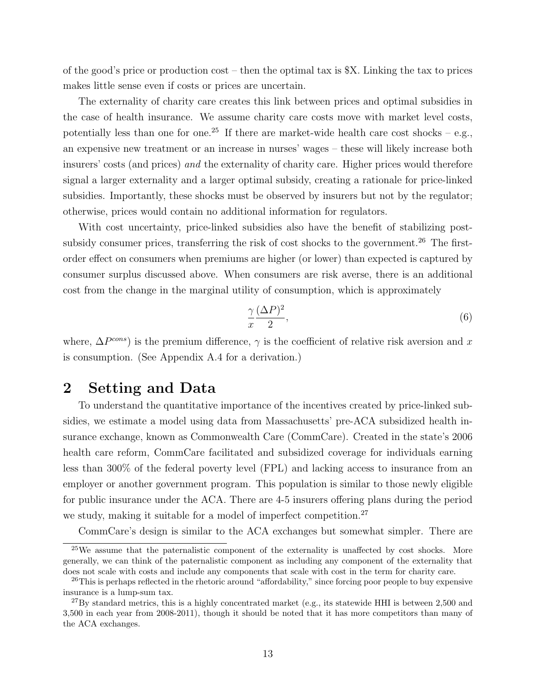of the good's price or production  $\cos t$  – then the optimal tax is \$X. Linking the tax to prices makes little sense even if costs or prices are uncertain.

The externality of charity care creates this link between prices and optimal subsidies in the case of health insurance. We assume charity care costs move with market level costs, potentially less than one for one.<sup>25</sup> If there are market-wide health care cost shocks – e.g., an expensive new treatment or an increase in nurses' wages – these will likely increase both insurers' costs (and prices) and the externality of charity care. Higher prices would therefore signal a larger externality and a larger optimal subsidy, creating a rationale for price-linked subsidies. Importantly, these shocks must be observed by insurers but not by the regulator; otherwise, prices would contain no additional information for regulators.

With cost uncertainty, price-linked subsidies also have the benefit of stabilizing postsubsidy consumer prices, transferring the risk of cost shocks to the government.<sup>26</sup> The firstorder effect on consumers when premiums are higher (or lower) than expected is captured by consumer surplus discussed above. When consumers are risk averse, there is an additional cost from the change in the marginal utility of consumption, which is approximately

<span id="page-14-1"></span>
$$
\frac{\gamma}{x} \frac{(\Delta P)^2}{2},\tag{6}
$$

where,  $\Delta P^{cons}$ ) is the premium difference,  $\gamma$  is the coefficient of relative risk aversion and x is consumption. (See Appendix [A.4](#page-50-0) for a derivation.)

# <span id="page-14-0"></span>2 Setting and Data

To understand the quantitative importance of the incentives created by price-linked subsidies, we estimate a model using data from Massachusetts' pre-ACA subsidized health insurance exchange, known as Commonwealth Care (CommCare). Created in the state's 2006 health care reform, CommCare facilitated and subsidized coverage for individuals earning less than 300% of the federal poverty level (FPL) and lacking access to insurance from an employer or another government program. This population is similar to those newly eligible for public insurance under the ACA. There are 4-5 insurers offering plans during the period we study, making it suitable for a model of imperfect competition.<sup>27</sup>

CommCare's design is similar to the ACA exchanges but somewhat simpler. There are

 $^{25}$ We assume that the paternalistic component of the externality is unaffected by cost shocks. More generally, we can think of the paternalistic component as including any component of the externality that does not scale with costs and include any components that scale with cost in the term for charity care.

<sup>&</sup>lt;sup>26</sup>This is perhaps reflected in the rhetoric around "affordability," since forcing poor people to buy expensive insurance is a lump-sum tax.

 $^{27}$ By standard metrics, this is a highly concentrated market (e.g., its statewide HHI is between 2,500 and 3,500 in each year from 2008-2011), though it should be noted that it has more competitors than many of the ACA exchanges.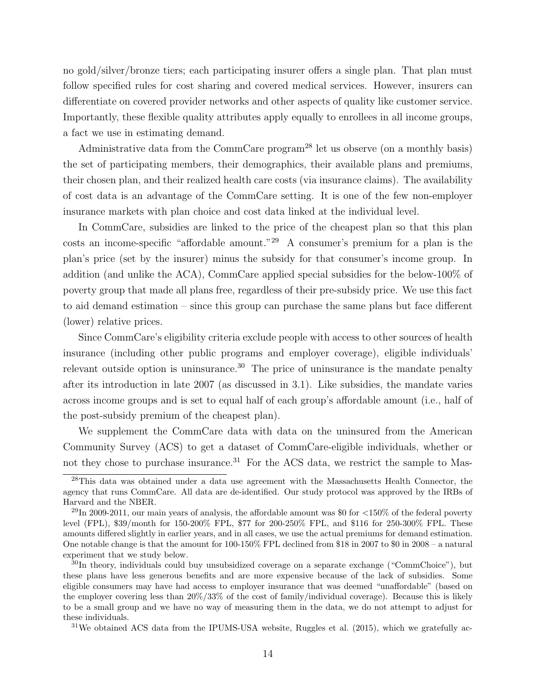no gold/silver/bronze tiers; each participating insurer offers a single plan. That plan must follow specified rules for cost sharing and covered medical services. However, insurers can differentiate on covered provider networks and other aspects of quality like customer service. Importantly, these flexible quality attributes apply equally to enrollees in all income groups, a fact we use in estimating demand.

Administrative data from the CommCare program<sup>28</sup> let us observe (on a monthly basis) the set of participating members, their demographics, their available plans and premiums, their chosen plan, and their realized health care costs (via insurance claims). The availability of cost data is an advantage of the CommCare setting. It is one of the few non-employer insurance markets with plan choice and cost data linked at the individual level.

In CommCare, subsidies are linked to the price of the cheapest plan so that this plan costs an income-specific "affordable amount."<sup>29</sup> A consumer's premium for a plan is the plan's price (set by the insurer) minus the subsidy for that consumer's income group. In addition (and unlike the ACA), CommCare applied special subsidies for the below-100% of poverty group that made all plans free, regardless of their pre-subsidy price. We use this fact to aid demand estimation – since this group can purchase the same plans but face different (lower) relative prices.

Since CommCare's eligibility criteria exclude people with access to other sources of health insurance (including other public programs and employer coverage), eligible individuals' relevant outside option is uninsurance.<sup>30</sup> The price of uninsurance is the mandate penalty after its introduction in late 2007 (as discussed in [3.1\)](#page-18-1). Like subsidies, the mandate varies across income groups and is set to equal half of each group's affordable amount (i.e., half of the post-subsidy premium of the cheapest plan).

We supplement the CommCare data with data on the uninsured from the American Community Survey (ACS) to get a dataset of CommCare-eligible individuals, whether or not they chose to purchase insurance.<sup>31</sup> For the ACS data, we restrict the sample to Mas-

<sup>&</sup>lt;sup>28</sup>This data was obtained under a data use agreement with the Massachusetts Health Connector, the agency that runs CommCare. All data are de-identified. Our study protocol was approved by the IRBs of Harvard and the NBER.

 $^{29}$ In 2009-2011, our main years of analysis, the affordable amount was \$0 for  $<150\%$  of the federal poverty level (FPL), \$39/month for 150-200% FPL, \$77 for 200-250% FPL, and \$116 for 250-300% FPL. These amounts differed slightly in earlier years, and in all cases, we use the actual premiums for demand estimation. One notable change is that the amount for 100-150% FPL declined from \$18 in 2007 to \$0 in 2008 – a natural experiment that we study below.

<sup>&</sup>lt;sup>30</sup>In theory, individuals could buy unsubsidized coverage on a separate exchange ("CommChoice"), but these plans have less generous benefits and are more expensive because of the lack of subsidies. Some eligible consumers may have had access to employer insurance that was deemed "unaffordable" (based on the employer covering less than 20%/33% of the cost of family/individual coverage). Because this is likely to be a small group and we have no way of measuring them in the data, we do not attempt to adjust for these individuals.

 $31$ We obtained ACS data from the IPUMS-USA website, [Ruggles et al.](#page-44-15) [\(2015\)](#page-44-15), which we gratefully ac-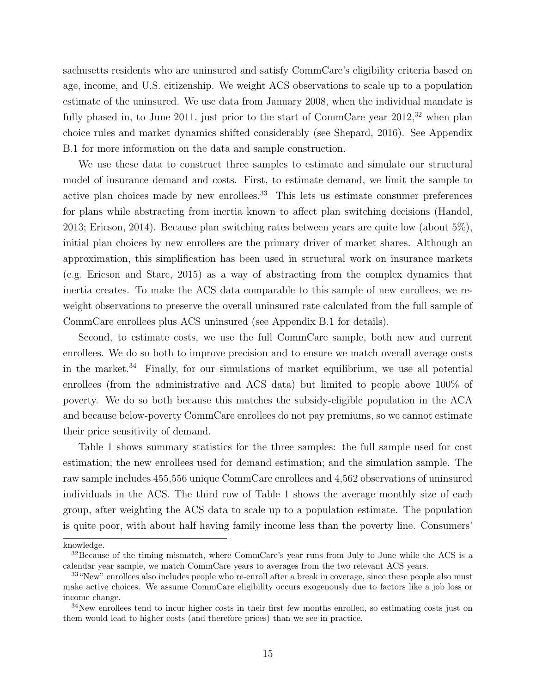sachusetts residents who are uninsured and satisfy CommCare's eligibility criteria based on age, income, and U.S. citizenship. We weight ACS observations to scale up to a population estimate of the uninsured. We use data from January 2008, when the individual mandate is fully phased in, to June 2011, just prior to the start of CommCare year  $2012<sup>32</sup>$  when plan choice rules and market dynamics shifted considerably (see [Shepard, 2016\)](#page-44-8). See Appendix [B.1](#page-51-0) for more information on the data and sample construction.

We use these data to construct three samples to estimate and simulate our structural model of insurance demand and costs. First, to estimate demand, we limit the sample to active plan choices made by new enrollees.<sup>33</sup> This lets us estimate consumer preferences for plans while abstracting from inertia known to affect plan switching decisions [\(Handel,](#page-44-11) [2013;](#page-44-11) [Ericson, 2014\)](#page-43-13). Because plan switching rates between years are quite low (about 5%), initial plan choices by new enrollees are the primary driver of market shares. Although an approximation, this simplification has been used in structural work on insurance markets (e.g. [Ericson and Starc, 2015\)](#page-44-6) as a way of abstracting from the complex dynamics that inertia creates. To make the ACS data comparable to this sample of new enrollees, we reweight observations to preserve the overall uninsured rate calculated from the full sample of CommCare enrollees plus ACS uninsured (see Appendix [B.1](#page-51-0) for details).

Second, to estimate costs, we use the full CommCare sample, both new and current enrollees. We do so both to improve precision and to ensure we match overall average costs in the market.<sup>34</sup> Finally, for our simulations of market equilibrium, we use all potential enrollees (from the administrative and ACS data) but limited to people above 100% of poverty. We do so both because this matches the subsidy-eligible population in the ACA and because below-poverty CommCare enrollees do not pay premiums, so we cannot estimate their price sensitivity of demand.

Table [1](#page-17-0) shows summary statistics for the three samples: the full sample used for cost estimation; the new enrollees used for demand estimation; and the simulation sample. The raw sample includes 455,556 unique CommCare enrollees and 4,562 observations of uninsured individuals in the ACS. The third row of Table [1](#page-17-0) shows the average monthly size of each group, after weighting the ACS data to scale up to a population estimate. The population is quite poor, with about half having family income less than the poverty line. Consumers'

knowledge.

<sup>&</sup>lt;sup>32</sup>Because of the timing mismatch, where CommCare's year runs from July to June while the ACS is a calendar year sample, we match CommCare years to averages from the two relevant ACS years.

<sup>&</sup>lt;sup>33</sup> "New" enrollees also includes people who re-enroll after a break in coverage, since these people also must make active choices. We assume CommCare eligibility occurs exogenously due to factors like a job loss or income change.

 $34$ New enrollees tend to incur higher costs in their first few months enrolled, so estimating costs just on them would lead to higher costs (and therefore prices) than we see in practice.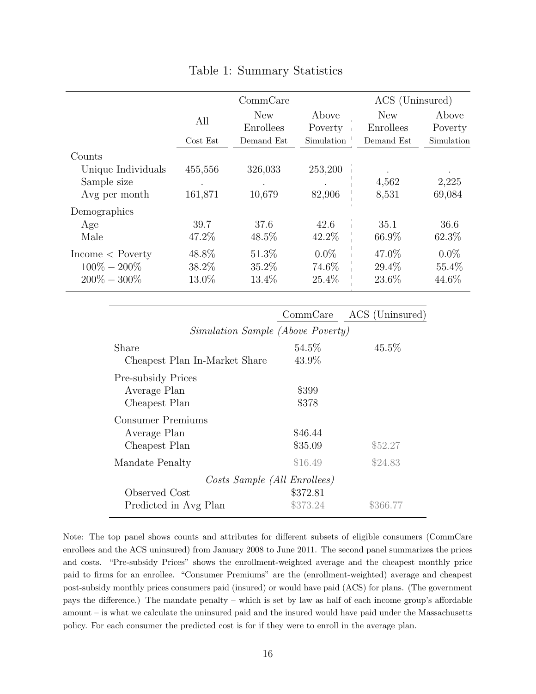<span id="page-17-0"></span>

|                    |          | CommonCare |            | ACS (Uninsured) |            |
|--------------------|----------|------------|------------|-----------------|------------|
|                    | All      | <b>New</b> | Above      | <b>New</b>      | Above      |
|                    |          | Enrollees  | Poverty    | Enrollees       | Poverty    |
|                    | Cost Est | Demand Est | Simulation | Demand Est      | Simulation |
| Counts             |          |            |            |                 |            |
| Unique Individuals | 455,556  | 326,033    | 253,200    |                 | $\cdot$    |
| Sample size        |          |            |            | 4,562           | 2,225      |
| Avg per month      | 161,871  | 10,679     | 82,906     | 8,531           | 69,084     |
| Demographics       |          |            |            |                 |            |
| Age                | 39.7     | 37.6       | 42.6       | 35.1            | 36.6       |
| Male               | 47.2\%   | 48.5%      | 42.2\%     | 66.9%           | 62.3%      |
| $Income <$ Poverty | 48.8%    | 51.3%      | $0.0\%$    | 47.0%           | $0.0\%$    |
| $100\% - 200\%$    | 38.2%    | 35.2%      | 74.6%      | 29.4%           | 55.4%      |
| $200\% - 300\%$    | 13.0%    | 13.4%      | 25.4%      | 23.6%           | 44.6%      |

# Table 1: Summary Statistics

|                                                            | CommCare             | ACS (Uninsured) |
|------------------------------------------------------------|----------------------|-----------------|
| <i>Simulation Sample (Above Poverty)</i>                   |                      |                 |
| Share<br>Cheapest Plan In-Market Share                     | 54.5\%<br>43.9%      | $45.5\%$        |
| <b>Pre-subsidy Prices</b><br>Average Plan<br>Cheapest Plan | \$399<br>\$378       |                 |
| Consumer Premiums<br>Average Plan<br>Cheapest Plan         | \$46.44<br>\$35.09   | \$52.27         |
| Mandate Penalty                                            | \$16.49              | \$24.83         |
| Costs Sample (All Enrollees)                               |                      |                 |
| Observed Cost<br>Predicted in Avg Plan                     | \$372.81<br>\$373.24 | \$366.77        |

Note: The top panel shows counts and attributes for different subsets of eligible consumers (CommCare enrollees and the ACS uninsured) from January 2008 to June 2011. The second panel summarizes the prices and costs. "Pre-subsidy Prices" shows the enrollment-weighted average and the cheapest monthly price paid to firms for an enrollee. "Consumer Premiums" are the (enrollment-weighted) average and cheapest post-subsidy monthly prices consumers paid (insured) or would have paid (ACS) for plans. (The government pays the difference.) The mandate penalty – which is set by law as half of each income group's affordable amount – is what we calculate the uninsured paid and the insured would have paid under the Massachusetts policy. For each consumer the predicted cost is for if they were to enroll in the average plan.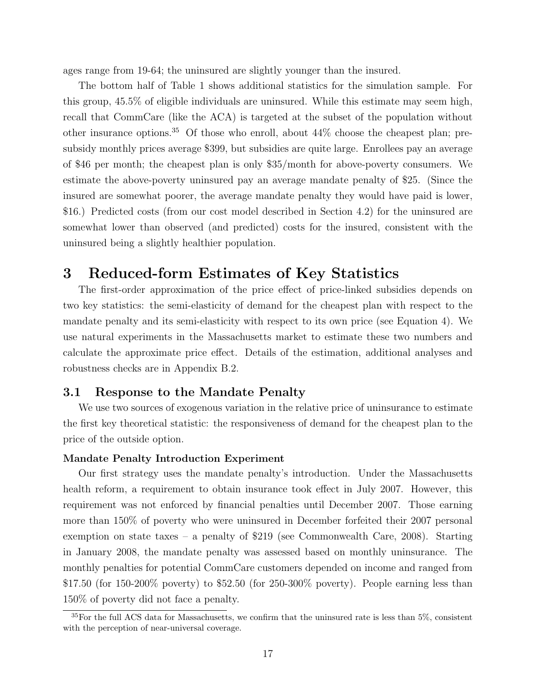ages range from 19-64; the uninsured are slightly younger than the insured.

The bottom half of Table [1](#page-17-0) shows additional statistics for the simulation sample. For this group, 45.5% of eligible individuals are uninsured. While this estimate may seem high, recall that CommCare (like the ACA) is targeted at the subset of the population without other insurance options.<sup>35</sup> Of those who enroll, about  $44\%$  choose the cheapest plan; presubsidy monthly prices average \$399, but subsidies are quite large. Enrollees pay an average of \$46 per month; the cheapest plan is only \$35/month for above-poverty consumers. We estimate the above-poverty uninsured pay an average mandate penalty of \$25. (Since the insured are somewhat poorer, the average mandate penalty they would have paid is lower, \$16.) Predicted costs (from our cost model described in Section [4.2\)](#page-27-0) for the uninsured are somewhat lower than observed (and predicted) costs for the insured, consistent with the uninsured being a slightly healthier population.

# <span id="page-18-0"></span>3 Reduced-form Estimates of Key Statistics

The first-order approximation of the price effect of price-linked subsidies depends on two key statistics: the semi-elasticity of demand for the cheapest plan with respect to the mandate penalty and its semi-elasticity with respect to its own price (see Equation [4\)](#page-11-0). We use natural experiments in the Massachusetts market to estimate these two numbers and calculate the approximate price effect. Details of the estimation, additional analyses and robustness checks are in Appendix [B.2.](#page-51-1)

# <span id="page-18-1"></span>3.1 Response to the Mandate Penalty

We use two sources of exogenous variation in the relative price of uninsurance to estimate the first key theoretical statistic: the responsiveness of demand for the cheapest plan to the price of the outside option.

#### Mandate Penalty Introduction Experiment

Our first strategy uses the mandate penalty's introduction. Under the Massachusetts health reform, a requirement to obtain insurance took effect in July 2007. However, this requirement was not enforced by financial penalties until December 2007. Those earning more than 150% of poverty who were uninsured in December forfeited their 2007 personal exemption on state taxes – a penalty of \$219 (see [Commonwealth Care, 2008\)](#page-43-14). Starting in January 2008, the mandate penalty was assessed based on monthly uninsurance. The monthly penalties for potential CommCare customers depended on income and ranged from \$17.50 (for 150-200% poverty) to \$52.50 (for 250-300% poverty). People earning less than 150% of poverty did not face a penalty.

<sup>35</sup>For the full ACS data for Massachusetts, we confirm that the uninsured rate is less than 5%, consistent with the perception of near-universal coverage.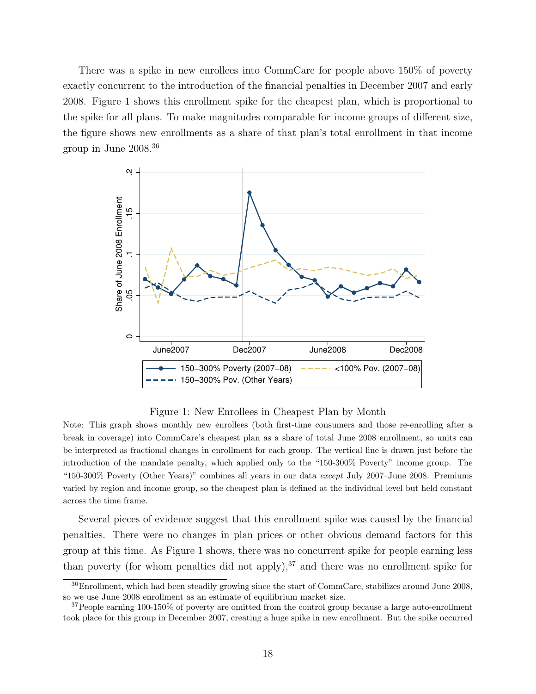There was a spike in new enrollees into CommCare for people above 150% of poverty exactly concurrent to the introduction of the financial penalties in December 2007 and early 2008. Figure [1](#page-19-0) shows this enrollment spike for the cheapest plan, which is proportional to the spike for all plans. To make magnitudes comparable for income groups of different size, the figure shows new enrollments as a share of that plan's total enrollment in that income group in June 2008.<sup>36</sup>

<span id="page-19-0"></span>

Figure 1: New Enrollees in Cheapest Plan by Month

Note: This graph shows monthly new enrollees (both first-time consumers and those re-enrolling after a break in coverage) into CommCare's cheapest plan as a share of total June 2008 enrollment, so units can be interpreted as fractional changes in enrollment for each group. The vertical line is drawn just before the introduction of the mandate penalty, which applied only to the "150-300% Poverty" income group. The "150-300% Poverty (Other Years)" combines all years in our data except July 2007–June 2008. Premiums varied by region and income group, so the cheapest plan is defined at the individual level but held constant across the time frame.

Several pieces of evidence suggest that this enrollment spike was caused by the financial penalties. There were no changes in plan prices or other obvious demand factors for this group at this time. As Figure [1](#page-19-0) shows, there was no concurrent spike for people earning less than poverty (for whom penalties did not apply), $37$  and there was no enrollment spike for

<sup>36</sup>Enrollment, which had been steadily growing since the start of CommCare, stabilizes around June 2008, so we use June 2008 enrollment as an estimate of equilibrium market size.

 $37$ People earning 100-150% of poverty are omitted from the control group because a large auto-enrollment took place for this group in December 2007, creating a huge spike in new enrollment. But the spike occurred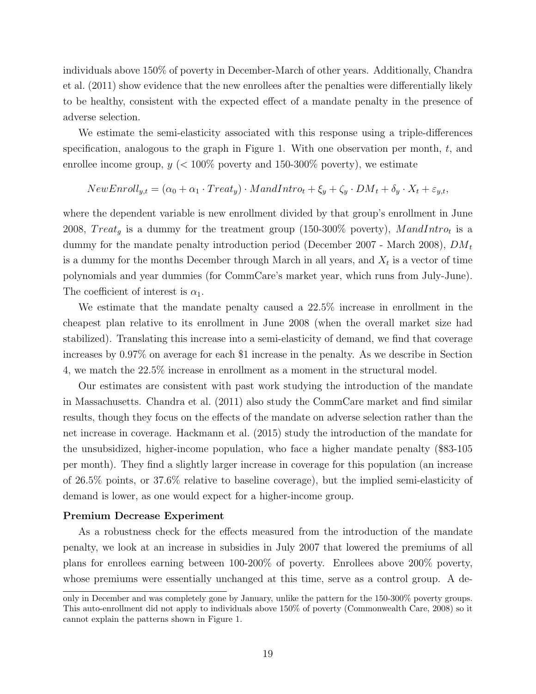individuals above 150% of poverty in December-March of other years. Additionally, [Chandra](#page-43-6) [et al.](#page-43-6) [\(2011\)](#page-43-6) show evidence that the new enrollees after the penalties were differentially likely to be healthy, consistent with the expected effect of a mandate penalty in the presence of adverse selection.

We estimate the semi-elasticity associated with this response using a triple-differences specification, analogous to the graph in Figure [1.](#page-19-0) With one observation per month,  $t$ , and enrollee income group,  $y \ll 100\%$  poverty and 150-300% poverty), we estimate

$$
NewEnroll_{y,t} = (\alpha_0 + \alpha_1 \cdot Treat_y) \cdot MandIntro_t + \xi_y + \zeta_y \cdot DM_t + \delta_y \cdot X_t + \varepsilon_{y,t},
$$

where the dependent variable is new enrollment divided by that group's enrollment in June 2008,  $Treat_g$  is a dummy for the treatment group (150-300% poverty),  $M and Intro_t$  is a dummy for the mandate penalty introduction period (December 2007 - March 2008),  $DM_t$ is a dummy for the months December through March in all years, and  $X_t$  is a vector of time polynomials and year dummies (for CommCare's market year, which runs from July-June). The coefficient of interest is  $\alpha_1$ .

We estimate that the mandate penalty caused a 22.5% increase in enrollment in the cheapest plan relative to its enrollment in June 2008 (when the overall market size had stabilized). Translating this increase into a semi-elasticity of demand, we find that coverage increases by 0.97% on average for each \$1 increase in the penalty. As we describe in Section [4,](#page-23-0) we match the 22.5% increase in enrollment as a moment in the structural model.

Our estimates are consistent with past work studying the introduction of the mandate in Massachusetts. [Chandra et al.](#page-43-6) [\(2011\)](#page-43-6) also study the CommCare market and find similar results, though they focus on the effects of the mandate on adverse selection rather than the net increase in coverage. [Hackmann et al.](#page-44-4) [\(2015\)](#page-44-4) study the introduction of the mandate for the unsubsidized, higher-income population, who face a higher mandate penalty (\$83-105 per month). They find a slightly larger increase in coverage for this population (an increase of 26.5% points, or 37.6% relative to baseline coverage), but the implied semi-elasticity of demand is lower, as one would expect for a higher-income group.

#### Premium Decrease Experiment

As a robustness check for the effects measured from the introduction of the mandate penalty, we look at an increase in subsidies in July 2007 that lowered the premiums of all plans for enrollees earning between 100-200% of poverty. Enrollees above 200% poverty, whose premiums were essentially unchanged at this time, serve as a control group. A de-

only in December and was completely gone by January, unlike the pattern for the 150-300% poverty groups. This auto-enrollment did not apply to individuals above 150% of poverty [\(Commonwealth Care, 2008\)](#page-43-14) so it cannot explain the patterns shown in Figure [1.](#page-19-0)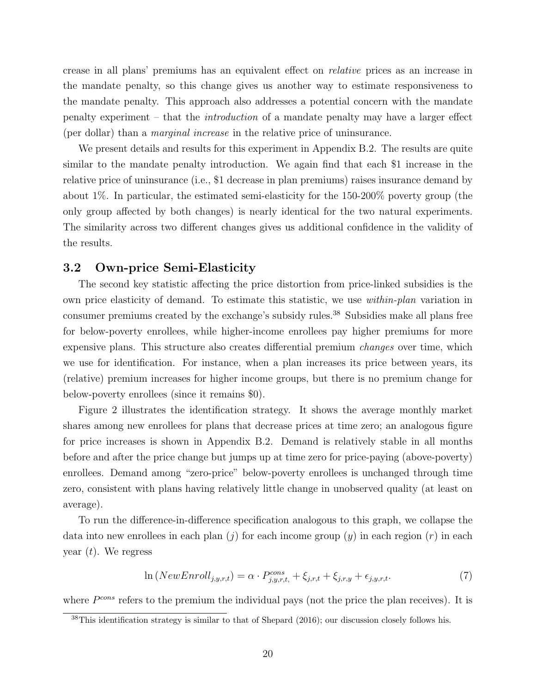crease in all plans' premiums has an equivalent effect on relative prices as an increase in the mandate penalty, so this change gives us another way to estimate responsiveness to the mandate penalty. This approach also addresses a potential concern with the mandate penalty experiment – that the introduction of a mandate penalty may have a larger effect (per dollar) than a marginal increase in the relative price of uninsurance.

We present details and results for this experiment in Appendix [B.2.](#page-51-1) The results are quite similar to the mandate penalty introduction. We again find that each \$1 increase in the relative price of uninsurance (i.e., \$1 decrease in plan premiums) raises insurance demand by about 1%. In particular, the estimated semi-elasticity for the 150-200% poverty group (the only group affected by both changes) is nearly identical for the two natural experiments. The similarity across two different changes gives us additional confidence in the validity of the results.

### <span id="page-21-0"></span>3.2 Own-price Semi-Elasticity

The second key statistic affecting the price distortion from price-linked subsidies is the own price elasticity of demand. To estimate this statistic, we use within-plan variation in consumer premiums created by the exchange's subsidy rules.<sup>38</sup> Subsidies make all plans free for below-poverty enrollees, while higher-income enrollees pay higher premiums for more expensive plans. This structure also creates differential premium changes over time, which we use for identification. For instance, when a plan increases its price between years, its (relative) premium increases for higher income groups, but there is no premium change for below-poverty enrollees (since it remains \$0).

Figure [2](#page-22-0) illustrates the identification strategy. It shows the average monthly market shares among new enrollees for plans that decrease prices at time zero; an analogous figure for price increases is shown in Appendix [B.2.](#page-51-1) Demand is relatively stable in all months before and after the price change but jumps up at time zero for price-paying (above-poverty) enrollees. Demand among "zero-price" below-poverty enrollees is unchanged through time zero, consistent with plans having relatively little change in unobserved quality (at least on average).

To run the difference-in-difference specification analogous to this graph, we collapse the data into new enrollees in each plan (*j*) for each income group (*y*) in each region (*r*) in each year  $(t)$ . We regress

<span id="page-21-1"></span>
$$
\ln(NewEnroll_{j,y,r,t}) = \alpha \cdot P_{j,y,r,t}^{cons} + \xi_{j,r,t} + \xi_{j,r,y} + \epsilon_{j,y,r,t}.
$$
\n
$$
(7)
$$

where  $P^{cons}$  refers to the premium the individual pays (not the price the plan receives). It is

 $38$ This identification strategy is similar to that of [Shepard](#page-44-8) [\(2016\)](#page-44-8); our discussion closely follows his.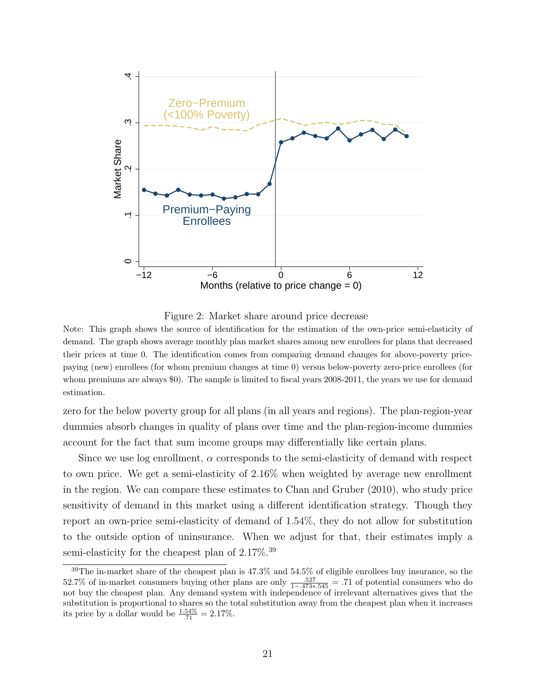<span id="page-22-0"></span>

Figure 2: Market share around price decrease

Note: This graph shows the source of identification for the estimation of the own-price semi-elasticity of demand. The graph shows average monthly plan market shares among new enrollees for plans that decreased their prices at time 0. The identification comes from comparing demand changes for above-poverty pricepaying (new) enrollees (for whom premium changes at time 0) versus below-poverty zero-price enrollees (for whom premiums are always \$0). The sample is limited to fiscal years 2008-2011, the years we use for demand estimation.

zero for the below poverty group for all plans (in all years and regions). The plan-region-year dummies absorb changes in quality of plans over time and the plan-region-income dummies account for the fact that sum income groups may differentially like certain plans.

Since we use log enrollment,  $\alpha$  corresponds to the semi-elasticity of demand with respect to own price. We get a semi-elasticity of 2.16% when weighted by average new enrollment in the region. We can compare these estimates to [Chan and Gruber](#page-43-15) [\(2010\)](#page-43-15), who study price sensitivity of demand in this market using a different identification strategy. Though they report an own-price semi-elasticity of demand of 1.54%, they do not allow for substitution to the outside option of uninsurance. When we adjust for that, their estimates imply a semi-elasticity for the cheapest plan of  $2.17\%$ .<sup>39</sup>

<span id="page-22-1"></span><sup>&</sup>lt;sup>39</sup>The in-market share of the cheapest plan is 47.3% and 54.5% of eligible enrollees buy insurance, so the 52.7% of in-market consumers buying other plans are only  $\frac{.527}{1-.473*.545} = .71$  of potential consumers who do not buy the cheapest plan. Any demand system with independence of irrelevant alternatives gives that the substitution is proportional to shares so the total substitution away from the cheapest plan when it increases its price by a dollar would be  $\frac{1.54\%}{.71} = 2.17\%$ .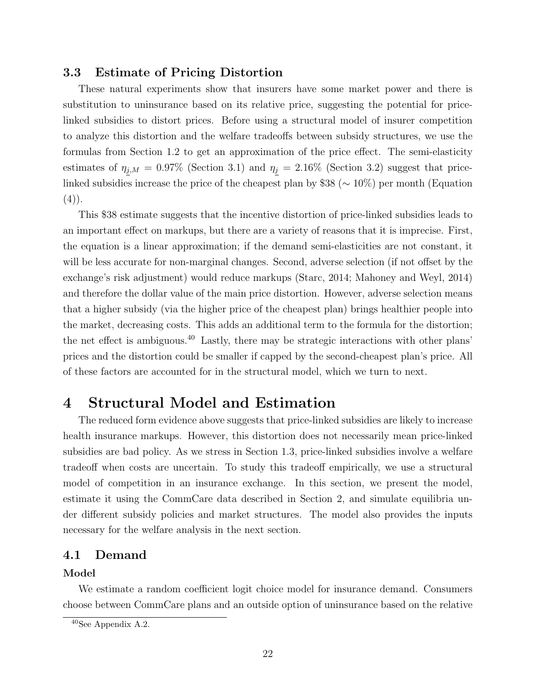# 3.3 Estimate of Pricing Distortion

These natural experiments show that insurers have some market power and there is substitution to uninsurance based on its relative price, suggesting the potential for pricelinked subsidies to distort prices. Before using a structural model of insurer competition to analyze this distortion and the welfare tradeoffs between subsidy structures, we use the formulas from Section [1.2](#page-10-0) to get an approximation of the price effect. The semi-elasticity estimates of  $\eta_{j,M} = 0.97\%$  (Section [3.1\)](#page-18-1) and  $\eta_j = 2.16\%$  (Section [3.2\)](#page-21-0) suggest that pricelinked subsidies increase the price of the cheapest plan by \$38 (∼ 10%) per month (Equation  $(4)$ .

This \$38 estimate suggests that the incentive distortion of price-linked subsidies leads to an important effect on markups, but there are a variety of reasons that it is imprecise. First, the equation is a linear approximation; if the demand semi-elasticities are not constant, it will be less accurate for non-marginal changes. Second, adverse selection (if not offset by the exchange's risk adjustment) would reduce markups [\(Starc, 2014;](#page-45-2) [Mahoney and Weyl, 2014\)](#page-44-16) and therefore the dollar value of the main price distortion. However, adverse selection means that a higher subsidy (via the higher price of the cheapest plan) brings healthier people into the market, decreasing costs. This adds an additional term to the formula for the distortion; the net effect is ambiguous.<sup>40</sup> Lastly, there may be strategic interactions with other plans' prices and the distortion could be smaller if capped by the second-cheapest plan's price. All of these factors are accounted for in the structural model, which we turn to next.

# <span id="page-23-0"></span>4 Structural Model and Estimation

The reduced form evidence above suggests that price-linked subsidies are likely to increase health insurance markups. However, this distortion does not necessarily mean price-linked subsidies are bad policy. As we stress in Section [1.3,](#page-12-0) price-linked subsidies involve a welfare tradeoff when costs are uncertain. To study this tradeoff empirically, we use a structural model of competition in an insurance exchange. In this section, we present the model, estimate it using the CommCare data described in Section [2,](#page-14-0) and simulate equilibria under different subsidy policies and market structures. The model also provides the inputs necessary for the welfare analysis in the next section.

# 4.1 Demand

#### Model

We estimate a random coefficient logit choice model for insurance demand. Consumers choose between CommCare plans and an outside option of uninsurance based on the relative

<sup>40</sup>See Appendix [A.2.](#page-47-0)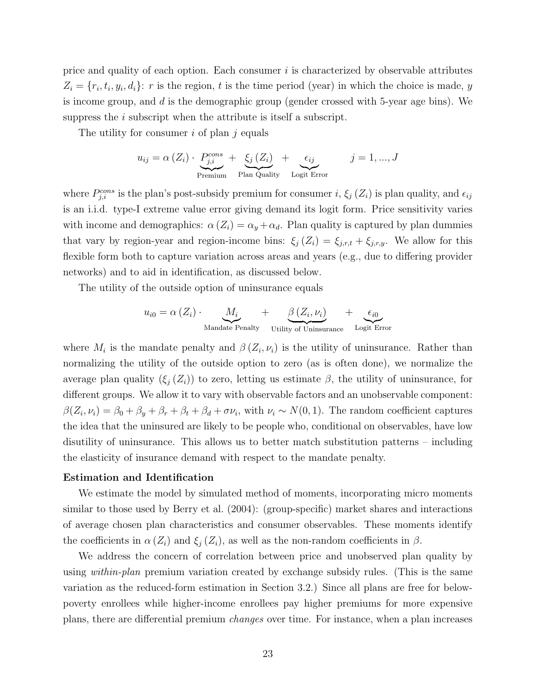price and quality of each option. Each consumer  $i$  is characterized by observable attributes  $Z_i = \{r_i, t_i, y_i, d_i\}$ : r is the region, t is the time period (year) in which the choice is made, y is income group, and d is the demographic group (gender crossed with 5-year age bins). We suppress the  $i$  subscript when the attribute is itself a subscript.

The utility for consumer i of plan j equals

$$
u_{ij} = \alpha (Z_i) \cdot \underbrace{P_{j,i}^{cons}}_{\text{Premium}} + \underbrace{\xi_j (Z_i)}_{\text{Plan Quality}} + \underbrace{\epsilon_{ij}}_{\text{Logit Error}} \qquad j = 1, ..., J
$$

where  $P_{j,i}^{cons}$  is the plan's post-subsidy premium for consumer i,  $\xi_j$  ( $Z_i$ ) is plan quality, and  $\epsilon_{ij}$ is an i.i.d. type-I extreme value error giving demand its logit form. Price sensitivity varies with income and demographics:  $\alpha(Z_i) = \alpha_y + \alpha_d$ . Plan quality is captured by plan dummies that vary by region-year and region-income bins:  $\xi_j(Z_i) = \xi_{j,r,t} + \xi_{j,r,y}$ . We allow for this flexible form both to capture variation across areas and years (e.g., due to differing provider networks) and to aid in identification, as discussed below.

The utility of the outside option of uninsurance equals

$$
u_{i0} = \alpha (Z_i) \cdot \underbrace{M_i}_{\text{Mandate Penalty}} + \underbrace{\beta (Z_i, \nu_i)}_{\text{Utility of Uniisurance}} + \underbrace{\epsilon_{i0}}_{\text{Logit Error}}
$$

where  $M_i$  is the mandate penalty and  $\beta(Z_i, \nu_i)$  is the utility of uninsurance. Rather than normalizing the utility of the outside option to zero (as is often done), we normalize the average plan quality  $(\xi_i(Z_i))$  to zero, letting us estimate  $\beta$ , the utility of uninsurance, for different groups. We allow it to vary with observable factors and an unobservable component:  $\beta(Z_i,\nu_i) = \beta_0 + \beta_y + \beta_r + \beta_t + \beta_d + \sigma \nu_i$ , with  $\nu_i \sim N(0,1)$ . The random coefficient captures the idea that the uninsured are likely to be people who, conditional on observables, have low disutility of uninsurance. This allows us to better match substitution patterns – including the elasticity of insurance demand with respect to the mandate penalty.

#### Estimation and Identification

We estimate the model by simulated method of moments, incorporating micro moments similar to those used by [Berry et al.](#page-43-16) [\(2004\)](#page-43-16): (group-specific) market shares and interactions of average chosen plan characteristics and consumer observables. These moments identify the coefficients in  $\alpha(Z_i)$  and  $\xi_i(Z_i)$ , as well as the non-random coefficients in  $\beta$ .

We address the concern of correlation between price and unobserved plan quality by using *within-plan* premium variation created by exchange subsidy rules. (This is the same variation as the reduced-form estimation in Section [3.2.](#page-21-0)) Since all plans are free for belowpoverty enrollees while higher-income enrollees pay higher premiums for more expensive plans, there are differential premium changes over time. For instance, when a plan increases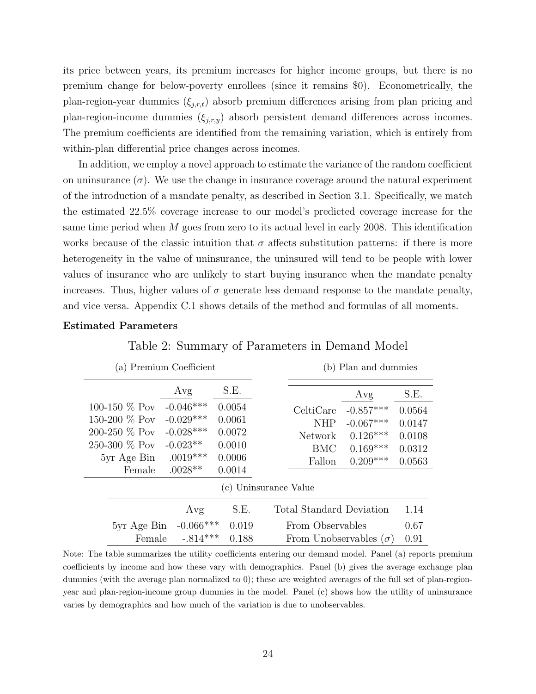its price between years, its premium increases for higher income groups, but there is no premium change for below-poverty enrollees (since it remains \$0). Econometrically, the plan-region-year dummies  $(\xi_{i,r,t})$  absorb premium differences arising from plan pricing and plan-region-income dummies  $(\xi_{j,r,y})$  absorb persistent demand differences across incomes. The premium coefficients are identified from the remaining variation, which is entirely from within-plan differential price changes across incomes.

In addition, we employ a novel approach to estimate the variance of the random coefficient on uninsurance  $(\sigma)$ . We use the change in insurance coverage around the natural experiment of the introduction of a mandate penalty, as described in Section [3.1.](#page-18-1) Specifically, we match the estimated 22.5% coverage increase to our model's predicted coverage increase for the same time period when  $M$  goes from zero to its actual level in early 2008. This identification works because of the classic intuition that  $\sigma$  affects substitution patterns: if there is more heterogeneity in the value of uninsurance, the uninsured will tend to be people with lower values of insurance who are unlikely to start buying insurance when the mandate penalty increases. Thus, higher values of  $\sigma$  generate less demand response to the mandate penalty, and vice versa. Appendix [C.1](#page-58-0) shows details of the method and formulas of all moments.

#### <span id="page-25-0"></span>Estimated Parameters

|                  | (a) Premium Coefficient |        |                                 | (b) Plan and dummies |        |
|------------------|-------------------------|--------|---------------------------------|----------------------|--------|
|                  | Avg                     | S.E.   |                                 | Avg                  | S.E.   |
| 100-150 $\%$ Pov | $-0.046***$             | 0.0054 | CeltiCare                       | $-0.857***$          | 0.0564 |
| 150-200 $\%$ Pov | $-0.029***$             | 0.0061 | <b>NHP</b>                      | $-0.067***$          | 0.0147 |
| 200-250 % Pov    | $-0.028***$             | 0.0072 | Network                         | $0.126***$           | 0.0108 |
| 250-300 % Pov    | $-0.023**$              | 0.0010 | <b>BMC</b>                      | $0.169***$           | 0.0312 |
| 5yr Age Bin      | $.0019***$              | 0.0006 | Fallon                          | $0.209***$           | 0.0563 |
| Female           | $.0028**$               | 0.0014 |                                 |                      |        |
|                  |                         |        | (c) Uninsurance Value           |                      |        |
|                  | Avg                     | S.E.   | <b>Total Standard Deviation</b> |                      | 1.14   |
| 5yr Age Bin      | $-0.066***$             | 0.019  | From Observables                |                      | 0.67   |
| Female           | $-.814***$              | 0.188  | From Unobservables $(\sigma)$   |                      | 0.91   |

Table 2: Summary of Parameters in Demand Model

Note: The table summarizes the utility coefficients entering our demand model. Panel (a) reports premium coefficients by income and how these vary with demographics. Panel (b) gives the average exchange plan dummies (with the average plan normalized to 0); these are weighted averages of the full set of plan-regionyear and plan-region-income group dummies in the model. Panel (c) shows how the utility of uninsurance varies by demographics and how much of the variation is due to unobservables.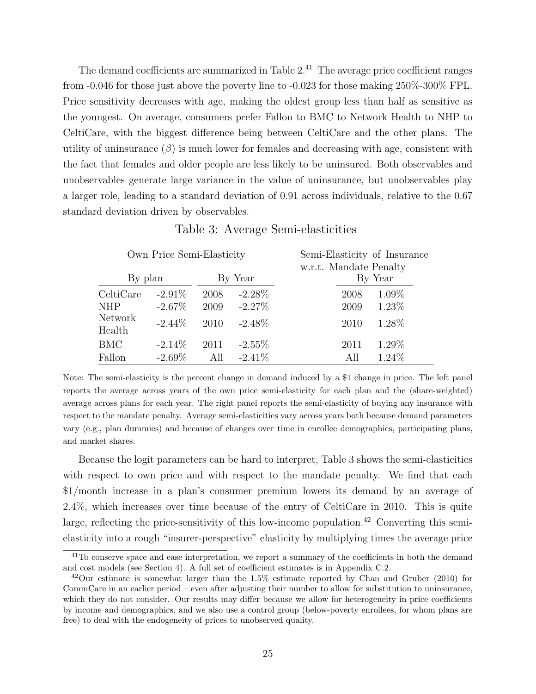The demand coefficients are summarized in Table  $2<sup>41</sup>$ . The average price coefficient ranges from -0.046 for those just above the poverty line to -0.023 for those making 250%-300% FPL. Price sensitivity decreases with age, making the oldest group less than half as sensitive as the youngest. On average, consumers prefer Fallon to BMC to Network Health to NHP to CeltiCare, with the biggest difference being between CeltiCare and the other plans. The utility of uninsurance  $(\beta)$  is much lower for females and decreasing with age, consistent with the fact that females and older people are less likely to be uninsured. Both observables and unobservables generate large variance in the value of uninsurance, but unobservables play a larger role, leading to a standard deviation of 0.91 across individuals, relative to the 0.67 standard deviation driven by observables.

<span id="page-26-0"></span>

|                                              | Own Price Semi-Elasticity           |                      |                                     |                        |                      | Semi-Elasticity of Insurance |
|----------------------------------------------|-------------------------------------|----------------------|-------------------------------------|------------------------|----------------------|------------------------------|
| By plan                                      |                                     |                      | By Year                             | w.r.t. Mandate Penalty |                      | By Year                      |
| CeltiCare<br><b>NHP</b><br>Network<br>Health | $-2.91\%$<br>$-2.67\%$<br>$-2.44\%$ | 2008<br>2009<br>2010 | $-2.28\%$<br>$-2.27\%$<br>$-2.48\%$ |                        | 2008<br>2009<br>2010 | 1.09%<br>1.23%<br>1.28%      |
| <b>BMC</b>                                   | $-2.14\%$                           | 2011                 | $-2.55\%$                           |                        | 2011                 | 1.29%                        |
| Fallon                                       | $-2.69\%$                           | All                  | $-2.41\%$                           |                        | All                  | 1.24\%                       |

Table 3: Average Semi-elasticities

Note: The semi-elasticity is the percent change in demand induced by a \$1 change in price. The left panel reports the average across years of the own price semi-elasticity for each plan and the (share-weighted) average across plans for each year. The right panel reports the semi-elasticity of buying any insurance with respect to the mandate penalty. Average semi-elasticities vary across years both because demand parameters vary (e.g., plan dummies) and because of changes over time in enrollee demographics, participating plans, and market shares.

Because the logit parameters can be hard to interpret, Table [3](#page-26-0) shows the semi-elasticities with respect to own price and with respect to the mandate penalty. We find that each \$1/month increase in a plan's consumer premium lowers its demand by an average of 2.4%, which increases over time because of the entry of CeltiCare in 2010. This is quite large, reflecting the price-sensitivity of this low-income population.<sup>42</sup> Converting this semielasticity into a rough "insurer-perspective" elasticity by multiplying times the average price

<sup>&</sup>lt;sup>41</sup>To conserve space and ease interpretation, we report a summary of the coefficients in both the demand and cost models (see Section [4\)](#page-23-0). A full set of coefficient estimates is in Appendix [C.2.](#page-59-0)

 $^{42}$ Our estimate is somewhat larger than the 1.5% estimate reported by [Chan and Gruber](#page-43-15) [\(2010\)](#page-43-15) for CommCare in an earlier period – even after adjusting their number to allow for substitution to uninsurance, which they do not consider. Our results may differ because we allow for heterogeneity in price coefficients by income and demographics, and we also use a control group (below-poverty enrollees, for whom plans are free) to deal with the endogeneity of prices to unobserved quality.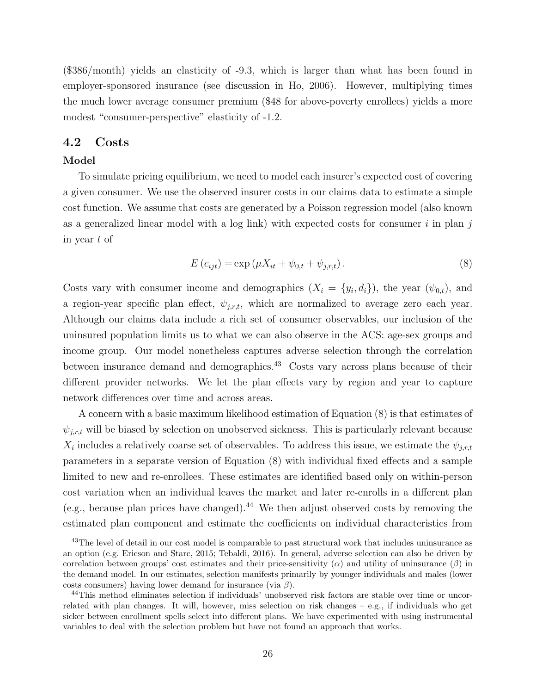(\$386/month) yields an elasticity of -9.3, which is larger than what has been found in employer-sponsored insurance (see discussion in [Ho, 2006\)](#page-44-17). However, multiplying times the much lower average consumer premium (\$48 for above-poverty enrollees) yields a more modest "consumer-perspective" elasticity of -1.2.

### <span id="page-27-0"></span>4.2 Costs

### Model

To simulate pricing equilibrium, we need to model each insurer's expected cost of covering a given consumer. We use the observed insurer costs in our claims data to estimate a simple cost function. We assume that costs are generated by a Poisson regression model (also known as a generalized linear model with a log link) with expected costs for consumer  $i$  in plan j in year t of

<span id="page-27-1"></span>
$$
E(c_{ijt}) = \exp(\mu X_{it} + \psi_{0,t} + \psi_{j,r,t}).
$$
\n(8)

Costs vary with consumer income and demographics  $(X_i = \{y_i, d_i\})$ , the year  $(\psi_{0,t})$ , and a region-year specific plan effect,  $\psi_{j,r,t}$ , which are normalized to average zero each year. Although our claims data include a rich set of consumer observables, our inclusion of the uninsured population limits us to what we can also observe in the ACS: age-sex groups and income group. Our model nonetheless captures adverse selection through the correlation between insurance demand and demographics.<sup>43</sup> Costs vary across plans because of their different provider networks. We let the plan effects vary by region and year to capture network differences over time and across areas.

A concern with a basic maximum likelihood estimation of Equation [\(8\)](#page-27-1) is that estimates of  $\psi_{j,r,t}$  will be biased by selection on unobserved sickness. This is particularly relevant because  $X_i$  includes a relatively coarse set of observables. To address this issue, we estimate the  $\psi_{j,r,t}$ parameters in a separate version of Equation [\(8\)](#page-27-1) with individual fixed effects and a sample limited to new and re-enrollees. These estimates are identified based only on within-person cost variation when an individual leaves the market and later re-enrolls in a different plan (e.g., because plan prices have changed).<sup>44</sup> We then adjust observed costs by removing the estimated plan component and estimate the coefficients on individual characteristics from

<sup>&</sup>lt;sup>43</sup>The level of detail in our cost model is comparable to past structural work that includes uninsurance as an option (e.g. [Ericson and Starc, 2015;](#page-44-6) [Tebaldi, 2016\)](#page-45-0). In general, adverse selection can also be driven by correlation between groups' cost estimates and their price-sensitivity  $(\alpha)$  and utility of uninsurance  $(\beta)$  in the demand model. In our estimates, selection manifests primarily by younger individuals and males (lower costs consumers) having lower demand for insurance (via  $\beta$ ).

<sup>44</sup>This method eliminates selection if individuals' unobserved risk factors are stable over time or uncorrelated with plan changes. It will, however, miss selection on risk changes – e.g., if individuals who get sicker between enrollment spells select into different plans. We have experimented with using instrumental variables to deal with the selection problem but have not found an approach that works.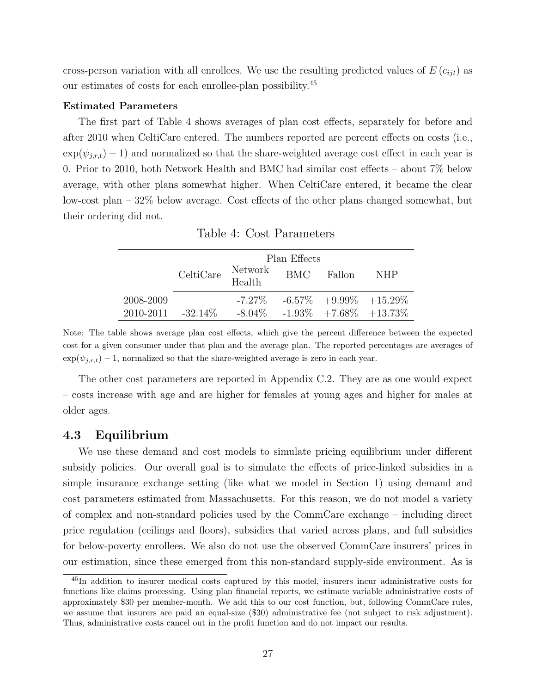cross-person variation with all enrollees. We use the resulting predicted values of  $E(c_{ijt})$  as our estimates of costs for each enrollee-plan possibility.<sup>45</sup>

#### Estimated Parameters

The first part of Table [4](#page-28-0) shows averages of plan cost effects, separately for before and after 2010 when CeltiCare entered. The numbers reported are percent effects on costs (i.e.,  $\exp(\psi_{j,r,t})$  – 1) and normalized so that the share-weighted average cost effect in each year is 0. Prior to 2010, both Network Health and BMC had similar cost effects – about 7% below average, with other plans somewhat higher. When CeltiCare entered, it became the clear low-cost plan – 32% below average. Cost effects of the other plans changed somewhat, but their ordering did not.

<span id="page-28-0"></span>

|                         |                                                                                      | Plan Effects |            |                                          |
|-------------------------|--------------------------------------------------------------------------------------|--------------|------------|------------------------------------------|
|                         | $\begin{array}{ll}\n\text{CeltiCare} & \text{Network} \\ \text{Health}\n\end{array}$ |              | BMC Fallon | NHP.                                     |
| 2008-2009               |                                                                                      |              |            | $-7.27\%$ $-6.57\%$ $+9.99\%$ $+15.29\%$ |
| $2010 - 2011 - 32.14\%$ |                                                                                      |              |            | $-8.04\%$ $-1.93\%$ $+7.68\%$ $+13.73\%$ |

Table 4: Cost Parameters

Note: The table shows average plan cost effects, which give the percent difference between the expected cost for a given consumer under that plan and the average plan. The reported percentages are averages of  $\exp(\psi_{i,r,t}) - 1$ , normalized so that the share-weighted average is zero in each year.

The other cost parameters are reported in Appendix [C.2.](#page-60-0) They are as one would expect – costs increase with age and are higher for females at young ages and higher for males at older ages.

# 4.3 Equilibrium

We use these demand and cost models to simulate pricing equilibrium under different subsidy policies. Our overall goal is to simulate the effects of price-linked subsidies in a simple insurance exchange setting (like what we model in Section [1\)](#page-7-0) using demand and cost parameters estimated from Massachusetts. For this reason, we do not model a variety of complex and non-standard policies used by the CommCare exchange – including direct price regulation (ceilings and floors), subsidies that varied across plans, and full subsidies for below-poverty enrollees. We also do not use the observed CommCare insurers' prices in our estimation, since these emerged from this non-standard supply-side environment. As is

<sup>45</sup>In addition to insurer medical costs captured by this model, insurers incur administrative costs for functions like claims processing. Using plan financial reports, we estimate variable administrative costs of approximately \$30 per member-month. We add this to our cost function, but, following CommCare rules, we assume that insurers are paid an equal-size (\$30) administrative fee (not subject to risk adjustment). Thus, administrative costs cancel out in the profit function and do not impact our results.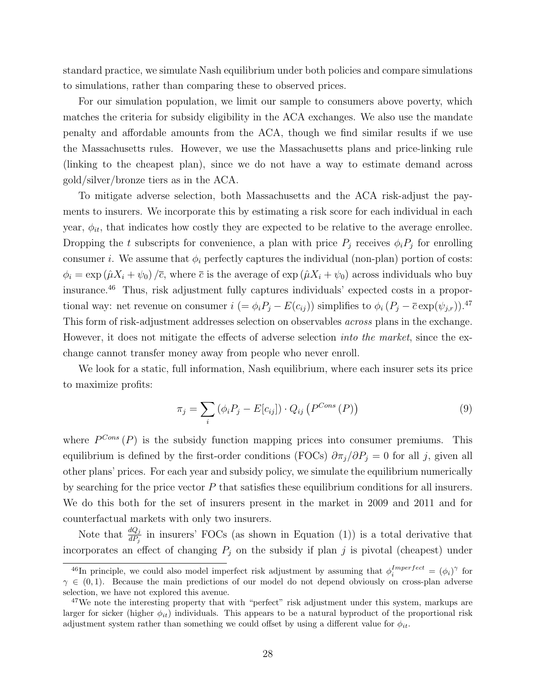standard practice, we simulate Nash equilibrium under both policies and compare simulations to simulations, rather than comparing these to observed prices.

For our simulation population, we limit our sample to consumers above poverty, which matches the criteria for subsidy eligibility in the ACA exchanges. We also use the mandate penalty and affordable amounts from the ACA, though we find similar results if we use the Massachusetts rules. However, we use the Massachusetts plans and price-linking rule (linking to the cheapest plan), since we do not have a way to estimate demand across gold/silver/bronze tiers as in the ACA.

To mitigate adverse selection, both Massachusetts and the ACA risk-adjust the payments to insurers. We incorporate this by estimating a risk score for each individual in each year,  $\phi_{it}$ , that indicates how costly they are expected to be relative to the average enrollee. Dropping the t subscripts for convenience, a plan with price  $P_j$  receives  $\phi_i P_j$  for enrolling consumer *i*. We assume that  $\phi_i$  perfectly captures the individual (non-plan) portion of costs:  $\phi_i = \exp(\hat{\mu}X_i + \psi_0)/\overline{c}$ , where  $\overline{c}$  is the average of  $\exp(\hat{\mu}X_i + \psi_0)$  across individuals who buy insurance.<sup>46</sup> Thus, risk adjustment fully captures individuals' expected costs in a proportional way: net revenue on consumer  $i = \phi_i P_j - E(c_{ij})$  simplifies to  $\phi_i (P_j - \overline{c} \exp(\psi_{j,r}))$ .<sup>47</sup> This form of risk-adjustment addresses selection on observables across plans in the exchange. However, it does not mitigate the effects of adverse selection *into the market*, since the exchange cannot transfer money away from people who never enroll.

We look for a static, full information, Nash equilibrium, where each insurer sets its price to maximize profits:

$$
\pi_j = \sum_i \left( \phi_i P_j - E[c_{ij}] \right) \cdot Q_{ij} \left( P^{Cons} \left( P \right) \right) \tag{9}
$$

where  $P^{Cons}(P)$  is the subsidy function mapping prices into consumer premiums. This equilibrium is defined by the first-order conditions (FOCs)  $\partial \pi_j/\partial P_j = 0$  for all j, given all other plans' prices. For each year and subsidy policy, we simulate the equilibrium numerically by searching for the price vector  $P$  that satisfies these equilibrium conditions for all insurers. We do this both for the set of insurers present in the market in 2009 and 2011 and for counterfactual markets with only two insurers.

Note that  $\frac{dQ_j}{dP_j}$  in insurers' FOCs (as shown in Equation [\(1\)](#page-8-1)) is a total derivative that incorporates an effect of changing  $P_j$  on the subsidy if plan j is pivotal (cheapest) under

<sup>&</sup>lt;sup>46</sup>In principle, we could also model imperfect risk adjustment by assuming that  $\phi_i^{Imperfect} = (\phi_i)^{\gamma}$  for  $\gamma \in (0,1)$ . Because the main predictions of our model do not depend obviously on cross-plan adverse selection, we have not explored this avenue.

<sup>&</sup>lt;sup>47</sup>We note the interesting property that with "perfect" risk adjustment under this system, markups are larger for sicker (higher  $\phi_{it}$ ) individuals. This appears to be a natural byproduct of the proportional risk adjustment system rather than something we could offset by using a different value for  $\phi_{it}$ .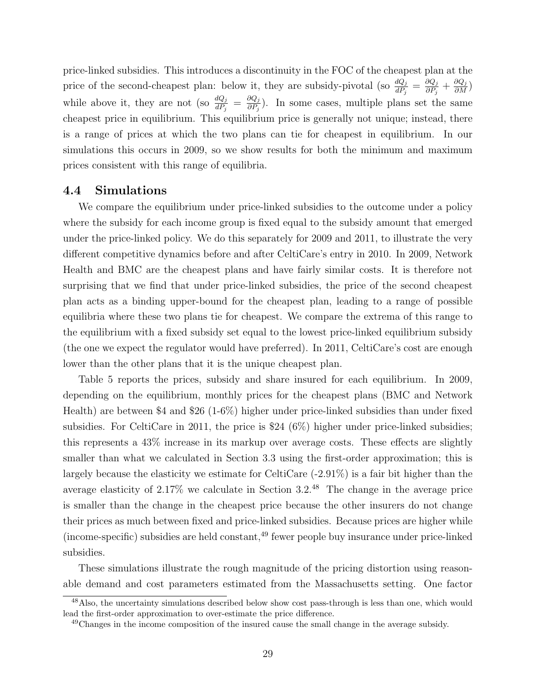price-linked subsidies. This introduces a discontinuity in the FOC of the cheapest plan at the price of the second-cheapest plan: below it, they are subsidy-pivotal (so  $\frac{dQ_j}{dP_j} = \frac{\partial Q_j}{\partial P_j}$  $\frac{\partial Q_j}{\partial P_j}+\frac{\partial Q_j}{\partial M})$ while above it, they are not (so  $\frac{dQ_j}{dP_j} = \frac{\partial Q_j}{\partial P_j}$  $\frac{\partial Q_j}{\partial P_j}$ ). In some cases, multiple plans set the same cheapest price in equilibrium. This equilibrium price is generally not unique; instead, there is a range of prices at which the two plans can tie for cheapest in equilibrium. In our simulations this occurs in 2009, so we show results for both the minimum and maximum prices consistent with this range of equilibria.

### 4.4 Simulations

We compare the equilibrium under price-linked subsidies to the outcome under a policy where the subsidy for each income group is fixed equal to the subsidy amount that emerged under the price-linked policy. We do this separately for 2009 and 2011, to illustrate the very different competitive dynamics before and after CeltiCare's entry in 2010. In 2009, Network Health and BMC are the cheapest plans and have fairly similar costs. It is therefore not surprising that we find that under price-linked subsidies, the price of the second cheapest plan acts as a binding upper-bound for the cheapest plan, leading to a range of possible equilibria where these two plans tie for cheapest. We compare the extrema of this range to the equilibrium with a fixed subsidy set equal to the lowest price-linked equilibrium subsidy (the one we expect the regulator would have preferred). In 2011, CeltiCare's cost are enough lower than the other plans that it is the unique cheapest plan.

Table [5](#page-31-0) reports the prices, subsidy and share insured for each equilibrium. In 2009, depending on the equilibrium, monthly prices for the cheapest plans (BMC and Network Health) are between \$4 and \$26 (1-6%) higher under price-linked subsidies than under fixed subsidies. For CeltiCare in 2011, the price is \$24 (6%) higher under price-linked subsidies; this represents a 43% increase in its markup over average costs. These effects are slightly smaller than what we calculated in Section [3.3](#page-22-1) using the first-order approximation; this is largely because the elasticity we estimate for CeltiCare (-2.91%) is a fair bit higher than the average elasticity of 2.17% we calculate in Section [3.2.](#page-21-0)<sup>48</sup> The change in the average price is smaller than the change in the cheapest price because the other insurers do not change their prices as much between fixed and price-linked subsidies. Because prices are higher while  $(income-specific)$  subsidies are held constant,<sup>49</sup> fewer people buy insurance under price-linked subsidies.

These simulations illustrate the rough magnitude of the pricing distortion using reasonable demand and cost parameters estimated from the Massachusetts setting. One factor

<sup>48</sup>Also, the uncertainty simulations described below show cost pass-through is less than one, which would lead the first-order approximation to over-estimate the price difference.

<sup>&</sup>lt;sup>49</sup>Changes in the income composition of the insured cause the small change in the average subsidy.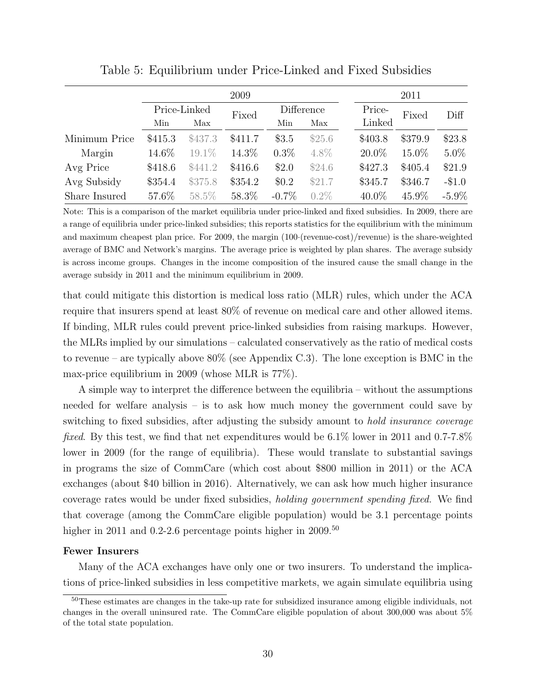<span id="page-31-0"></span>

|               |         |              | 2009    |          |            |          | 2011    |          |
|---------------|---------|--------------|---------|----------|------------|----------|---------|----------|
|               |         | Price-Linked | Fixed   |          | Difference | Price-   | Fixed   | Diff     |
|               | Min     | Max          |         | Min      | Max        | Linked   |         |          |
| Minimum Price | \$415.3 | \$437.3      | \$411.7 | \$3.5    | \$25.6     | \$403.8  | \$379.9 | \$23.8   |
| Margin        | 14.6\%  | 19.1%        | 14.3%   | $0.3\%$  | 4.8%       | $20.0\%$ | 15.0%   | $5.0\%$  |
| Avg Price     | \$418.6 | \$441.2      | \$416.6 | \$2.0    | \$24.6     | \$427.3  | \$405.4 | \$21.9   |
| Avg Subsidy   | \$354.4 | \$375.8      | \$354.2 | \$0.2\$  | \$21.7     | \$345.7  | \$346.7 | $-\$1.0$ |
| Share Insured | 57.6%   | 58.5%        | 58.3%   | $-0.7\%$ | $0.2\%$    | $40.0\%$ | 45.9%   | $-5.9\%$ |

Table 5: Equilibrium under Price-Linked and Fixed Subsidies

Note: This is a comparison of the market equilibria under price-linked and fixed subsidies. In 2009, there are a range of equilibria under price-linked subsidies; this reports statistics for the equilibrium with the minimum and maximum cheapest plan price. For 2009, the margin (100·(revenue-cost)/revenue) is the share-weighted average of BMC and Network's margins. The average price is weighted by plan shares. The average subsidy is across income groups. Changes in the income composition of the insured cause the small change in the average subsidy in 2011 and the minimum equilibrium in 2009.

that could mitigate this distortion is medical loss ratio (MLR) rules, which under the ACA require that insurers spend at least 80% of revenue on medical care and other allowed items. If binding, MLR rules could prevent price-linked subsidies from raising markups. However, the MLRs implied by our simulations – calculated conservatively as the ratio of medical costs to revenue – are typically above 80% (see Appendix [C.3\)](#page-59-1). The lone exception is BMC in the max-price equilibrium in 2009 (whose MLR is 77%).

A simple way to interpret the difference between the equilibria – without the assumptions needed for welfare analysis – is to ask how much money the government could save by switching to fixed subsidies, after adjusting the subsidy amount to hold insurance coverage fixed. By this test, we find that net expenditures would be 6.1% lower in 2011 and 0.7-7.8% lower in 2009 (for the range of equilibria). These would translate to substantial savings in programs the size of CommCare (which cost about \$800 million in 2011) or the ACA exchanges (about \$40 billion in 2016). Alternatively, we can ask how much higher insurance coverage rates would be under fixed subsidies, holding government spending fixed. We find that coverage (among the CommCare eligible population) would be 3.1 percentage points higher in 2011 and 0.2-2.6 percentage points higher in 2009.<sup>50</sup>

#### Fewer Insurers

Many of the ACA exchanges have only one or two insurers. To understand the implications of price-linked subsidies in less competitive markets, we again simulate equilibria using

<sup>50</sup>These estimates are changes in the take-up rate for subsidized insurance among eligible individuals, not changes in the overall uninsured rate. The CommCare eligible population of about 300,000 was about 5% of the total state population.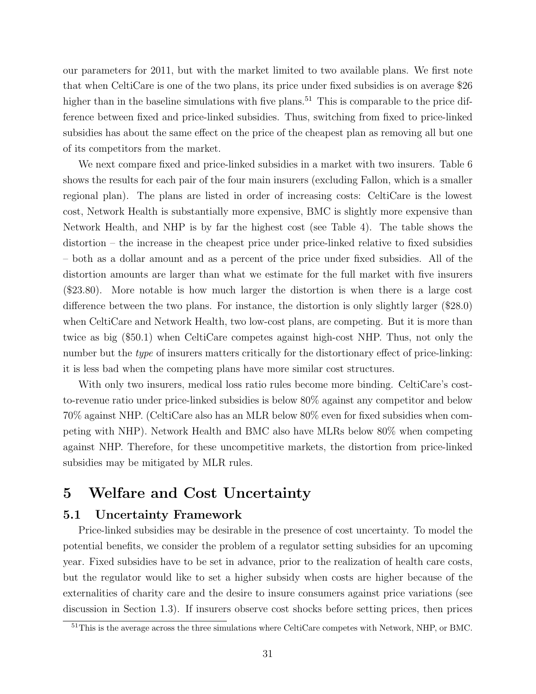our parameters for 2011, but with the market limited to two available plans. We first note that when CeltiCare is one of the two plans, its price under fixed subsidies is on average \$26 higher than in the baseline simulations with five plans.<sup>51</sup> This is comparable to the price difference between fixed and price-linked subsidies. Thus, switching from fixed to price-linked subsidies has about the same effect on the price of the cheapest plan as removing all but one of its competitors from the market.

We next compare fixed and price-linked subsidies in a market with two insurers. Table [6](#page-33-0) shows the results for each pair of the four main insurers (excluding Fallon, which is a smaller regional plan). The plans are listed in order of increasing costs: CeltiCare is the lowest cost, Network Health is substantially more expensive, BMC is slightly more expensive than Network Health, and NHP is by far the highest cost (see Table [4\)](#page-28-0). The table shows the distortion – the increase in the cheapest price under price-linked relative to fixed subsidies – both as a dollar amount and as a percent of the price under fixed subsidies. All of the distortion amounts are larger than what we estimate for the full market with five insurers (\$23.80). More notable is how much larger the distortion is when there is a large cost difference between the two plans. For instance, the distortion is only slightly larger (\$28.0) when CeltiCare and Network Health, two low-cost plans, are competing. But it is more than twice as big (\$50.1) when CeltiCare competes against high-cost NHP. Thus, not only the number but the *type* of insurers matters critically for the distortionary effect of price-linking: it is less bad when the competing plans have more similar cost structures.

With only two insurers, medical loss ratio rules become more binding. CeltiCare's costto-revenue ratio under price-linked subsidies is below 80% against any competitor and below 70% against NHP. (CeltiCare also has an MLR below 80% even for fixed subsidies when competing with NHP). Network Health and BMC also have MLRs below 80% when competing against NHP. Therefore, for these uncompetitive markets, the distortion from price-linked subsidies may be mitigated by MLR rules.

# <span id="page-32-0"></span>5 Welfare and Cost Uncertainty

# 5.1 Uncertainty Framework

Price-linked subsidies may be desirable in the presence of cost uncertainty. To model the potential benefits, we consider the problem of a regulator setting subsidies for an upcoming year. Fixed subsidies have to be set in advance, prior to the realization of health care costs, but the regulator would like to set a higher subsidy when costs are higher because of the externalities of charity care and the desire to insure consumers against price variations (see discussion in Section [1.3\)](#page-12-0). If insurers observe cost shocks before setting prices, then prices

<sup>&</sup>lt;sup>51</sup>This is the average across the three simulations where CeltiCare competes with Network, NHP, or BMC.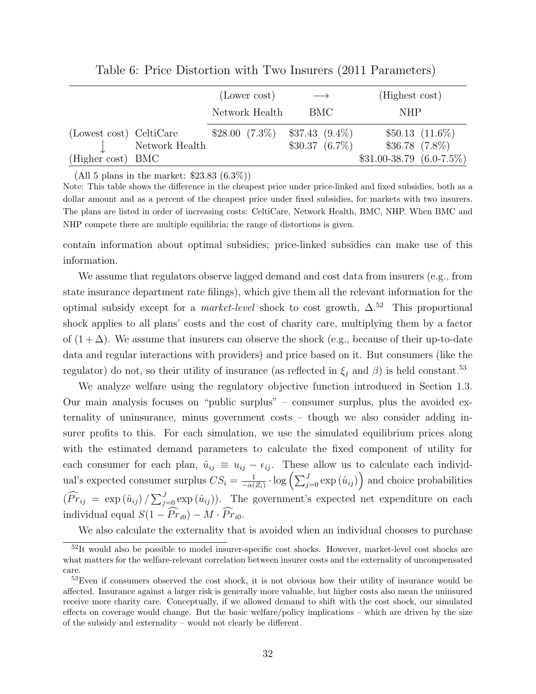<span id="page-33-0"></span>

|                         |                |                 | (Lower cost)   |                    | $\longrightarrow$  | (Highest cost)               |                     |
|-------------------------|----------------|-----------------|----------------|--------------------|--------------------|------------------------------|---------------------|
|                         |                |                 | Network Health |                    | BMC.               | <b>NHP</b>                   |                     |
| (Lowest cost) CeltiCare | Network Health | $$28.00(7.3\%)$ |                | $$37.43 \ (9.4\%)$ | $$30.37 \ (6.7\%)$ | $$36.78$ $(7.8\%)$           | $$50.13$ $(11.6\%)$ |
| (Higher cost) BMC       |                |                 |                |                    |                    | $$31.00-38.79 \ (6.0-7.5\%)$ |                     |

Table 6: Price Distortion with Two Insurers (2011 Parameters)

(All 5 plans in the market:  $$23.83~(6.3\%)$ )

Note: This table shows the difference in the cheapest price under price-linked and fixed subsidies, both as a dollar amount and as a percent of the cheapest price under fixed subsidies, for markets with two insurers. The plans are listed in order of increasing costs: CeltiCare, Network Health, BMC, NHP. When BMC and NHP compete there are multiple equilibria; the range of distortions is given.

contain information about optimal subsidies; price-linked subsidies can make use of this information.

We assume that regulators observe lagged demand and cost data from insurers (e.g., from state insurance department rate filings), which give them all the relevant information for the optimal subsidy except for a *market-level* shock to cost growth,  $\Delta$ <sup>52</sup> This proportional shock applies to all plans' costs and the cost of charity care, multiplying them by a factor of  $(1 + \Delta)$ . We assume that insurers can observe the shock (e.g., because of their up-to-date data and regular interactions with providers) and price based on it. But consumers (like the regulator) do not, so their utility of insurance (as reflected in  $\xi_j$  and  $\beta$ ) is held constant.<sup>53</sup>

We analyze welfare using the regulatory objective function introduced in Section [1.3.](#page-12-0) Our main analysis focuses on "public surplus" – consumer surplus, plus the avoided externality of uninsurance, minus government costs – though we also consider adding insurer profits to this. For each simulation, we use the simulated equilibrium prices along with the estimated demand parameters to calculate the fixed component of utility for each consumer for each plan,  $\hat{u}_{ij} \equiv u_{ij} - \epsilon_{ij}$ . These allow us to calculate each individual's expected consumer surplus  $CS_i = \frac{1}{-\alpha}$  $\frac{1}{-\alpha(Z_i)} \cdot \log \left( \sum_{j=0}^J \exp \left( \hat{u}_{ij} \right) \right)$  and choice probabilities  $(\widehat{Pr}_{ij} = \exp(\hat{u}_{ij}) / \sum_{j=0}^{J} \exp(\hat{u}_{ij})$ . The government's expected net expenditure on each individual equal  $S(1 - \widehat{Pr}_{i0}) - M \cdot \widehat{Pr}_{i0}$ .

We also calculate the externality that is avoided when an individual chooses to purchase

<sup>&</sup>lt;sup>52</sup>It would also be possible to model insurer-specific cost shocks. However, market-level cost shocks are what matters for the welfare-relevant correlation between insurer costs and the externality of uncompensated care.

<sup>&</sup>lt;sup>53</sup>Even if consumers observed the cost shock, it is not obvious how their utility of insurance would be affected. Insurance against a larger risk is generally more valuable, but higher costs also mean the uninsured receive more charity care. Conceptually, if we allowed demand to shift with the cost shock, our simulated effects on coverage would change. But the basic welfare/policy implications – which are driven by the size of the subsidy and externality – would not clearly be different.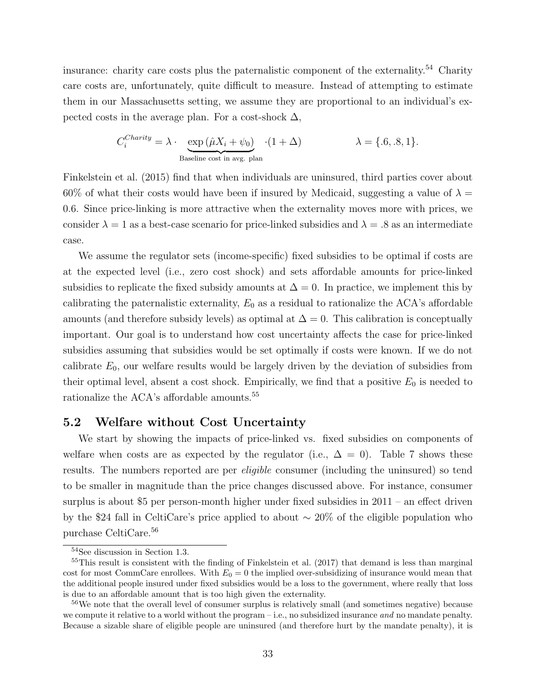insurance: charity care costs plus the paternalistic component of the externality.<sup>54</sup> Charity care costs are, unfortunately, quite difficult to measure. Instead of attempting to estimate them in our Massachusetts setting, we assume they are proportional to an individual's expected costs in the average plan. For a cost-shock  $\Delta$ ,

$$
C_i^{Charity} = \lambda \cdot \underbrace{\exp (\hat{\mu}X_i + \psi_0)}_{\text{Baseline cost in avg. plan}} \cdot (1 + \Delta) \qquad \lambda = \{.6, .8, 1\}.
$$

[Finkelstein et al.](#page-44-2) [\(2015\)](#page-44-2) find that when individuals are uninsured, third parties cover about 60% of what their costs would have been if insured by Medicaid, suggesting a value of  $\lambda =$ 0.6. Since price-linking is more attractive when the externality moves more with prices, we consider  $\lambda = 1$  as a best-case scenario for price-linked subsidies and  $\lambda = .8$  as an intermediate case.

We assume the regulator sets (income-specific) fixed subsidies to be optimal if costs are at the expected level (i.e., zero cost shock) and sets affordable amounts for price-linked subsidies to replicate the fixed subsidy amounts at  $\Delta = 0$ . In practice, we implement this by calibrating the paternalistic externality,  $E_0$  as a residual to rationalize the ACA's affordable amounts (and therefore subsidy levels) as optimal at  $\Delta = 0$ . This calibration is conceptually important. Our goal is to understand how cost uncertainty affects the case for price-linked subsidies assuming that subsidies would be set optimally if costs were known. If we do not calibrate  $E_0$ , our welfare results would be largely driven by the deviation of subsidies from their optimal level, absent a cost shock. Empirically, we find that a positive  $E_0$  is needed to rationalize the ACA's affordable amounts.<sup>55</sup>

### 5.2 Welfare without Cost Uncertainty

We start by showing the impacts of price-linked vs. fixed subsidies on components of welfare when costs are as expected by the regulator (i.e.,  $\Delta = 0$ ). Table [7](#page-35-0) shows these results. The numbers reported are per *eligible* consumer (including the uninsured) so tend to be smaller in magnitude than the price changes discussed above. For instance, consumer surplus is about \$5 per person-month higher under fixed subsidies in 2011 – an effect driven by the \$24 fall in CeltiCare's price applied to about ∼ 20% of the eligible population who purchase CeltiCare.<sup>56</sup>

<sup>54</sup>See discussion in Section [1.3.](#page-12-0)

 $55$ This result is consistent with the finding of [Finkelstein et al.](#page-44-14) [\(2017\)](#page-44-14) that demand is less than marginal cost for most CommCare enrollees. With  $E_0 = 0$  the implied over-subsidizing of insurance would mean that the additional people insured under fixed subsidies would be a loss to the government, where really that loss is due to an affordable amount that is too high given the externality.

<sup>&</sup>lt;sup>56</sup>We note that the overall level of consumer surplus is relatively small (and sometimes negative) because we compute it relative to a world without the program – i.e., no subsidized insurance *and* no mandate penalty. Because a sizable share of eligible people are uninsured (and therefore hurt by the mandate penalty), it is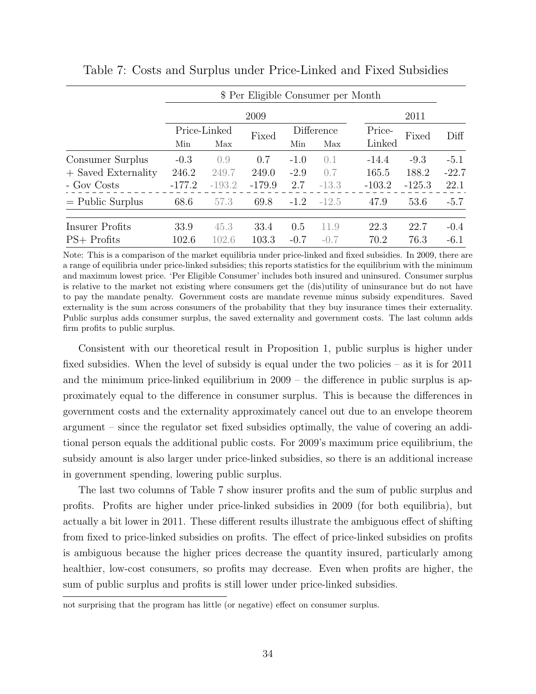|                       |          |              | \$ Per Eligible Consumer per Month |        |            |          |          |         |
|-----------------------|----------|--------------|------------------------------------|--------|------------|----------|----------|---------|
|                       |          |              | 2009                               |        |            |          | 2011     |         |
|                       |          | Price-Linked | Fixed                              |        | Difference | Price-   | Fixed    | Diff    |
|                       | Min      | Max          |                                    | Min    | Max        | Linked   |          |         |
| Consumer Surplus      | $-0.3$   | 0.9          | 0.7                                | $-1.0$ | 0.1        | $-14.4$  | $-9.3$   | $-5.1$  |
| $+$ Saved Externality | 246.2    | 249.7        | 249.0                              | $-2.9$ | 0.7        | 165.5    | 188.2    | $-22.7$ |
| - Gov Costs           | $-177.2$ | $-193.2$     | $-179.9$                           | 2.7    | $-13.3$    | $-103.2$ | $-125.3$ | 22.1    |
| $=$ Public Surplus    | 68.6     | 57.3         | 69.8                               | $-1.2$ | $-12.5$    | 47.9     | 53.6     | $-5.7$  |
| Insurer Profits       | 33.9     | 45.3         | 33.4                               | 0.5    | 11.9       | 22.3     | 22.7     | $-0.4$  |
| $PS+$ Profits         | 102.6    | 102.6        | 103.3                              | $-0.7$ | $-0.7$     | 70.2     | 76.3     | $-6.1$  |

<span id="page-35-0"></span>Table 7: Costs and Surplus under Price-Linked and Fixed Subsidies

Note: This is a comparison of the market equilibria under price-linked and fixed subsidies. In 2009, there are a range of equilibria under price-linked subsidies; this reports statistics for the equilibrium with the minimum and maximum lowest price. 'Per Eligible Consumer' includes both insured and uninsured. Consumer surplus is relative to the market not existing where consumers get the (dis)utility of uninsurance but do not have to pay the mandate penalty. Government costs are mandate revenue minus subsidy expenditures. Saved externality is the sum across consumers of the probability that they buy insurance times their externality. Public surplus adds consumer surplus, the saved externality and government costs. The last column adds firm profits to public surplus.

Consistent with our theoretical result in Proposition 1, public surplus is higher under fixed subsidies. When the level of subsidy is equal under the two policies – as it is for 2011 and the minimum price-linked equilibrium in 2009 – the difference in public surplus is approximately equal to the difference in consumer surplus. This is because the differences in government costs and the externality approximately cancel out due to an envelope theorem argument – since the regulator set fixed subsidies optimally, the value of covering an additional person equals the additional public costs. For 2009's maximum price equilibrium, the subsidy amount is also larger under price-linked subsidies, so there is an additional increase in government spending, lowering public surplus.

The last two columns of Table [7](#page-35-0) show insurer profits and the sum of public surplus and profits. Profits are higher under price-linked subsidies in 2009 (for both equilibria), but actually a bit lower in 2011. These different results illustrate the ambiguous effect of shifting from fixed to price-linked subsidies on profits. The effect of price-linked subsidies on profits is ambiguous because the higher prices decrease the quantity insured, particularly among healthier, low-cost consumers, so profits may decrease. Even when profits are higher, the sum of public surplus and profits is still lower under price-linked subsidies.

not surprising that the program has little (or negative) effect on consumer surplus.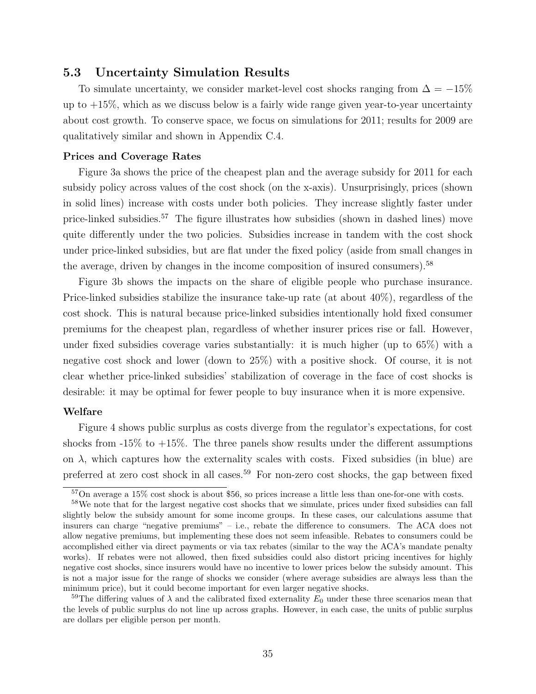# 5.3 Uncertainty Simulation Results

To simulate uncertainty, we consider market-level cost shocks ranging from  $\Delta = -15\%$ up to  $+15\%$ , which as we discuss below is a fairly wide range given year-to-year uncertainty about cost growth. To conserve space, we focus on simulations for 2011; results for 2009 are qualitatively similar and shown in Appendix [C.4.](#page-61-0)

#### Prices and Coverage Rates

Figure [3a](#page-37-0) shows the price of the cheapest plan and the average subsidy for 2011 for each subsidy policy across values of the cost shock (on the x-axis). Unsurprisingly, prices (shown in solid lines) increase with costs under both policies. They increase slightly faster under price-linked subsidies.<sup>57</sup> The figure illustrates how subsidies (shown in dashed lines) move quite differently under the two policies. Subsidies increase in tandem with the cost shock under price-linked subsidies, but are flat under the fixed policy (aside from small changes in the average, driven by changes in the income composition of insured consumers).<sup>58</sup>

Figure [3b](#page-37-0) shows the impacts on the share of eligible people who purchase insurance. Price-linked subsidies stabilize the insurance take-up rate (at about  $40\%$ ), regardless of the cost shock. This is natural because price-linked subsidies intentionally hold fixed consumer premiums for the cheapest plan, regardless of whether insurer prices rise or fall. However, under fixed subsidies coverage varies substantially: it is much higher (up to 65%) with a negative cost shock and lower (down to 25%) with a positive shock. Of course, it is not clear whether price-linked subsidies' stabilization of coverage in the face of cost shocks is desirable: it may be optimal for fewer people to buy insurance when it is more expensive.

#### Welfare

Figure [4](#page-38-0) shows public surplus as costs diverge from the regulator's expectations, for cost shocks from  $-15\%$  to  $+15\%$ . The three panels show results under the different assumptions on  $\lambda$ , which captures how the externality scales with costs. Fixed subsidies (in blue) are preferred at zero cost shock in all cases.<sup>59</sup> For non-zero cost shocks, the gap between fixed

<sup>57</sup>On average a 15% cost shock is about \$56, so prices increase a little less than one-for-one with costs.

<sup>&</sup>lt;sup>58</sup>We note that for the largest negative cost shocks that we simulate, prices under fixed subsidies can fall slightly below the subsidy amount for some income groups. In these cases, our calculations assume that insurers can charge "negative premiums" – i.e., rebate the difference to consumers. The ACA does not allow negative premiums, but implementing these does not seem infeasible. Rebates to consumers could be accomplished either via direct payments or via tax rebates (similar to the way the ACA's mandate penalty works). If rebates were not allowed, then fixed subsidies could also distort pricing incentives for highly negative cost shocks, since insurers would have no incentive to lower prices below the subsidy amount. This is not a major issue for the range of shocks we consider (where average subsidies are always less than the minimum price), but it could become important for even larger negative shocks.

<sup>&</sup>lt;sup>59</sup>The differing values of  $\lambda$  and the calibrated fixed externality  $E_0$  under these three scenarios mean that the levels of public surplus do not line up across graphs. However, in each case, the units of public surplus are dollars per eligible person per month.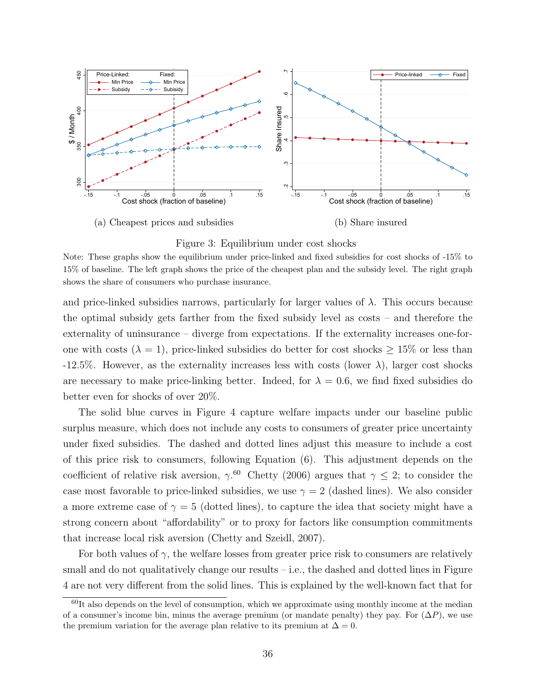<span id="page-37-0"></span>

Figure 3: Equilibrium under cost shocks

and price-linked subsidies narrows, particularly for larger values of  $\lambda$ . This occurs because the optimal subsidy gets farther from the fixed subsidy level as costs – and therefore the externality of uninsurance – diverge from expectations. If the externality increases one-forone with costs ( $\lambda = 1$ ), price-linked subsidies do better for cost shocks  $\geq 15\%$  or less than -12.5%. However, as the externality increases less with costs (lower  $\lambda$ ), larger cost shocks are necessary to make price-linking better. Indeed, for  $\lambda = 0.6$ , we find fixed subsidies do better even for shocks of over 20%.

The solid blue curves in Figure [4](#page-38-0) capture welfare impacts under our baseline public surplus measure, which does not include any costs to consumers of greater price uncertainty under fixed subsidies. The dashed and dotted lines adjust this measure to include a cost of this price risk to consumers, following Equation [\(6\)](#page-14-1). This adjustment depends on the coefficient of relative risk aversion,  $\gamma$ .<sup>60</sup> [Chetty](#page-43-17) [\(2006\)](#page-43-17) argues that  $\gamma \leq 2$ ; to consider the case most favorable to price-linked subsidies, we use  $\gamma = 2$  (dashed lines). We also consider a more extreme case of  $\gamma = 5$  (dotted lines), to capture the idea that society might have a strong concern about "affordability" or to proxy for factors like consumption commitments that increase local risk aversion [\(Chetty and Szeidl, 2007\)](#page-43-18).

For both values of  $\gamma$ , the welfare losses from greater price risk to consumers are relatively small and do not qualitatively change our results  $-$  i.e., the dashed and dotted lines in Figure [4](#page-38-0) are not very different from the solid lines. This is explained by the well-known fact that for

Note: These graphs show the equilibrium under price-linked and fixed subsidies for cost shocks of -15% to 15% of baseline. The left graph shows the price of the cheapest plan and the subsidy level. The right graph shows the share of consumers who purchase insurance.

 $60$ It also depends on the level of consumption, which we approximate using monthly income at the median of a consumer's income bin, minus the average premium (or mandate penalty) they pay. For  $(\Delta P)$ , we use the premium variation for the average plan relative to its premium at  $\Delta = 0$ .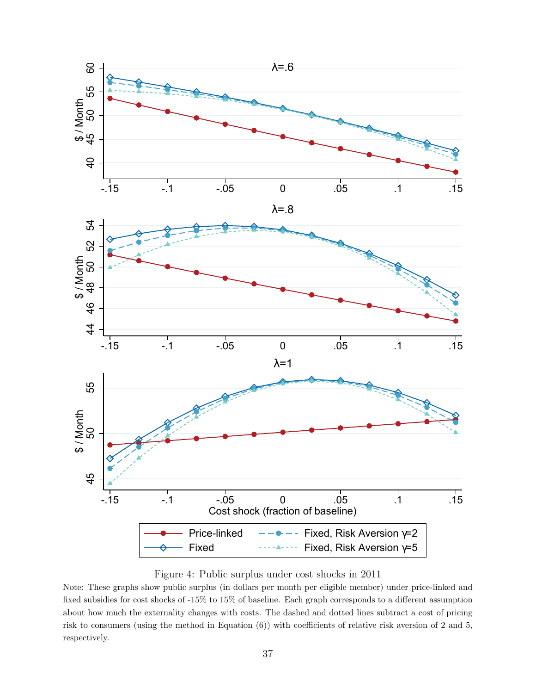<span id="page-38-0"></span>



Note: These graphs show public surplus (in dollars per month per eligible member) under price-linked and fixed subsidies for cost shocks of -15% to 15% of baseline. Each graph corresponds to a different assumption about how much the externality changes with costs. The dashed and dotted lines subtract a cost of pricing risk to consumers (using the method in Equation [\(6\)](#page-14-1)) with coefficients of relative risk aversion of 2 and 5, respectively.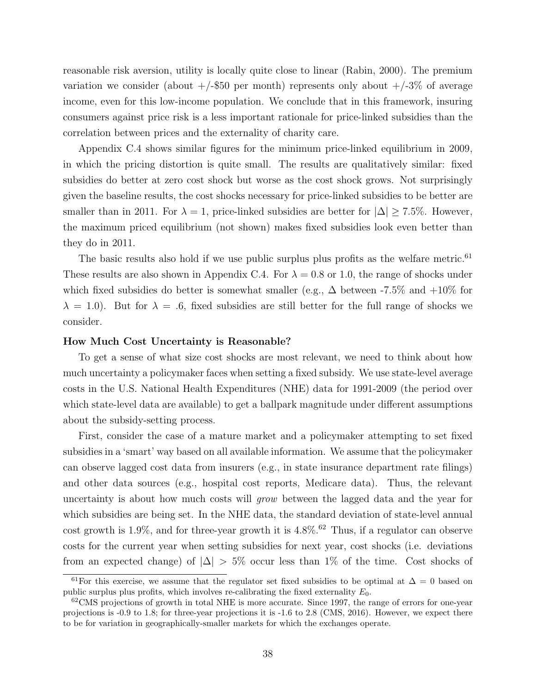reasonable risk aversion, utility is locally quite close to linear [\(Rabin, 2000\)](#page-44-18). The premium variation we consider (about  $+/-$ \$50 per month) represents only about  $+/-3\%$  of average income, even for this low-income population. We conclude that in this framework, insuring consumers against price risk is a less important rationale for price-linked subsidies than the correlation between prices and the externality of charity care.

Appendix [C.4](#page-61-0) shows similar figures for the minimum price-linked equilibrium in 2009, in which the pricing distortion is quite small. The results are qualitatively similar: fixed subsidies do better at zero cost shock but worse as the cost shock grows. Not surprisingly given the baseline results, the cost shocks necessary for price-linked subsidies to be better are smaller than in 2011. For  $\lambda = 1$ , price-linked subsidies are better for  $|\Delta| \ge 7.5\%$ . However, the maximum priced equilibrium (not shown) makes fixed subsidies look even better than they do in 2011.

The basic results also hold if we use public surplus plus profits as the welfare metric.<sup>61</sup> These results are also shown in Appendix [C.4.](#page-61-0) For  $\lambda = 0.8$  or 1.0, the range of shocks under which fixed subsidies do better is somewhat smaller (e.g.,  $\Delta$  between -7.5% and +10% for  $\lambda = 1.0$ . But for  $\lambda = .6$ , fixed subsidies are still better for the full range of shocks we consider.

#### How Much Cost Uncertainty is Reasonable?

To get a sense of what size cost shocks are most relevant, we need to think about how much uncertainty a policymaker faces when setting a fixed subsidy. We use state-level average costs in the U.S. National Health Expenditures (NHE) data for 1991-2009 (the period over which state-level data are available) to get a ballpark magnitude under different assumptions about the subsidy-setting process.

First, consider the case of a mature market and a policymaker attempting to set fixed subsidies in a 'smart' way based on all available information. We assume that the policymaker can observe lagged cost data from insurers (e.g., in state insurance department rate filings) and other data sources (e.g., hospital cost reports, Medicare data). Thus, the relevant uncertainty is about how much costs will grow between the lagged data and the year for which subsidies are being set. In the NHE data, the standard deviation of state-level annual cost growth is  $1.9\%$ , and for three-year growth it is  $4.8\%$ .<sup>62</sup> Thus, if a regulator can observe costs for the current year when setting subsidies for next year, cost shocks (i.e. deviations from an expected change) of  $|\Delta| > 5\%$  occur less than 1% of the time. Cost shocks of

<sup>&</sup>lt;sup>61</sup>For this exercise, we assume that the regulator set fixed subsidies to be optimal at  $\Delta = 0$  based on public surplus plus profits, which involves re-calibrating the fixed externality  $E_0$ .

 $62$ CMS projections of growth in total NHE is more accurate. Since 1997, the range of errors for one-year projections is -0.9 to 1.8; for three-year projections it is -1.6 to 2.8 [\(CMS, 2016\)](#page-43-19). However, we expect there to be for variation in geographically-smaller markets for which the exchanges operate.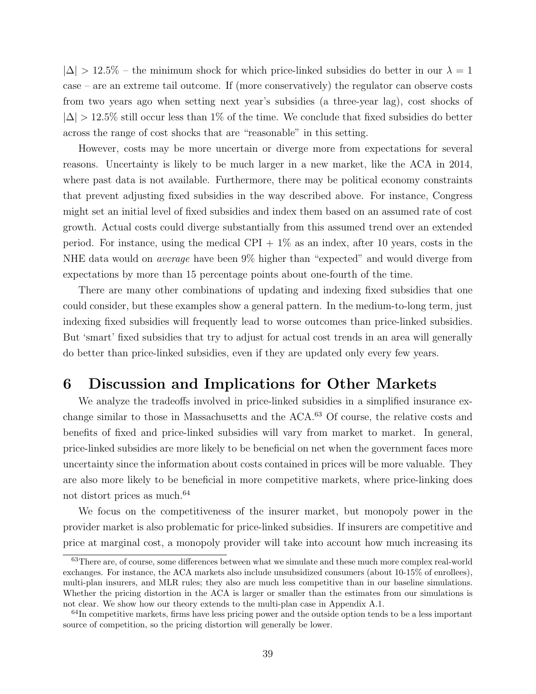$|\Delta| > 12.5\%$  – the minimum shock for which price-linked subsidies do better in our  $\lambda = 1$ case – are an extreme tail outcome. If (more conservatively) the regulator can observe costs from two years ago when setting next year's subsidies (a three-year lag), cost shocks of  $|\Delta| > 12.5\%$  still occur less than 1% of the time. We conclude that fixed subsidies do better across the range of cost shocks that are "reasonable" in this setting.

However, costs may be more uncertain or diverge more from expectations for several reasons. Uncertainty is likely to be much larger in a new market, like the ACA in 2014, where past data is not available. Furthermore, there may be political economy constraints that prevent adjusting fixed subsidies in the way described above. For instance, Congress might set an initial level of fixed subsidies and index them based on an assumed rate of cost growth. Actual costs could diverge substantially from this assumed trend over an extended period. For instance, using the medical CPI  $+1\%$  as an index, after 10 years, costs in the NHE data would on average have been 9% higher than "expected" and would diverge from expectations by more than 15 percentage points about one-fourth of the time.

There are many other combinations of updating and indexing fixed subsidies that one could consider, but these examples show a general pattern. In the medium-to-long term, just indexing fixed subsidies will frequently lead to worse outcomes than price-linked subsidies. But 'smart' fixed subsidies that try to adjust for actual cost trends in an area will generally do better than price-linked subsidies, even if they are updated only every few years.

# <span id="page-40-0"></span>6 Discussion and Implications for Other Markets

We analyze the tradeoffs involved in price-linked subsidies in a simplified insurance exchange similar to those in Massachusetts and the ACA.<sup>63</sup> Of course, the relative costs and benefits of fixed and price-linked subsidies will vary from market to market. In general, price-linked subsidies are more likely to be beneficial on net when the government faces more uncertainty since the information about costs contained in prices will be more valuable. They are also more likely to be beneficial in more competitive markets, where price-linking does not distort prices as much.<sup>64</sup>

We focus on the competitiveness of the insurer market, but monopoly power in the provider market is also problematic for price-linked subsidies. If insurers are competitive and price at marginal cost, a monopoly provider will take into account how much increasing its

<sup>&</sup>lt;sup>63</sup>There are, of course, some differences between what we simulate and these much more complex real-world exchanges. For instance, the ACA markets also include unsubsidized consumers (about 10-15% of enrollees), multi-plan insurers, and MLR rules; they also are much less competitive than in our baseline simulations. Whether the pricing distortion in the ACA is larger or smaller than the estimates from our simulations is not clear. We show how our theory extends to the multi-plan case in Appendix [A.1.](#page-46-0)

 $64$ In competitive markets, firms have less pricing power and the outside option tends to be a less important source of competition, so the pricing distortion will generally be lower.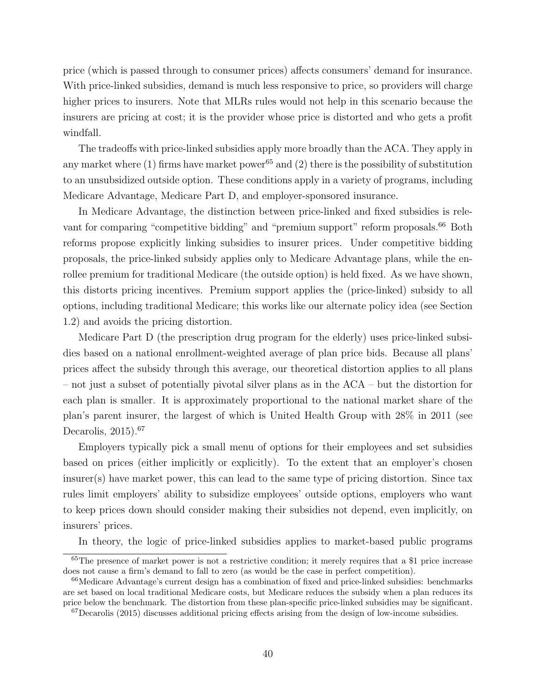price (which is passed through to consumer prices) affects consumers' demand for insurance. With price-linked subsidies, demand is much less responsive to price, so providers will charge higher prices to insurers. Note that MLRs rules would not help in this scenario because the insurers are pricing at cost; it is the provider whose price is distorted and who gets a profit windfall.

The tradeoffs with price-linked subsidies apply more broadly than the ACA. They apply in any market where (1) firms have market power<sup>65</sup> and (2) there is the possibility of substitution to an unsubsidized outside option. These conditions apply in a variety of programs, including Medicare Advantage, Medicare Part D, and employer-sponsored insurance.

In Medicare Advantage, the distinction between price-linked and fixed subsidies is relevant for comparing "competitive bidding" and "premium support" reform proposals.<sup>66</sup> Both reforms propose explicitly linking subsidies to insurer prices. Under competitive bidding proposals, the price-linked subsidy applies only to Medicare Advantage plans, while the enrollee premium for traditional Medicare (the outside option) is held fixed. As we have shown, this distorts pricing incentives. Premium support applies the (price-linked) subsidy to all options, including traditional Medicare; this works like our alternate policy idea (see Section [1.2\)](#page-10-0) and avoids the pricing distortion.

Medicare Part D (the prescription drug program for the elderly) uses price-linked subsidies based on a national enrollment-weighted average of plan price bids. Because all plans' prices affect the subsidy through this average, our theoretical distortion applies to all plans – not just a subset of potentially pivotal silver plans as in the ACA – but the distortion for each plan is smaller. It is approximately proportional to the national market share of the plan's parent insurer, the largest of which is United Health Group with 28% in 2011 (see [Decarolis, 2015\)](#page-43-7).<sup>67</sup>

Employers typically pick a small menu of options for their employees and set subsidies based on prices (either implicitly or explicitly). To the extent that an employer's chosen insurer(s) have market power, this can lead to the same type of pricing distortion. Since tax rules limit employers' ability to subsidize employees' outside options, employers who want to keep prices down should consider making their subsidies not depend, even implicitly, on insurers' prices.

In theory, the logic of price-linked subsidies applies to market-based public programs

<sup>65</sup>The presence of market power is not a restrictive condition; it merely requires that a \$1 price increase does not cause a firm's demand to fall to zero (as would be the case in perfect competition).

<sup>&</sup>lt;sup>66</sup>Medicare Advantage's current design has a combination of fixed and price-linked subsidies: benchmarks are set based on local traditional Medicare costs, but Medicare reduces the subsidy when a plan reduces its price below the benchmark. The distortion from these plan-specific price-linked subsidies may be significant.

 $^{67}$ [Decarolis](#page-43-7) [\(2015\)](#page-43-7) discusses additional pricing effects arising from the design of low-income subsidies.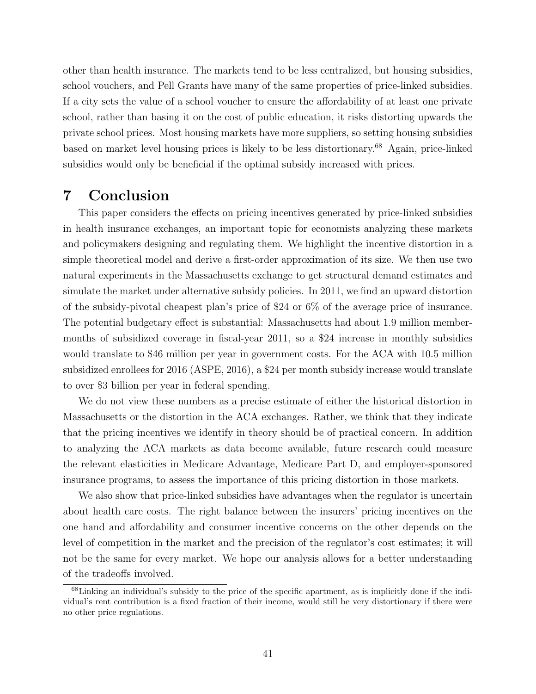other than health insurance. The markets tend to be less centralized, but housing subsidies, school vouchers, and Pell Grants have many of the same properties of price-linked subsidies. If a city sets the value of a school voucher to ensure the affordability of at least one private school, rather than basing it on the cost of public education, it risks distorting upwards the private school prices. Most housing markets have more suppliers, so setting housing subsidies based on market level housing prices is likely to be less distortionary.<sup>68</sup> Again, price-linked subsidies would only be beneficial if the optimal subsidy increased with prices.

# <span id="page-42-0"></span>7 Conclusion

This paper considers the effects on pricing incentives generated by price-linked subsidies in health insurance exchanges, an important topic for economists analyzing these markets and policymakers designing and regulating them. We highlight the incentive distortion in a simple theoretical model and derive a first-order approximation of its size. We then use two natural experiments in the Massachusetts exchange to get structural demand estimates and simulate the market under alternative subsidy policies. In 2011, we find an upward distortion of the subsidy-pivotal cheapest plan's price of \$24 or 6% of the average price of insurance. The potential budgetary effect is substantial: Massachusetts had about 1.9 million membermonths of subsidized coverage in fiscal-year 2011, so a \$24 increase in monthly subsidies would translate to \$46 million per year in government costs. For the ACA with 10.5 million subsidized enrollees for 2016 [\(ASPE, 2016\)](#page-44-19), a \$24 per month subsidy increase would translate to over \$3 billion per year in federal spending.

We do not view these numbers as a precise estimate of either the historical distortion in Massachusetts or the distortion in the ACA exchanges. Rather, we think that they indicate that the pricing incentives we identify in theory should be of practical concern. In addition to analyzing the ACA markets as data become available, future research could measure the relevant elasticities in Medicare Advantage, Medicare Part D, and employer-sponsored insurance programs, to assess the importance of this pricing distortion in those markets.

We also show that price-linked subsidies have advantages when the regulator is uncertain about health care costs. The right balance between the insurers' pricing incentives on the one hand and affordability and consumer incentive concerns on the other depends on the level of competition in the market and the precision of the regulator's cost estimates; it will not be the same for every market. We hope our analysis allows for a better understanding of the tradeoffs involved.

<sup>68</sup>Linking an individual's subsidy to the price of the specific apartment, as is implicitly done if the individual's rent contribution is a fixed fraction of their income, would still be very distortionary if there were no other price regulations.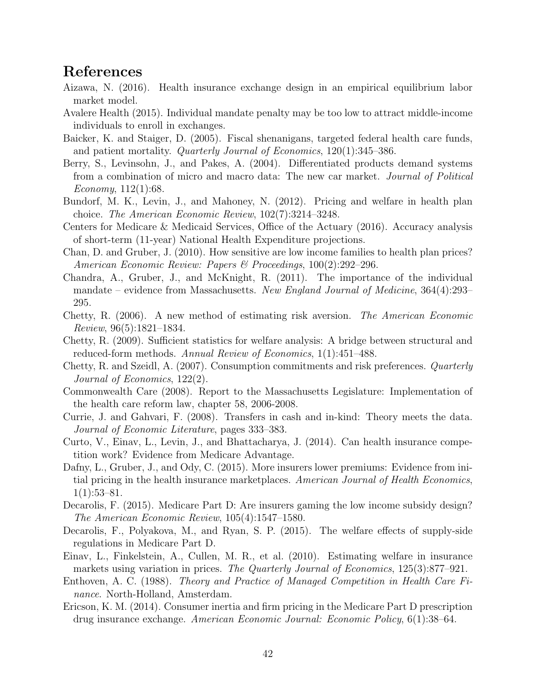# References

- <span id="page-43-3"></span>Aizawa, N. (2016). Health insurance exchange design in an empirical equilibrium labor market model.
- <span id="page-43-0"></span>Avalere Health (2015). Individual mandate penalty may be too low to attract middle-income individuals to enroll in exchanges.
- <span id="page-43-4"></span>Baicker, K. and Staiger, D. (2005). Fiscal shenanigans, targeted federal health care funds, and patient mortality. Quarterly Journal of Economics, 120(1):345–386.
- <span id="page-43-16"></span>Berry, S., Levinsohn, J., and Pakes, A. (2004). Differentiated products demand systems from a combination of micro and macro data: The new car market. Journal of Political Economy, 112(1):68.
- <span id="page-43-11"></span>Bundorf, M. K., Levin, J., and Mahoney, N. (2012). Pricing and welfare in health plan choice. The American Economic Review, 102(7):3214–3248.
- <span id="page-43-19"></span>Centers for Medicare & Medicaid Services, Office of the Actuary (2016). Accuracy analysis of short-term (11-year) National Health Expenditure projections.
- <span id="page-43-15"></span>Chan, D. and Gruber, J. (2010). How sensitive are low income families to health plan prices? American Economic Review: Papers & Proceedings, 100(2):292–296.
- <span id="page-43-6"></span>Chandra, A., Gruber, J., and McKnight, R. (2011). The importance of the individual mandate – evidence from Massachusetts. New England Journal of Medicine, 364(4):293– 295.
- <span id="page-43-17"></span>Chetty, R. (2006). A new method of estimating risk aversion. The American Economic Review, 96(5):1821–1834.
- <span id="page-43-5"></span>Chetty, R. (2009). Sufficient statistics for welfare analysis: A bridge between structural and reduced-form methods. Annual Review of Economics, 1(1):451–488.
- <span id="page-43-18"></span>Chetty, R. and Szeidl, A. (2007). Consumption commitments and risk preferences. Quarterly Journal of Economics, 122(2).
- <span id="page-43-14"></span>Commonwealth Care (2008). Report to the Massachusetts Legislature: Implementation of the health care reform law, chapter 58, 2006-2008.
- <span id="page-43-12"></span>Currie, J. and Gahvari, F. (2008). Transfers in cash and in-kind: Theory meets the data. Journal of Economic Literature, pages 333–383.
- <span id="page-43-9"></span>Curto, V., Einav, L., Levin, J., and Bhattacharya, J. (2014). Can health insurance competition work? Evidence from Medicare Advantage.
- <span id="page-43-1"></span>Dafny, L., Gruber, J., and Ody, C. (2015). More insurers lower premiums: Evidence from initial pricing in the health insurance marketplaces. American Journal of Health Economics,  $1(1):53-81.$
- <span id="page-43-7"></span>Decarolis, F. (2015). Medicare Part D: Are insurers gaming the low income subsidy design? The American Economic Review, 105(4):1547–1580.
- <span id="page-43-8"></span>Decarolis, F., Polyakova, M., and Ryan, S. P. (2015). The welfare effects of supply-side regulations in Medicare Part D.
- <span id="page-43-10"></span>Einav, L., Finkelstein, A., Cullen, M. R., et al. (2010). Estimating welfare in insurance markets using variation in prices. The Quarterly Journal of Economics, 125(3):877–921.
- <span id="page-43-2"></span>Enthoven, A. C. (1988). Theory and Practice of Managed Competition in Health Care Finance. North-Holland, Amsterdam.
- <span id="page-43-13"></span>Ericson, K. M. (2014). Consumer inertia and firm pricing in the Medicare Part D prescription drug insurance exchange. American Economic Journal: Economic Policy, 6(1):38–64.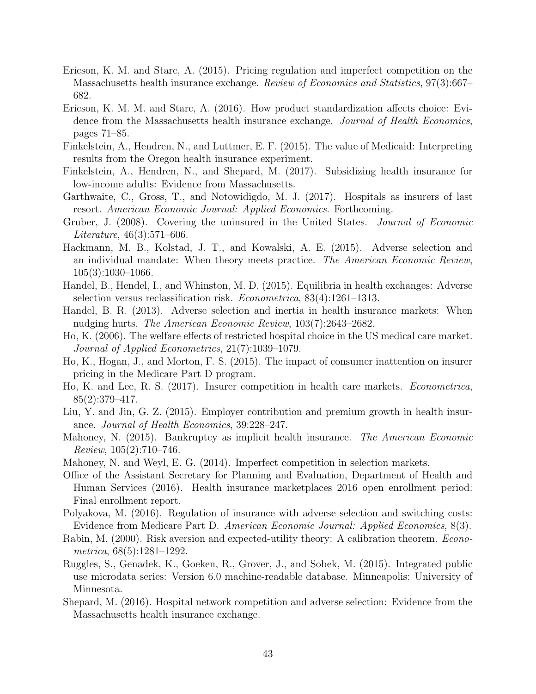- <span id="page-44-6"></span>Ericson, K. M. and Starc, A. (2015). Pricing regulation and imperfect competition on the Massachusetts health insurance exchange. Review of Economics and Statistics, 97(3):667– 682.
- <span id="page-44-7"></span>Ericson, K. M. M. and Starc, A. (2016). How product standardization affects choice: Evidence from the Massachusetts health insurance exchange. Journal of Health Economics, pages 71–85.
- <span id="page-44-2"></span>Finkelstein, A., Hendren, N., and Luttmer, E. F. (2015). The value of Medicaid: Interpreting results from the Oregon health insurance experiment.
- <span id="page-44-14"></span>Finkelstein, A., Hendren, N., and Shepard, M. (2017). Subsidizing health insurance for low-income adults: Evidence from Massachusetts.
- <span id="page-44-1"></span>Garthwaite, C., Gross, T., and Notowidigdo, M. J. (2017). Hospitals as insurers of last resort. American Economic Journal: Applied Economics. Forthcoming.
- <span id="page-44-5"></span>Gruber, J. (2008). Covering the uninsured in the United States. Journal of Economic Literature, 46(3):571–606.
- <span id="page-44-4"></span>Hackmann, M. B., Kolstad, J. T., and Kowalski, A. E. (2015). Adverse selection and an individual mandate: When theory meets practice. The American Economic Review, 105(3):1030–1066.
- <span id="page-44-12"></span>Handel, B., Hendel, I., and Whinston, M. D. (2015). Equilibria in health exchanges: Adverse selection versus reclassification risk. Econometrica, 83(4):1261–1313.
- <span id="page-44-11"></span>Handel, B. R. (2013). Adverse selection and inertia in health insurance markets: When nudging hurts. The American Economic Review, 103(7):2643–2682.
- <span id="page-44-17"></span>Ho, K. (2006). The welfare effects of restricted hospital choice in the US medical care market. Journal of Applied Econometrics, 21(7):1039–1079.
- <span id="page-44-10"></span>Ho, K., Hogan, J., and Morton, F. S. (2015). The impact of consumer inattention on insurer pricing in the Medicare Part D program.
- <span id="page-44-13"></span>Ho, K. and Lee, R. S. (2017). Insurer competition in health care markets. Econometrica, 85(2):379–417.
- <span id="page-44-0"></span>Liu, Y. and Jin, G. Z. (2015). Employer contribution and premium growth in health insurance. Journal of Health Economics, 39:228–247.
- <span id="page-44-3"></span>Mahoney, N. (2015). Bankruptcy as implicit health insurance. The American Economic Review, 105(2):710–746.
- <span id="page-44-16"></span>Mahoney, N. and Weyl, E. G. (2014). Imperfect competition in selection markets.
- <span id="page-44-19"></span>Office of the Assistant Secretary for Planning and Evaluation, Department of Health and Human Services (2016). Health insurance marketplaces 2016 open enrollment period: Final enrollment report.
- <span id="page-44-9"></span>Polyakova, M. (2016). Regulation of insurance with adverse selection and switching costs: Evidence from Medicare Part D. American Economic Journal: Applied Economics, 8(3).
- <span id="page-44-18"></span>Rabin, M. (2000). Risk aversion and expected-utility theory: A calibration theorem. Econometrica, 68(5):1281–1292.
- <span id="page-44-15"></span>Ruggles, S., Genadek, K., Goeken, R., Grover, J., and Sobek, M. (2015). Integrated public use microdata series: Version 6.0 machine-readable database. Minneapolis: University of Minnesota.
- <span id="page-44-8"></span>Shepard, M. (2016). Hospital network competition and adverse selection: Evidence from the Massachusetts health insurance exchange.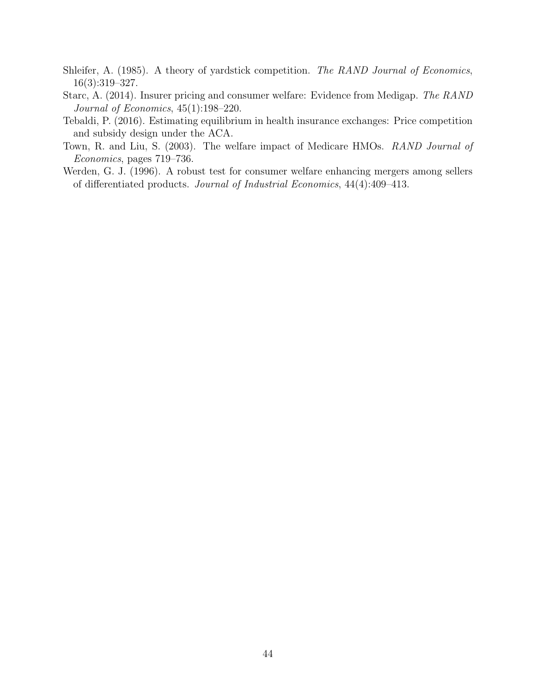- <span id="page-45-3"></span>Shleifer, A. (1985). A theory of yardstick competition. The RAND Journal of Economics, 16(3):319–327.
- <span id="page-45-2"></span>Starc, A. (2014). Insurer pricing and consumer welfare: Evidence from Medigap. The RAND Journal of Economics, 45(1):198–220.
- <span id="page-45-0"></span>Tebaldi, P. (2016). Estimating equilibrium in health insurance exchanges: Price competition and subsidy design under the ACA.
- <span id="page-45-1"></span>Town, R. and Liu, S. (2003). The welfare impact of Medicare HMOs. RAND Journal of Economics, pages 719–736.
- <span id="page-45-4"></span>Werden, G. J. (1996). A robust test for consumer welfare enhancing mergers among sellers of differentiated products. Journal of Industrial Economics, 44(4):409–413.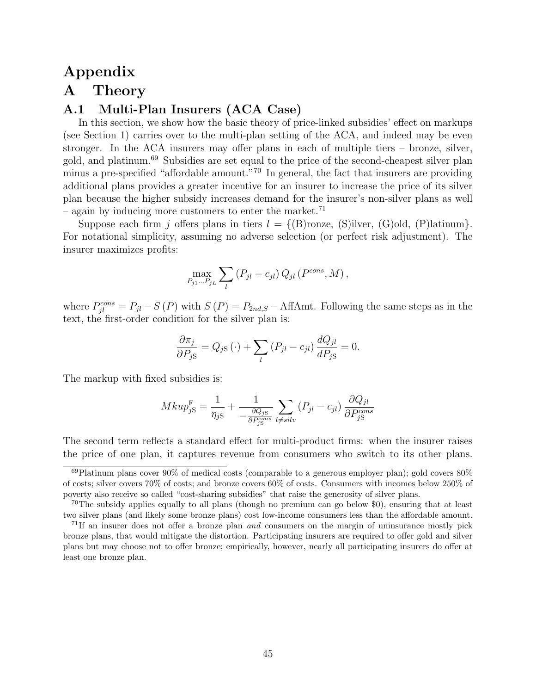# Appendix A Theory

# <span id="page-46-0"></span>A.1 Multi-Plan Insurers (ACA Case)

In this section, we show how the basic theory of price-linked subsidies' effect on markups (see Section [1\)](#page-7-0) carries over to the multi-plan setting of the ACA, and indeed may be even stronger. In the ACA insurers may offer plans in each of multiple tiers – bronze, silver, gold, and platinum.<sup>69</sup> Subsidies are set equal to the price of the second-cheapest silver plan minus a pre-specified "affordable amount."<sup>70</sup> In general, the fact that insurers are providing additional plans provides a greater incentive for an insurer to increase the price of its silver plan because the higher subsidy increases demand for the insurer's non-silver plans as well – again by inducing more customers to enter the market.<sup>71</sup>

Suppose each firm j offers plans in tiers  $l = \{(\text{B}) \text{ronze}, (\text{S}) \text{ilver}, (\text{G}) \text{old}, (\text{P}) \text{latinum}\}.$ For notational simplicity, assuming no adverse selection (or perfect risk adjustment). The insurer maximizes profits:

$$
\max_{P_{j1}...P_{jL}} \sum_{l} (P_{jl} - c_{jl}) Q_{jl} (P^{cons}, M),
$$

where  $P_{jl}^{cons} = P_{jl} - S(P)$  with  $S(P) = P_{2nd,S} - \text{Aff}(Amt)$ . Following the same steps as in the text, the first-order condition for the silver plan is:

$$
\frac{\partial \pi_j}{\partial P_{jS}} = Q_{jS}(\cdot) + \sum_l (P_{jl} - c_{jl}) \frac{dQ_{jl}}{dP_{jS}} = 0.
$$

The markup with fixed subsidies is:

$$
Mkup_{jS}^{\mathcal{F}} = \frac{1}{\eta_{jS}} + \frac{1}{-\frac{\partial Q_{jS}}{\partial P_{jS}^{cons}}}\sum_{l \neq silv} (P_{jl} - c_{jl})\frac{\partial Q_{jl}}{\partial P_{jS}^{cons}}
$$

The second term reflects a standard effect for multi-product firms: when the insurer raises the price of one plan, it captures revenue from consumers who switch to its other plans.

 $^{69}$ Platinum plans cover  $90\%$  of medical costs (comparable to a generous employer plan); gold covers  $80\%$ of costs; silver covers 70% of costs; and bronze covers 60% of costs. Consumers with incomes below 250% of poverty also receive so called "cost-sharing subsidies" that raise the generosity of silver plans.

 $70$ The subsidy applies equally to all plans (though no premium can go below \$0), ensuring that at least two silver plans (and likely some bronze plans) cost low-income consumers less than the affordable amount.

<sup>&</sup>lt;sup>71</sup>If an insurer does not offer a bronze plan *and* consumers on the margin of uninsurance mostly pick bronze plans, that would mitigate the distortion. Participating insurers are required to offer gold and silver plans but may choose not to offer bronze; empirically, however, nearly all participating insurers do offer at least one bronze plan.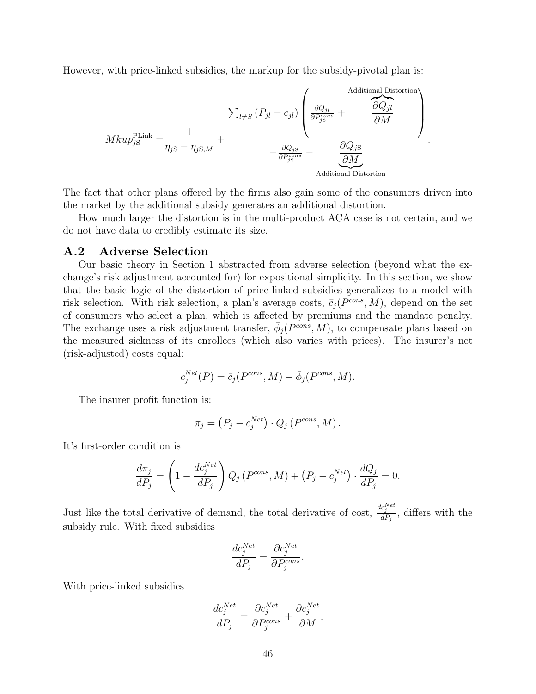However, with price-linked subsidies, the markup for the subsidy-pivotal plan is:

$$
Mkup_{jS}^{\text{PLink}} = \frac{1}{\eta_{jS} - \eta_{jS,M}} + \frac{\sum_{l \neq S} (P_{jl} - c_{jl}) \left( \frac{\partial Q_{jl}}{\partial P_{jS}^{cons}} + \frac{\partial Q_{jl}}{\partial M} \right)}{-\frac{\partial Q_{jS}}{\partial P_{jS}^{cons}} - \frac{\partial Q_{jS}}{\partial M}}.
$$
 Additional Distortion

The fact that other plans offered by the firms also gain some of the consumers driven into the market by the additional subsidy generates an additional distortion.

How much larger the distortion is in the multi-product ACA case is not certain, and we do not have data to credibly estimate its size.

#### <span id="page-47-0"></span>A.2 Adverse Selection

Our basic theory in Section [1](#page-7-0) abstracted from adverse selection (beyond what the exchange's risk adjustment accounted for) for expositional simplicity. In this section, we show that the basic logic of the distortion of price-linked subsidies generalizes to a model with risk selection. With risk selection, a plan's average costs,  $\bar{c}_j(P^{cons}, M)$ , depend on the set of consumers who select a plan, which is affected by premiums and the mandate penalty. The exchange uses a risk adjustment transfer,  $\bar{\phi}_j(P^{cons}, M)$ , to compensate plans based on the measured sickness of its enrollees (which also varies with prices). The insurer's net (risk-adjusted) costs equal:

$$
c_j^{Net}(P) = \bar{c}_j(P^{cons}, M) - \bar{\phi}_j(P^{cons}, M).
$$

The insurer profit function is:

$$
\pi_j = (P_j - c_j^{Net}) \cdot Q_j (P^{cons}, M).
$$

It's first-order condition is

$$
\frac{d\pi_j}{dP_j} = \left(1 - \frac{dc_j^{Net}}{dP_j}\right)Q_j\left(P^{cons}, M\right) + \left(P_j - c_j^{Net}\right) \cdot \frac{dQ_j}{dP_j} = 0.
$$

Just like the total derivative of demand, the total derivative of cost,  $\frac{dc_j^{Net}}{dP_j}$ , differs with the subsidy rule. With fixed subsidies

$$
\frac{dc_j^{Net}}{dP_j} = \frac{\partial c_j^{Net}}{\partial P_j^{cons}}.
$$

With price-linked subsidies

$$
\frac{dc_j^{Net}}{dP_j} = \frac{\partial c_j^{Net}}{\partial P_j^{cons}} + \frac{\partial c_j^{Net}}{\partial M}.
$$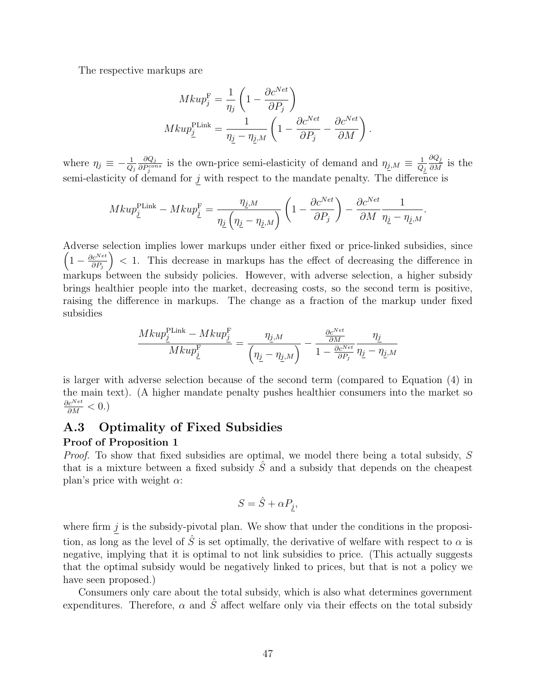The respective markups are

$$
Mkup_j^{\text{F}} = \frac{1}{\eta_j} \left( 1 - \frac{\partial c^{Net}}{\partial P_j} \right)
$$
  

$$
Mkup_j^{\text{PLink}} = \frac{1}{\eta_j - \eta_{j,M}} \left( 1 - \frac{\partial c^{Net}}{\partial P_j} - \frac{\partial c^{Net}}{\partial M} \right).
$$

where  $\eta_j \equiv -\frac{1}{Q_j}$  $\partial Q_j$  $\frac{\partial Q_j}{\partial P_j^{cons}}$  is the own-price semi-elasticity of demand and  $\eta_{j,M} \equiv \frac{1}{Q_j}$  $Q_j$  $\frac{\partial Q_j}{\partial M}$  is the semi-elasticity of demand for  $j$  with respect to the mandate penalty. The difference is

$$
Mkup_{\underline{j}}^{\text{PLink}} - Mkup_{\underline{j}}^{\text{F}} = \frac{\eta_{\underline{j},M}}{\eta_{\underline{j}}\left(\eta_{\underline{j}} - \eta_{\underline{j},M}\right)} \left(1 - \frac{\partial c^{Net}}{\partial P_{j}}\right) - \frac{\partial c^{Net}}{\partial M} \frac{1}{\eta_{\underline{j}} - \eta_{\underline{j},M}}.
$$

Adverse selection implies lower markups under either fixed or price-linked subsidies, since  $\left(1-\frac{\partial c^{Net}}{\partial P}\right)$  $\partial P_j$  < 1. This decrease in markups has the effect of decreasing the difference in markups between the subsidy policies. However, with adverse selection, a higher subsidy brings healthier people into the market, decreasing costs, so the second term is positive, raising the difference in markups. The change as a fraction of the markup under fixed subsidies

$$
\frac{Mkup_{\underline{j}}^{\text{PLink}}-Mkup_{\underline{j}}^{\text{F}}}{Mkup_{\underline{j}}^{\text{F}}}=\frac{\eta_{\underline{j},M}}{\left(\eta_{\underline{j}}-\eta_{\underline{j},M}\right)}-\frac{\frac{\partial c^{Net}}{\partial M}}{1-\frac{\partial c^{Net}}{\partial P_{j}}}\frac{\eta_{\underline{j}}}{\eta_{\underline{j}}-\eta_{\underline{j},M}}
$$

is larger with adverse selection because of the second term (compared to Equation [\(4\)](#page-11-0) in the main text). (A higher mandate penalty pushes healthier consumers into the market so  $\frac{\partial c^{Net}}{\partial M} < 0.$ 

# <span id="page-48-0"></span>A.3 Optimality of Fixed Subsidies

#### Proof of Proposition [1](#page-13-0)

Proof. To show that fixed subsidies are optimal, we model there being a total subsidy, S that is a mixture between a fixed subsidy  $\hat{S}$  and a subsidy that depends on the cheapest plan's price with weight  $\alpha$ :

$$
S = \hat{S} + \alpha P_j,
$$

where firm  $j$  is the subsidy-pivotal plan. We show that under the conditions in the proposition, as long as the level of  $\hat{S}$  is set optimally, the derivative of welfare with respect to  $\alpha$  is negative, implying that it is optimal to not link subsidies to price. (This actually suggests that the optimal subsidy would be negatively linked to prices, but that is not a policy we have seen proposed.)

Consumers only care about the total subsidy, which is also what determines government expenditures. Therefore,  $\alpha$  and  $\hat{S}$  affect welfare only via their effects on the total subsidy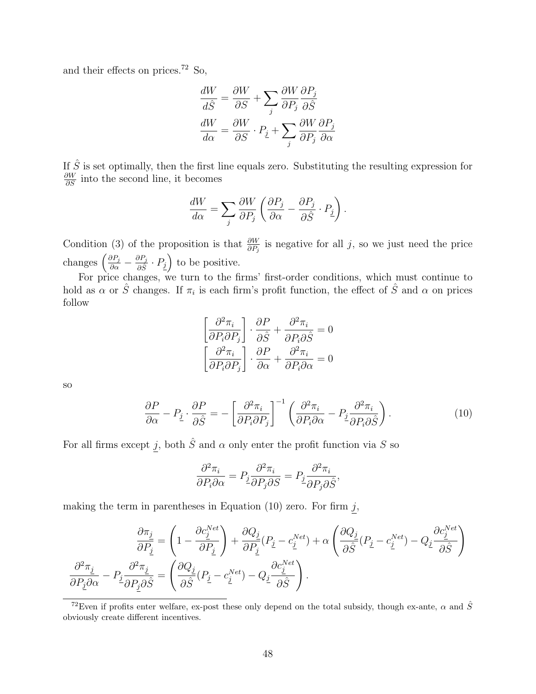and their effects on prices.<sup>72</sup> So,

$$
\frac{dW}{d\hat{S}} = \frac{\partial W}{\partial S} + \sum_{j} \frac{\partial W}{\partial P_j} \frac{\partial P_j}{\partial \hat{S}}
$$

$$
\frac{dW}{d\alpha} = \frac{\partial W}{\partial S} \cdot P_{\underline{j}} + \sum_{j} \frac{\partial W}{\partial P_j} \frac{\partial P_j}{\partial \alpha}
$$

If  $\hat{S}$  is set optimally, then the first line equals zero. Substituting the resulting expression for  $\frac{\partial W}{\partial S}$  into the second line, it becomes

$$
\frac{dW}{d\alpha} = \sum_{j} \frac{\partial W}{\partial P_j} \left( \frac{\partial P_j}{\partial \alpha} - \frac{\partial P_j}{\partial \hat{S}} \cdot P_{\underline{j}} \right).
$$

Condition (3) of the proposition is that  $\frac{\partial W}{\partial P_j}$  is negative for all j, so we just need the price changes  $\left(\frac{\partial P_j}{\partial \alpha} - \frac{\partial P_j}{\partial \hat{S}}\right)$  $\frac{\partial P_j}{\partial \hat{S}} \cdot P_{\underline{j}}$  to be positive.

For price changes, we turn to the firms' first-order conditions, which must continue to hold as  $\alpha$  or  $\hat{S}$  changes. If  $\pi_i$  is each firm's profit function, the effect of  $\hat{S}$  and  $\alpha$  on prices follow

<span id="page-49-0"></span>
$$
\left[\frac{\partial^2 \pi_i}{\partial P_i \partial P_j}\right] \cdot \frac{\partial P}{\partial \hat{S}} + \frac{\partial^2 \pi_i}{\partial P_i \partial \hat{S}} = 0
$$

$$
\left[\frac{\partial^2 \pi_i}{\partial P_i \partial P_j}\right] \cdot \frac{\partial P}{\partial \alpha} + \frac{\partial^2 \pi_i}{\partial P_i \partial \alpha} = 0
$$

so

$$
\frac{\partial P}{\partial \alpha} - P_{\underline{j}} \cdot \frac{\partial P}{\partial \hat{S}} = -\left[\frac{\partial^2 \pi_i}{\partial P_i \partial P_j}\right]^{-1} \left(\frac{\partial^2 \pi_i}{\partial P_i \partial \alpha} - P_{\underline{j}} \frac{\partial^2 \pi_i}{\partial P_i \partial \hat{S}}\right).
$$
(10)

For all firms except  $j$ , both  $\hat{S}$  and  $\alpha$  only enter the profit function via S so

$$
\frac{\partial^2 \pi_i}{\partial P_i \partial \alpha} = P_j \frac{\partial^2 \pi_i}{\partial P_j \partial S} = P_j \frac{\partial^2 \pi_i}{\partial P_j \partial \hat{S}},
$$

making the term in parentheses in Equation  $(10)$  zero. For firm j,

$$
\frac{\partial \pi_j}{\partial P_j} = \left(1 - \frac{\partial c_j^{Net}}{\partial P_j}\right) + \frac{\partial Q_j}{\partial P_j}(P_j - c_j^{Net}) + \alpha \left(\frac{\partial Q_j}{\partial \hat{S}}(P_j - c_j^{Net}) - Q_j\frac{\partial c_j^{Net}}{\partial \hat{S}}\right)
$$

$$
\frac{\partial^2 \pi_j}{\partial P_j \partial \alpha} - P_j \frac{\partial^2 \pi_j}{\partial P_j \partial \hat{S}} = \left(\frac{\partial Q_j}{\partial \hat{S}}(P_j - c_j^{Net}) - Q_j\frac{\partial c_j^{Net}}{\partial \hat{S}}\right).
$$

<sup>&</sup>lt;sup>72</sup>Even if profits enter welfare, ex-post these only depend on the total subsidy, though ex-ante,  $\alpha$  and  $\hat{S}$ obviously create different incentives.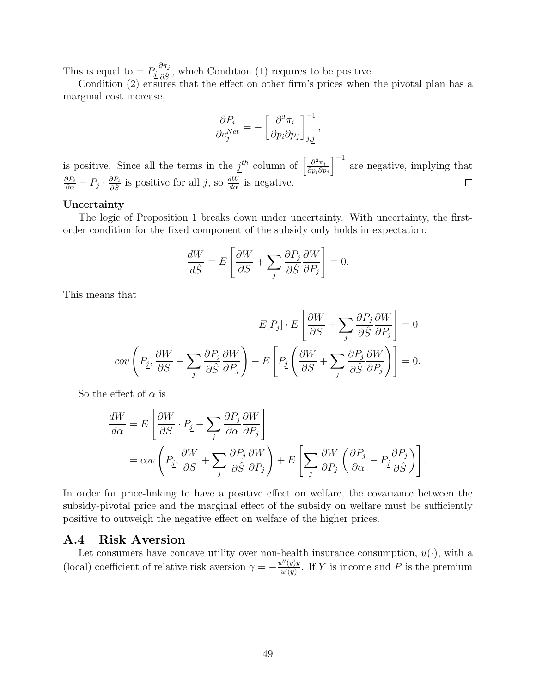This is equal to  $= P_j \frac{\partial \pi_j}{\partial \hat{S}}$  $\frac{\partial n_2}{\partial \hat{S}}$ , which Condition (1) requires to be positive.

Condition (2) ensures that the effect on other firm's prices when the pivotal plan has a marginal cost increase,

$$
\frac{\partial P_i}{\partial c_j^{Net}} = -\left[\frac{\partial^2 \pi_i}{\partial p_i \partial p_j}\right]_{j,\underline{j}}^{-1},
$$

 $\int^{-1}$  are negative, implying that is positive. Since all the terms in the  $j^{th}$  column of  $\left[\frac{\partial^2 \pi_i}{\partial n_i \partial r}\right]$  $\partial p_i\partial p_j$  $\frac{\partial P_i}{\partial \alpha} - P_{\underline{j}} \cdot \frac{\partial P_i}{\partial \hat{S}}$  $\frac{\partial P_i}{\partial \hat{S}}$  is positive for all j, so  $\frac{dW}{d\alpha}$  is negative.  $\Box$ 

#### Uncertainty

The logic of Proposition 1 breaks down under uncertainty. With uncertainty, the firstorder condition for the fixed component of the subsidy only holds in expectation:

$$
\frac{dW}{d\hat{S}} = E\left[\frac{\partial W}{\partial S} + \sum_j \frac{\partial P_j}{\partial \hat{S}} \frac{\partial W}{\partial P_j}\right] = 0.
$$

This means that

$$
E[P_{\underline{j}}] \cdot E\left[\frac{\partial W}{\partial S} + \sum_{j} \frac{\partial P_{j}}{\partial \hat{S}} \frac{\partial W}{\partial P_{j}}\right] = 0
$$
  

$$
cov\left(P_{\underline{j}}, \frac{\partial W}{\partial S} + \sum_{j} \frac{\partial P_{j}}{\partial \hat{S}} \frac{\partial W}{\partial P_{j}}\right) - E\left[P_{\underline{j}}\left(\frac{\partial W}{\partial S} + \sum_{j} \frac{\partial P_{j}}{\partial \hat{S}} \frac{\partial W}{\partial P_{j}}\right)\right] = 0.
$$

So the effect of  $\alpha$  is

$$
\frac{dW}{d\alpha} = E\left[\frac{\partial W}{\partial S} \cdot P_{\underline{j}} + \sum_{j} \frac{\partial P_{j}}{\partial \alpha} \frac{\partial W}{\partial P_{j}}\right]
$$
  
=  $cov\left(P_{\underline{j}}, \frac{\partial W}{\partial S} + \sum_{j} \frac{\partial P_{j}}{\partial \hat{S}} \frac{\partial W}{\partial P_{j}}\right) + E\left[\sum_{j} \frac{\partial W}{\partial P_{j}} \left(\frac{\partial P_{j}}{\partial \alpha} - P_{\underline{j}} \frac{\partial P_{j}}{\partial \hat{S}}\right)\right].$ 

In order for price-linking to have a positive effect on welfare, the covariance between the subsidy-pivotal price and the marginal effect of the subsidy on welfare must be sufficiently positive to outweigh the negative effect on welfare of the higher prices.

### <span id="page-50-0"></span>A.4 Risk Aversion

Let consumers have concave utility over non-health insurance consumption,  $u(\cdot)$ , with a (local) coefficient of relative risk aversion  $\gamma = -\frac{u''(y)y}{u'(y)}$  $\frac{u^{\nu}(y)y}{u^{\nu}(y)}$ . If Y is income and P is the premium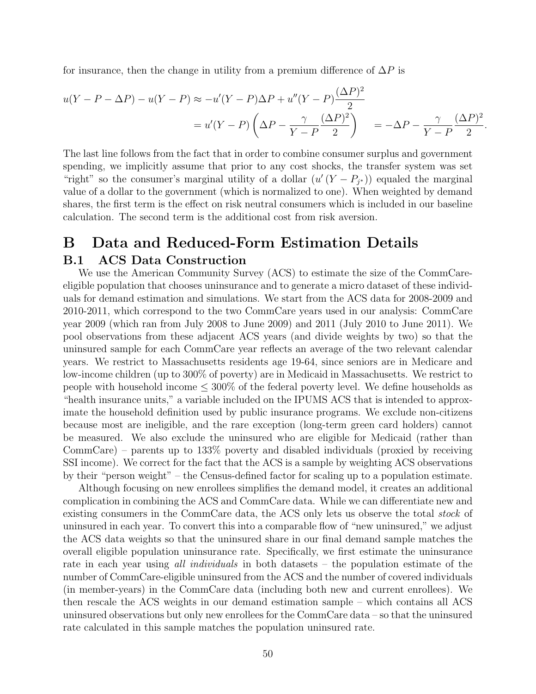for insurance, then the change in utility from a premium difference of  $\Delta P$  is

$$
u(Y - P - \Delta P) - u(Y - P) \approx -u'(Y - P)\Delta P + u''(Y - P)\frac{(\Delta P)^2}{2}
$$
  
= 
$$
u'(Y - P)\left(\Delta P - \frac{\gamma}{Y - P}\frac{(\Delta P)^2}{2}\right) = -\Delta P - \frac{\gamma}{Y - P}\frac{(\Delta P)^2}{2}.
$$

The last line follows from the fact that in order to combine consumer surplus and government spending, we implicitly assume that prior to any cost shocks, the transfer system was set "right" so the consumer's marginal utility of a dollar  $(u'(Y - P_{j^*}))$  equaled the marginal value of a dollar to the government (which is normalized to one). When weighted by demand shares, the first term is the effect on risk neutral consumers which is included in our baseline calculation. The second term is the additional cost from risk aversion.

# <span id="page-51-0"></span>B Data and Reduced-Form Estimation Details B.1 ACS Data Construction

We use the American Community Survey (ACS) to estimate the size of the CommCareeligible population that chooses uninsurance and to generate a micro dataset of these individuals for demand estimation and simulations. We start from the ACS data for 2008-2009 and 2010-2011, which correspond to the two CommCare years used in our analysis: CommCare year 2009 (which ran from July 2008 to June 2009) and 2011 (July 2010 to June 2011). We pool observations from these adjacent ACS years (and divide weights by two) so that the uninsured sample for each CommCare year reflects an average of the two relevant calendar years. We restrict to Massachusetts residents age 19-64, since seniors are in Medicare and low-income children (up to 300% of poverty) are in Medicaid in Massachusetts. We restrict to people with household income  $\leq 300\%$  of the federal poverty level. We define households as "health insurance units," a variable included on the IPUMS ACS that is intended to approximate the household definition used by public insurance programs. We exclude non-citizens because most are ineligible, and the rare exception (long-term green card holders) cannot be measured. We also exclude the uninsured who are eligible for Medicaid (rather than CommCare) – parents up to 133% poverty and disabled individuals (proxied by receiving SSI income). We correct for the fact that the ACS is a sample by weighting ACS observations by their "person weight" – the Census-defined factor for scaling up to a population estimate.

<span id="page-51-1"></span>Although focusing on new enrollees simplifies the demand model, it creates an additional complication in combining the ACS and CommCare data. While we can differentiate new and existing consumers in the CommCare data, the ACS only lets us observe the total *stock* of uninsured in each year. To convert this into a comparable flow of "new uninsured," we adjust the ACS data weights so that the uninsured share in our final demand sample matches the overall eligible population uninsurance rate. Specifically, we first estimate the uninsurance rate in each year using all *individuals* in both datasets – the population estimate of the number of CommCare-eligible uninsured from the ACS and the number of covered individuals (in member-years) in the CommCare data (including both new and current enrollees). We then rescale the ACS weights in our demand estimation sample – which contains all ACS uninsured observations but only new enrollees for the CommCare data – so that the uninsured rate calculated in this sample matches the population uninsured rate.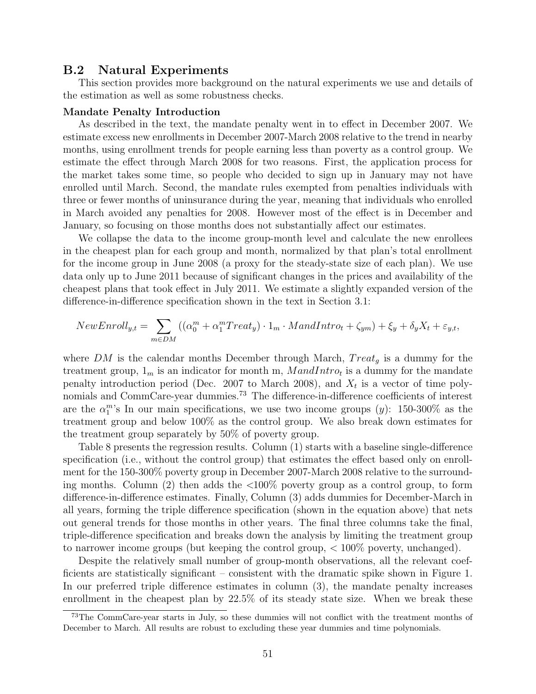#### B.2 Natural Experiments

This section provides more background on the natural experiments we use and details of the estimation as well as some robustness checks.

#### Mandate Penalty Introduction

As described in the text, the mandate penalty went in to effect in December 2007. We estimate excess new enrollments in December 2007-March 2008 relative to the trend in nearby months, using enrollment trends for people earning less than poverty as a control group. We estimate the effect through March 2008 for two reasons. First, the application process for the market takes some time, so people who decided to sign up in January may not have enrolled until March. Second, the mandate rules exempted from penalties individuals with three or fewer months of uninsurance during the year, meaning that individuals who enrolled in March avoided any penalties for 2008. However most of the effect is in December and January, so focusing on those months does not substantially affect our estimates.

We collapse the data to the income group-month level and calculate the new enrollees in the cheapest plan for each group and month, normalized by that plan's total enrollment for the income group in June 2008 (a proxy for the steady-state size of each plan). We use data only up to June 2011 because of significant changes in the prices and availability of the cheapest plans that took effect in July 2011. We estimate a slightly expanded version of the difference-in-difference specification shown in the text in Section [3.1:](#page-18-1)

$$
NewEnroll_{y,t} = \sum_{m \in DM} ((\alpha_0^m + \alpha_1^m Treat_y) \cdot 1_m \cdot MandIntro_t + \zeta_{ym}) + \xi_y + \delta_y X_t + \varepsilon_{y,t},
$$

where DM is the calendar months December through March,  $Treat<sub>g</sub>$  is a dummy for the treatment group,  $1_m$  is an indicator for month m,  $M and Intro_t$  is a dummy for the mandate penalty introduction period (Dec. 2007 to March 2008), and  $X_t$  is a vector of time polynomials and CommCare-year dummies.<sup>73</sup> The difference-in-difference coefficients of interest are the  $\alpha_1^m$ 's In our main specifications, we use two income groups (y): 150-300% as the treatment group and below 100% as the control group. We also break down estimates for the treatment group separately by 50% of poverty group.

Table [8](#page-53-0) presents the regression results. Column (1) starts with a baseline single-difference specification (i.e., without the control group) that estimates the effect based only on enrollment for the 150-300% poverty group in December 2007-March 2008 relative to the surrounding months. Column  $(2)$  then adds the  $\langle 100\%$  poverty group as a control group, to form difference-in-difference estimates. Finally, Column (3) adds dummies for December-March in all years, forming the triple difference specification (shown in the equation above) that nets out general trends for those months in other years. The final three columns take the final, triple-difference specification and breaks down the analysis by limiting the treatment group to narrower income groups (but keeping the control group, < 100% poverty, unchanged).

Despite the relatively small number of group-month observations, all the relevant coefficients are statistically significant – consistent with the dramatic spike shown in Figure [1.](#page-19-0) In our preferred triple difference estimates in column (3), the mandate penalty increases enrollment in the cheapest plan by 22.5% of its steady state size. When we break these

<sup>73</sup>The CommCare-year starts in July, so these dummies will not conflict with the treatment months of December to March. All results are robust to excluding these year dummies and time polynomials.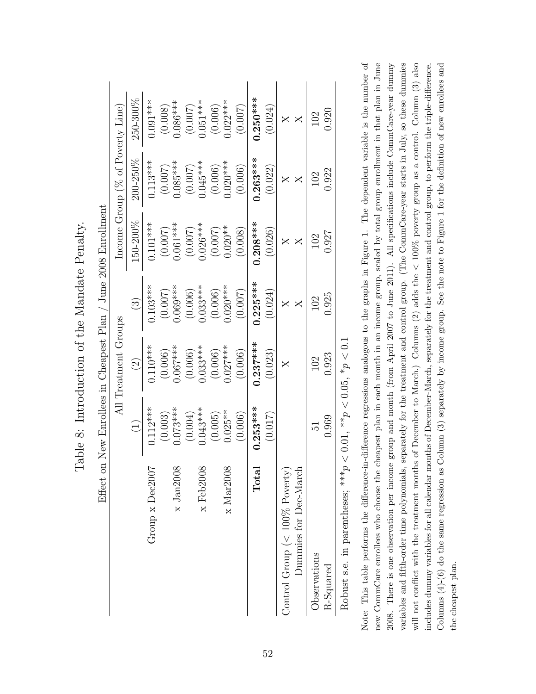<span id="page-53-0"></span>

|                                          | Effect on New Enrollees in Cheapest Plan |                      |               | June 2008 Enrollment |                                     |            |
|------------------------------------------|------------------------------------------|----------------------|---------------|----------------------|-------------------------------------|------------|
|                                          |                                          | All Treatment Groups |               |                      | Income Group ( $%$ of Poverty Line) |            |
|                                          | $\begin{pmatrix} 1 \end{pmatrix}$        | $\widehat{\Omega}$   | $\odot$       | 150-200%             | 200-250%                            | 250-300%   |
| Group x Dec2007                          | $0.112***$                               | $0.110***$           | $0.103***$    | $0.101***$           | $0.113***$                          | $0.091***$ |
|                                          | (0.003)                                  | (0.006)              | (0.007)       | (0.007)              | (0.007)                             | (0.008)    |
| $x$ Jan $2008$                           | $0.073***$                               | $0.067***$           | $0.069***$    | $0.061***$           | $0.085***$                          | $0.086***$ |
|                                          | (0.004)                                  | (0.006)              | (0.006)       | (0.007)              | (0.007)                             | (0.007)    |
| $x$ Feb $2008$                           | $0.043***$                               | $0.033***$           | $0.033***$    | $0.026***$           | $0.045***$                          | $0.051***$ |
|                                          | (0.005)                                  | (0.006)              | (0.006)       | (0.007)              | (0.006)                             | (0.006)    |
| $\times$ Mar2008                         | $0.025**$                                | $0.027***$           | $0.020***$    | $0.020**$            | $0.020***$                          | $0.022***$ |
|                                          | (0.006)                                  | (0.006)              | (0.007)       | (0.008)              | (0.006)                             | (0.007)    |
| $\rm Total$                              | $0.253***$                               | $0.237***$           | $0.225***$    | $0.208***$           | $0.263***$                          | $0.250***$ |
|                                          | (0.017)                                  | (0.023)              | (0.024)       | (0.026)              | (0.022)                             | (0.024)    |
| Control Group ( $< 100\%$ Poverty)       |                                          | X                    |               |                      |                                     |            |
| Dummies for Dec-March                    |                                          |                      | $\bm{\times}$ | $\bm{\mathsf{X}}$    | $\bm{\times}$                       |            |
| Observations                             | Ed.                                      | 102                  | 102           | 102                  | 102                                 | 102        |
| $R$ -Squared                             | 0.969                                    | 0.923                | 0.925         | 1.927                | 0.922                               | 0.920      |
| Robust s.e. in parentheses; *** <i>p</i> | $< 0.01,$ ** $p < 0.05,$ * $p < 0.1$     |                      |               |                      |                                     |            |

Table 8: Introduction of the Mandate Penalty. Table 8: Introduction of the Mandate Penalty.

 $\tilde{\epsilon}$  $\overline{\zeta}$ þ,  $\overline{\mathsf{F}}$  $\frac{1}{6}$  $\frac{c}{L}$ 

Note: This table performs the difference-in-difference regressions analogous to the graphs in Figure 1. The dependent variable is the number of new CommCare enrollees who choose the cheapest plan in each month in an income group, scaled by total group enrollment in that plan in June variables and fifth-order time polynomials, separately for the treatment and control group. (The CommCare-year starts in July, so these dummies will not conflict with the treatment months of December to March.) Columns (2) adds the  $< 100\%$  poverty group as a control. Column (3) also 2008. There is one observation per income group and month (from April 2007 to June 2011). All specifications include CommCare-year dummy Columns  $(4)-(6)$  do the same regression as Column  $(3)$  separately by income group. See the note to Figure 1 for the definition of new enrollees and Note: This table performs the difference-in-difference regressions analogous to the graphs in Figure [1.](#page-19-0) The dependent variable is the number of new CommCare enrollees who choose the cheapest plan in each month in an income group, scaled by total group enrollment in that plan in June 2008. There is one observation per income group and month (from April 2007 to June 2011). All specifications include CommCare-year dummy variables and fifth-order time polynomials, separately for the treatment and control group. (The CommCare-year starts in July, so these dummies will not conflict with the treatment months of December to March.) Columns (2) adds the  $< 100\%$  poverty group as a control. Column (3) also includes dummy variables for all calendar months of December-March, separately for the treatment and control group, to perform the triple-difference. Columns (4)-(6) do the same regression as Column (3) separately by income group. See the note to Figure [1](#page-19-0) for the definition of new enrollees and includes dummy variables for all calendar months of December-March, separately for the treatment and control group, to perform the triple-difference. the cheapest plan. the cheapest plan.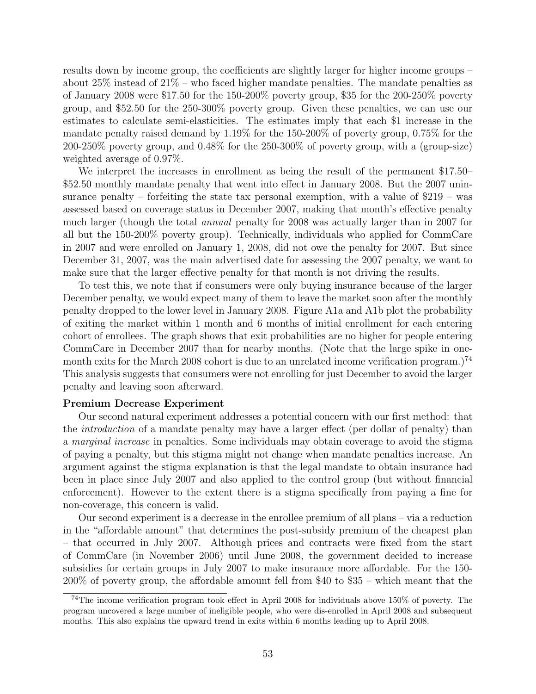results down by income group, the coefficients are slightly larger for higher income groups – about  $25\%$  instead of  $21\%$  – who faced higher mandate penalties. The mandate penalties as of January 2008 were \$17.50 for the 150-200% poverty group, \$35 for the 200-250% poverty group, and \$52.50 for the 250-300% poverty group. Given these penalties, we can use our estimates to calculate semi-elasticities. The estimates imply that each \$1 increase in the mandate penalty raised demand by 1.19% for the 150-200% of poverty group, 0.75% for the 200-250% poverty group, and 0.48% for the 250-300% of poverty group, with a (group-size) weighted average of 0.97%.

We interpret the increases in enrollment as being the result of the permanent \$17.50– \$52.50 monthly mandate penalty that went into effect in January 2008. But the 2007 uninsurance penalty – forfeiting the state tax personal exemption, with a value of \$219 – was assessed based on coverage status in December 2007, making that month's effective penalty much larger (though the total annual penalty for 2008 was actually larger than in 2007 for all but the 150-200% poverty group). Technically, individuals who applied for CommCare in 2007 and were enrolled on January 1, 2008, did not owe the penalty for 2007. But since December 31, 2007, was the main advertised date for assessing the 2007 penalty, we want to make sure that the larger effective penalty for that month is not driving the results.

To test this, we note that if consumers were only buying insurance because of the larger December penalty, we would expect many of them to leave the market soon after the monthly penalty dropped to the lower level in January 2008. Figure [A1a](#page-55-0) and [A1b](#page-55-0) plot the probability of exiting the market within 1 month and 6 months of initial enrollment for each entering cohort of enrollees. The graph shows that exit probabilities are no higher for people entering CommCare in December 2007 than for nearby months. (Note that the large spike in onemonth exits for the March 2008 cohort is due to an unrelated income verification program.)<sup>74</sup> This analysis suggests that consumers were not enrolling for just December to avoid the larger penalty and leaving soon afterward.

#### Premium Decrease Experiment

Our second natural experiment addresses a potential concern with our first method: that the introduction of a mandate penalty may have a larger effect (per dollar of penalty) than a marginal increase in penalties. Some individuals may obtain coverage to avoid the stigma of paying a penalty, but this stigma might not change when mandate penalties increase. An argument against the stigma explanation is that the legal mandate to obtain insurance had been in place since July 2007 and also applied to the control group (but without financial enforcement). However to the extent there is a stigma specifically from paying a fine for non-coverage, this concern is valid.

Our second experiment is a decrease in the enrollee premium of all plans – via a reduction in the "affordable amount" that determines the post-subsidy premium of the cheapest plan – that occurred in July 2007. Although prices and contracts were fixed from the start of CommCare (in November 2006) until June 2008, the government decided to increase subsidies for certain groups in July 2007 to make insurance more affordable. For the 150- 200% of poverty group, the affordable amount fell from \$40 to \$35 – which meant that the

<sup>74</sup>The income verification program took effect in April 2008 for individuals above 150% of poverty. The program uncovered a large number of ineligible people, who were dis-enrolled in April 2008 and subsequent months. This also explains the upward trend in exits within 6 months leading up to April 2008.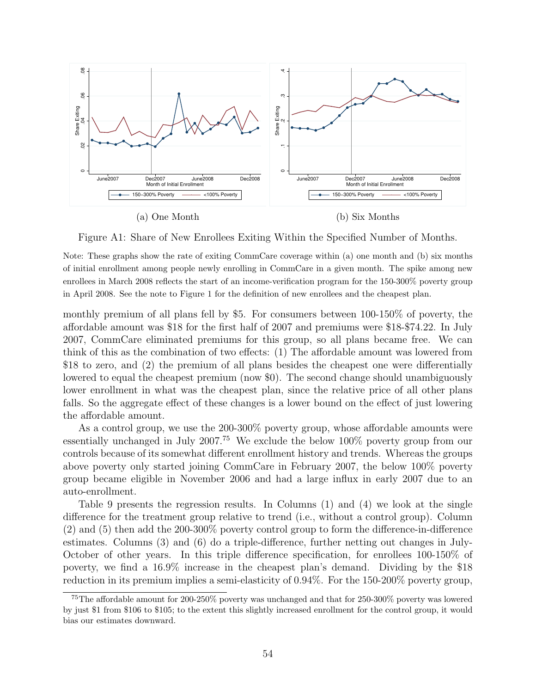<span id="page-55-0"></span>

Figure A1: Share of New Enrollees Exiting Within the Specified Number of Months.

Note: These graphs show the rate of exiting CommCare coverage within (a) one month and (b) six months of initial enrollment among people newly enrolling in CommCare in a given month. The spike among new enrollees in March 2008 reflects the start of an income-verification program for the 150-300% poverty group in April 2008. See the note to Figure [1](#page-19-0) for the definition of new enrollees and the cheapest plan.

monthly premium of all plans fell by \$5. For consumers between 100-150% of poverty, the affordable amount was \$18 for the first half of 2007 and premiums were \$18-\$74.22. In July 2007, CommCare eliminated premiums for this group, so all plans became free. We can think of this as the combination of two effects: (1) The affordable amount was lowered from \$18 to zero, and (2) the premium of all plans besides the cheapest one were differentially lowered to equal the cheapest premium (now \$0). The second change should unambiguously lower enrollment in what was the cheapest plan, since the relative price of all other plans falls. So the aggregate effect of these changes is a lower bound on the effect of just lowering the affordable amount.

As a control group, we use the 200-300% poverty group, whose affordable amounts were essentially unchanged in July 2007.<sup>75</sup> We exclude the below 100% poverty group from our controls because of its somewhat different enrollment history and trends. Whereas the groups above poverty only started joining CommCare in February 2007, the below 100% poverty group became eligible in November 2006 and had a large influx in early 2007 due to an auto-enrollment.

Table [9](#page-56-0) presents the regression results. In Columns (1) and (4) we look at the single difference for the treatment group relative to trend (i.e., without a control group). Column (2) and (5) then add the 200-300% poverty control group to form the difference-in-difference estimates. Columns (3) and (6) do a triple-difference, further netting out changes in July-October of other years. In this triple difference specification, for enrollees 100-150% of poverty, we find a 16.9% increase in the cheapest plan's demand. Dividing by the \$18 reduction in its premium implies a semi-elasticity of 0.94%. For the 150-200% poverty group,

<sup>75</sup>The affordable amount for 200-250% poverty was unchanged and that for 250-300% poverty was lowered by just \$1 from \$106 to \$105; to the extent this slightly increased enrollment for the control group, it would bias our estimates downward.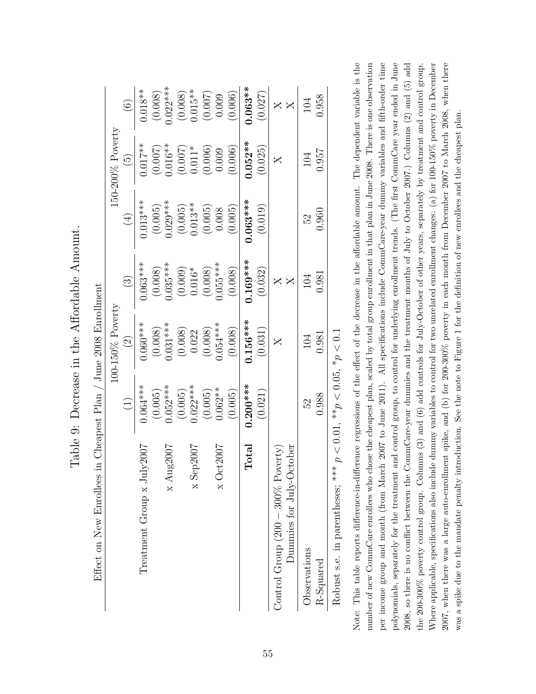<span id="page-56-0"></span>

|                                      |                                   | $100-150\%$ Poverty  |                        |             | $150-200\%$ Poverty |                                          |
|--------------------------------------|-----------------------------------|----------------------|------------------------|-------------|---------------------|------------------------------------------|
|                                      | $\begin{pmatrix} 1 \end{pmatrix}$ | $\widehat{S}$        | $\widehat{\mathbb{C}}$ | $\bigoplus$ | $\widetilde{\Xi}$   | $\begin{array}{c} \boxed{6} \end{array}$ |
| Treatment Group x July2007           | $0.064***$                        | $0.060***$           | $0.063***$             | $0.013***$  | $0.017***$          | $0.018**$                                |
|                                      | (0.005)                           | (0.008)              | (0.008)                | (0.005)     | (0.007)             | (0.008)                                  |
| $\times \text{Aug2007}$              | $0.052***$                        | $0.031***$           | $0.035***$             | $0.029***$  | $0.016**$           | $0.022***$                               |
|                                      | (0.005)                           | $(0.008)$<br>$0.022$ |                        | (0.005)     | $(0.007)$<br>0.011* |                                          |
| p2007<br>$xS$ er                     | $0.022***$                        |                      | $(0.009)$<br>0.016*    | $0.013**$   |                     | $(0.008)$<br>0.015**                     |
|                                      | (0.005)                           | (0.008)              | (0.008)                | (0.005)     | (0.006)             | (0.007)                                  |
| $\times$ Oct2007                     | $0.062**$                         | $0.054***$           | $0.055***$             | 0.008       | 0.009               | 0.009                                    |
|                                      | (0.005)                           | (0.008)              | (0.008)                | (0.005)     | (0.006)             | (0.006)                                  |
| $\rm{Total}$                         | $0.200***$                        | $0.156***$           | $0.169***$             | $0.063***$  | $0.052**$           | $0.063**$                                |
|                                      | (0.021)                           | (0.031)              | (0.032)                | (0.019)     | (0.025)             | (0.027)                                  |
| Control Group $(200 - 300\%$ Poverty |                                   | $\times$             |                        |             | $\bm{\times}$       |                                          |
| Dummies for July-October             |                                   |                      | $\bm{\times}$          |             |                     |                                          |
| Observations                         | 52                                | 104                  | 104                    | 52          | 104                 | 104                                      |
| R-Squared                            | 0.988                             | 0.981                | 0.981                  | 0.960       | 0.957               | 0.958                                    |
| de cle                               |                                   |                      |                        |             |                     |                                          |

Table 9: Decrease in the Affordable Amount. Table 9: Decrease in the Affordable Amount.

Robust s.e. in parentheses; \*\*\*  $p < 0.01$ , \*\* $p < 0.05$ , \* $p < 0.1$ Robust s.e. in parentheses;  $* * p < 0.01$ ,  $* * p < 0.05$ ,  $* p < 0.1$  Note: This table reports difference-in-difference regressions of the effect of the decrease in the affordable amount. The dependent variable is the number of new CommCare enrollees who chose the cheapest plan, scaled by total group enrollment in that plan in June 2008. There is one observation per income group and month (from March 2007 to June 2011). All specifications include CommCare-year dummy variables and fifth-order time polynomials, separately for the treatment and control group, to control for underlying enrollment trends. (The first CommCare year ended in June 2008, so there is no conflict between the CommCare-year dummies and the treatment months of July to October 2007.) Columns  $(2)$  and  $(5)$  add the 200-300% poverty control group. Columns (3) and (6) add controls for July-October of other years, separately by treatment and control group. Where applicable, specifications also include dummy variables to control for two unrelated enrollment changes: (a) for 100-150% poverty in December 2007, when there was a large auto-enrollment spike, and (b) for 200-300% poverty in each month from December 2007 to March 2008, when there Note: This table reports difference-in-difference regressions of the effect of the decrease in the affordable amount. The dependent variable is the number of new CommCare enrollees who chose the cheapest plan, scaled by total group enrollment in that plan in June 2008. There is one observation per income group and month (from March 2007 to June 2011). All specifications include CommCare-year dummy variables and fifth-order time polynomials, separately for the treatment and control group, to control for underlying enrollment trends. (The first CommCare year ended in June 2008, so there is no conflict between the CommCare-year dummies and the treatment months of July to October 2007.) Columns (2) and (5) add Where applicable, specifications also include dummy variables to control for two unrelated enrollment changes: (a) for 100-150% poverty in December 2007, when there was a large auto-enrollment spike, and (b) for 200-300% poverty in each month from December 2007 to March 2008, when there the 200-300% poverty control group. Columns (3) and (6) add controls for July-October of other years, separately by treatment and control group. was a spike due to the mandate penalty introduction. See the note to Figure [1](#page-19-0) for the definition of new enrollees and the cheapest plan. was a spike due to the mandate penalty introduction. See the note to Figure 1 for the definition of new enrollees and the cheapest plan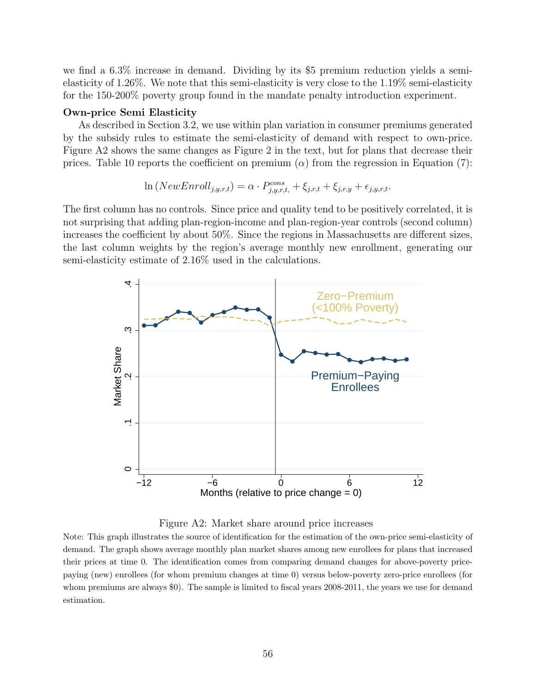we find a 6.3% increase in demand. Dividing by its \$5 premium reduction yields a semielasticity of 1.26%. We note that this semi-elasticity is very close to the 1.19% semi-elasticity for the 150-200% poverty group found in the mandate penalty introduction experiment.

#### Own-price Semi Elasticity

As described in Section [3.2,](#page-21-0) we use within plan variation in consumer premiums generated by the subsidy rules to estimate the semi-elasticity of demand with respect to own-price. Figure [A2](#page-57-0) shows the same changes as Figure [2](#page-22-0) in the text, but for plans that decrease their prices. Table [10](#page-58-1) reports the coefficient on premium  $(\alpha)$  from the regression in Equation [\(7\)](#page-21-1):

$$
\ln(NewEnroll_{j,y,r,t}) = \alpha \cdot P_{j,y,r,t}^{cons} + \xi_{j,r,t} + \xi_{j,r,y} + \epsilon_{j,y,r,t}.
$$

The first column has no controls. Since price and quality tend to be positively correlated, it is not surprising that adding plan-region-income and plan-region-year controls (second column) increases the coefficient by about 50%. Since the regions in Massachusetts are different sizes, the last column weights by the region's average monthly new enrollment, generating our semi-elasticity estimate of 2.16% used in the calculations.

<span id="page-57-0"></span>



Note: This graph illustrates the source of identification for the estimation of the own-price semi-elasticity of demand. The graph shows average monthly plan market shares among new enrollees for plans that increased their prices at time 0. The identification comes from comparing demand changes for above-poverty pricepaying (new) enrollees (for whom premium changes at time 0) versus below-poverty zero-price enrollees (for whom premiums are always \$0). The sample is limited to fiscal years 2008-2011, the years we use for demand estimation.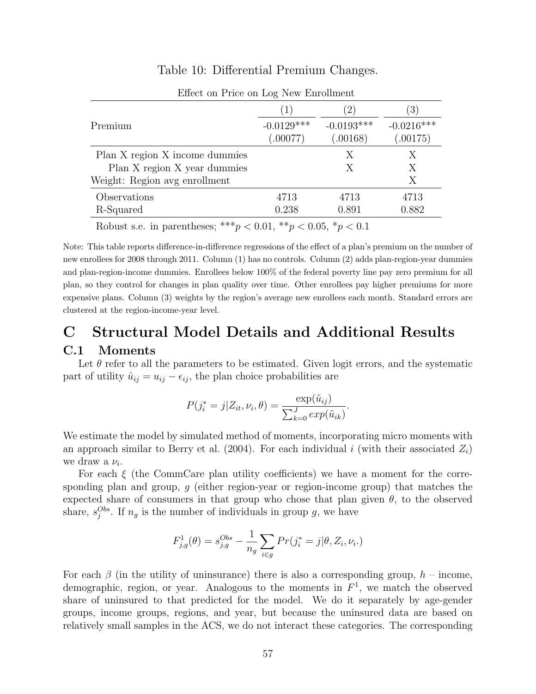<span id="page-58-1"></span>

| Effect on Price on Log New Enrollment                                                                                                                                                                                                                                                                                                                                                                                                                                                                           |                   |              |                        |
|-----------------------------------------------------------------------------------------------------------------------------------------------------------------------------------------------------------------------------------------------------------------------------------------------------------------------------------------------------------------------------------------------------------------------------------------------------------------------------------------------------------------|-------------------|--------------|------------------------|
|                                                                                                                                                                                                                                                                                                                                                                                                                                                                                                                 | $\perp$           | $2^{\circ}$  | $\left 3\right\rangle$ |
| Premium                                                                                                                                                                                                                                                                                                                                                                                                                                                                                                         | $-0.0129***$      | $-0.0193***$ | $-0.0216***$           |
|                                                                                                                                                                                                                                                                                                                                                                                                                                                                                                                 | (.00077)          | (.00168)     | (.00175)               |
| Plan X region X income dummies                                                                                                                                                                                                                                                                                                                                                                                                                                                                                  |                   | Х            | X                      |
| Plan X region X year dummies                                                                                                                                                                                                                                                                                                                                                                                                                                                                                    |                   | X            | X                      |
| Weight: Region avg enrollment                                                                                                                                                                                                                                                                                                                                                                                                                                                                                   |                   |              | Χ                      |
| Observations                                                                                                                                                                                                                                                                                                                                                                                                                                                                                                    | 4713              | 4713         | 4713                   |
| R-Squared                                                                                                                                                                                                                                                                                                                                                                                                                                                                                                       | 0.238             | 0.891        | 0.882                  |
| والموالد والموالد<br>$\blacksquare$ $\blacksquare$ $\blacksquare$ $\blacksquare$ $\blacksquare$ $\blacksquare$ $\blacksquare$ $\blacksquare$ $\blacksquare$ $\blacksquare$ $\blacksquare$ $\blacksquare$ $\blacksquare$ $\blacksquare$ $\blacksquare$ $\blacksquare$ $\blacksquare$ $\blacksquare$ $\blacksquare$ $\blacksquare$ $\blacksquare$ $\blacksquare$ $\blacksquare$ $\blacksquare$ $\blacksquare$ $\blacksquare$ $\blacksquare$ $\blacksquare$ $\blacksquare$ $\blacksquare$ $\blacksquare$ $\blacks$ | المتعامل استحصاصا |              |                        |

# Table 10: Differential Premium Changes.

Robust s.e. in parentheses; \*\*\* $p < 0.01$ , \*\* $p < 0.05$ , \* $p < 0.1$ 

Note: This table reports difference-in-difference regressions of the effect of a plan's premium on the number of new enrollees for 2008 through 2011. Column (1) has no controls. Column (2) adds plan-region-year dummies and plan-region-income dummies. Enrollees below 100% of the federal poverty line pay zero premium for all plan, so they control for changes in plan quality over time. Other enrollees pay higher premiums for more expensive plans. Column (3) weights by the region's average new enrollees each month. Standard errors are clustered at the region-income-year level.

# C Structural Model Details and Additional Results

# <span id="page-58-0"></span>C.1 Moments

Let  $\theta$  refer to all the parameters to be estimated. Given logit errors, and the systematic part of utility  $\hat{u}_{ij} = u_{ij} - \epsilon_{ij}$ , the plan choice probabilities are

$$
P(j_i^* = j | Z_{it}, \nu_i, \theta) = \frac{\exp(\tilde{u}_{ij})}{\sum_{k=0}^J \exp(\tilde{u}_{ik})}.
$$

We estimate the model by simulated method of moments, incorporating micro moments with an approach similar to [Berry et al.](#page-43-16) [\(2004\)](#page-43-16). For each individual i (with their associated  $Z_i$ ) we draw a  $\nu_i$ .

For each  $\xi$  (the CommCare plan utility coefficients) we have a moment for the corresponding plan and group, g (either region-year or region-income group) that matches the expected share of consumers in that group who chose that plan given  $\theta$ , to the observed share,  $s_j^{Obs}$ . If  $n_g$  is the number of individuals in group g, we have

$$
F_{j,g}^1(\theta) = s_{j,g}^{Obs} - \frac{1}{n_g} \sum_{i \in g} Pr(j_i^* = j | \theta, Z_i, \nu_i).
$$

For each  $\beta$  (in the utility of uninsurance) there is also a corresponding group,  $h$  – income, demographic, region, or year. Analogous to the moments in  $F<sup>1</sup>$ , we match the observed share of uninsured to that predicted for the model. We do it separately by age-gender groups, income groups, regions, and year, but because the uninsured data are based on relatively small samples in the ACS, we do not interact these categories. The corresponding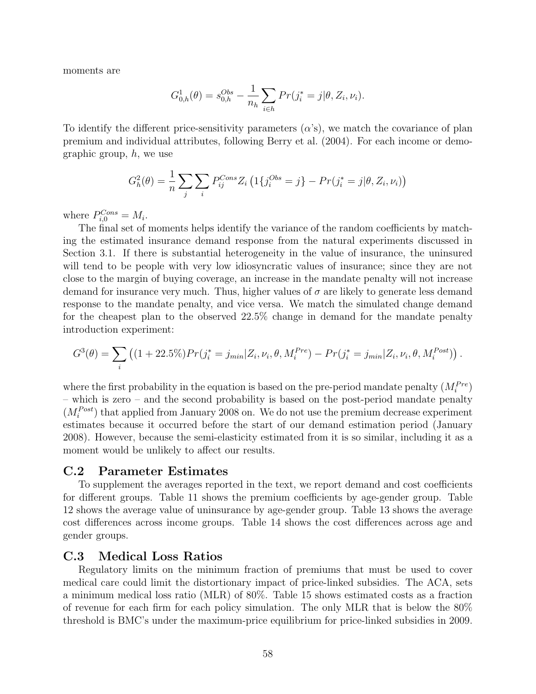moments are

$$
G_{0,h}^1(\theta) = s_{0,h}^{Obs} - \frac{1}{n_h} \sum_{i \in h} Pr(j_i^* = j | \theta, Z_i, \nu_i).
$$

To identify the different price-sensitivity parameters  $(\alpha's)$ , we match the covariance of plan premium and individual attributes, following [Berry et al.](#page-43-16) [\(2004\)](#page-43-16). For each income or demographic group,  $h$ , we use

$$
G_h^2(\theta) = \frac{1}{n} \sum_j \sum_i P_{ij}^{Cons} Z_i \left( 1\{ j_i^{Obs} = j \} - Pr(j_i^* = j | \theta, Z_i, \nu_i) \right)
$$

where  $P_{i,0}^{Cons} = M_i$ .

The final set of moments helps identify the variance of the random coefficients by matching the estimated insurance demand response from the natural experiments discussed in Section [3.1.](#page-18-1) If there is substantial heterogeneity in the value of insurance, the uninsured will tend to be people with very low idiosyncratic values of insurance; since they are not close to the margin of buying coverage, an increase in the mandate penalty will not increase demand for insurance very much. Thus, higher values of  $\sigma$  are likely to generate less demand response to the mandate penalty, and vice versa. We match the simulated change demand for the cheapest plan to the observed 22.5% change in demand for the mandate penalty introduction experiment:

$$
G^{3}(\theta) = \sum_{i} \left( (1 + 22.5\%) Pr(j_{i}^{*} = j_{min} | Z_{i}, \nu_{i}, \theta, M_{i}^{Pre}) - Pr(j_{i}^{*} = j_{min} | Z_{i}, \nu_{i}, \theta, M_{i}^{Post}) \right).
$$

where the first probability in the equation is based on the pre-period mandate penalty  $(M_i^{Pre})$ – which is zero – and the second probability is based on the post-period mandate penalty  $(M_i^{Post})$  that applied from January 2008 on. We do not use the premium decrease experiment estimates because it occurred before the start of our demand estimation period (January 2008). However, because the semi-elasticity estimated from it is so similar, including it as a moment would be unlikely to affect our results.

#### <span id="page-59-0"></span>C.2 Parameter Estimates

To supplement the averages reported in the text, we report demand and cost coefficients for different groups. Table [11](#page-60-1) shows the premium coefficients by age-gender group. Table [12](#page-60-0) shows the average value of uninsurance by age-gender group. Table [13](#page-60-2) shows the average cost differences across income groups. Table [14](#page-61-1) shows the cost differences across age and gender groups.

### <span id="page-59-1"></span>C.3 Medical Loss Ratios

Regulatory limits on the minimum fraction of premiums that must be used to cover medical care could limit the distortionary impact of price-linked subsidies. The ACA, sets a minimum medical loss ratio (MLR) of 80%. Table [15](#page-61-2) shows estimated costs as a fraction of revenue for each firm for each policy simulation. The only MLR that is below the 80% threshold is BMC's under the maximum-price equilibrium for price-linked subsidies in 2009.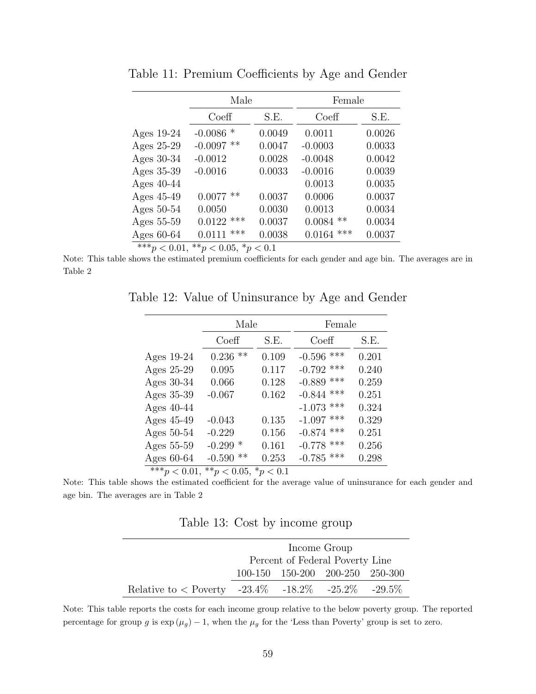|              | Male            |        | Female          |        |
|--------------|-----------------|--------|-----------------|--------|
|              | Coeff           | S.E.   | Coeff           | S.E.   |
| Ages $19-24$ | $-0.0086$ *     | 0.0049 | 0.0011          | 0.0026 |
| Ages 25-29   | **<br>$-0.0097$ | 0.0047 | $-0.0003$       | 0.0033 |
| Ages 30-34   | $-0.0012$       | 0.0028 | $-0.0048$       | 0.0042 |
| Ages 35-39   | $-0.0016$       | 0.0033 | $-0.0016$       | 0.0039 |
| Ages $40-44$ |                 |        | 0.0013          | 0.0035 |
| Ages 45-49   | $0.0077$ **     | 0.0037 | 0.0006          | 0.0037 |
| Ages 50-54   | 0.0050          | 0.0030 | 0.0013          | 0.0034 |
| Ages 55-59   | $0.0122$ ***    | 0.0037 | $***$<br>0.0084 | 0.0034 |
| Ages 60-64   | ***<br>0.0111   | 0.0038 | ***<br>0.0164   | 0.0037 |

<span id="page-60-1"></span>Table 11: Premium Coefficients by Age and Gender

\*\*\*p < 0.01, \*\*p < 0.05, \*p < 0.1

<span id="page-60-0"></span>Note: This table shows the estimated premium coefficients for each gender and age bin. The averages are in Table [2](#page-25-0)

Table 12: Value of Uninsurance by Age and Gender

|                                                 | Male           |       | Female       |       |  |  |
|-------------------------------------------------|----------------|-------|--------------|-------|--|--|
|                                                 | Coeff          | S.E.  | Coeff        | S.E.  |  |  |
| Ages $19-24$                                    | $***$<br>0.236 | 0.109 | $-0.596$ *** | 0.201 |  |  |
| Ages 25-29                                      | 0.095          | 0.117 | $-0.792$ *** | 0.240 |  |  |
| Ages 30-34                                      | 0.066          | 0.128 | $-0.889$ *** | 0.259 |  |  |
| Ages 35-39                                      | $-0.067$       | 0.162 | $-0.844$ *** | 0.251 |  |  |
| Ages $40-44$                                    |                |       | $-1.073$ *** | 0.324 |  |  |
| Ages 45-49                                      | $-0.043$       | 0.135 | $-1.097$ *** | 0.329 |  |  |
| Ages $50-54$                                    | $-0.229$       | 0.156 | $-0.874$ *** | 0.251 |  |  |
| Ages 55-59                                      | $-0.299*$      | 0.161 | $-0.778$ *** | 0.256 |  |  |
| Ages $60-64$                                    | $-0.590$<br>** | 0.253 | $-0.785$ *** | 0.298 |  |  |
| *** $p < 0.01$ ,<br>** $p < 0.05$ , * $p < 0.1$ |                |       |              |       |  |  |

<span id="page-60-2"></span>Note: This table shows the estimated coefficient for the average value of uninsurance for each gender and age bin. The averages are in Table [2](#page-25-0)

| Table 13: Cost by income group |  |  |
|--------------------------------|--|--|
|                                |  |  |

|                                                               | Income Group                    |  |  |  |  |  |
|---------------------------------------------------------------|---------------------------------|--|--|--|--|--|
|                                                               | Percent of Federal Poverty Line |  |  |  |  |  |
|                                                               | 100-150 150-200 200-250 250-300 |  |  |  |  |  |
| Relative to $\langle$ Poverty -23.4\% -18.2\% -25.2\% -29.5\% |                                 |  |  |  |  |  |

Note: This table reports the costs for each income group relative to the below poverty group. The reported percentage for group g is  $\exp(\mu_g) - 1$ , when the  $\mu_g$  for the 'Less than Poverty' group is set to zero.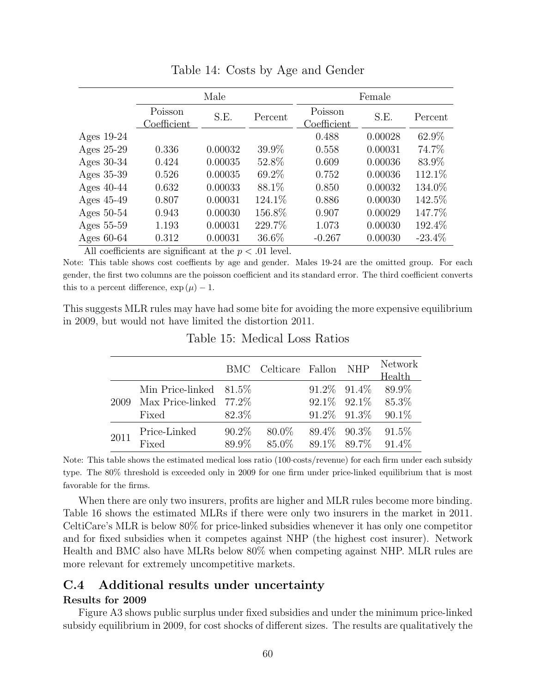<span id="page-61-1"></span>

|              | Male                   |         |         | Female                          |         |           |
|--------------|------------------------|---------|---------|---------------------------------|---------|-----------|
|              | Poisson<br>Coefficient | S.E.    | Percent | Poisson<br>$\text{Coefficient}$ | S.E.    | Percent   |
| Ages $19-24$ |                        |         |         | 0.488                           | 0.00028 | 62.9%     |
| Ages 25-29   | 0.336                  | 0.00032 | 39.9%   | 0.558                           | 0.00031 | 74.7%     |
| Ages $30-34$ | 0.424                  | 0.00035 | 52.8%   | 0.609                           | 0.00036 | 83.9%     |
| Ages 35-39   | 0.526                  | 0.00035 | 69.2%   | 0.752                           | 0.00036 | 112.1%    |
| Ages $40-44$ | 0.632                  | 0.00033 | 88.1\%  | 0.850                           | 0.00032 | 134.0%    |
| Ages 45-49   | 0.807                  | 0.00031 | 124.1\% | 0.886                           | 0.00030 | 142.5%    |
| Ages $50-54$ | 0.943                  | 0.00030 | 156.8%  | 0.907                           | 0.00029 | 147.7%    |
| Ages 55-59   | 1.193                  | 0.00031 | 229.7%  | 1.073                           | 0.00030 | 192.4%    |
| Ages $60-64$ | 0.312                  | 0.00031 | 36.6%   | $-0.267$                        | 0.00030 | $-23.4\%$ |

Table 14: Costs by Age and Gender

All coefficients are significant at the  $p < .01$  level.

Note: This table shows cost coeffients by age and gender. Males 19-24 are the omitted group. For each gender, the first two columns are the poisson coefficient and its standard error. The third coefficient converts this to a percent difference,  $\exp(\mu) - 1$ .

<span id="page-61-2"></span>This suggests MLR rules may have had some bite for avoiding the more expensive equilibrium in 2009, but would not have limited the distortion 2011.

|      |                           |          | BMC Celticare Fallon NHP |                   | <b>Network</b><br>Health   |
|------|---------------------------|----------|--------------------------|-------------------|----------------------------|
|      | Min Price-linked $81.5\%$ |          |                          | $91.2\%$ $91.4\%$ | 89.9%                      |
| 2009 | Max Price-linked $77.2\%$ |          |                          |                   | $92.1\%$ $92.1\%$ $85.3\%$ |
|      | Fixed                     | 82.3\%   |                          | $91.2\%$ $91.3\%$ | $90.1\%$                   |
| 2011 | Price-Linked              | $90.2\%$ | $80.0\%$                 | $89.4\%$ $90.3\%$ | $91.5\%$                   |
|      | Fixed                     | 89.9%    | 85.0%                    | 89.1\% 89.7\%     | $91.4\%$                   |

Table 15: Medical Loss Ratios

Note: This table shows the estimated medical loss ratio (100·costs/revenue) for each firm under each subsidy type. The 80% threshold is exceeded only in 2009 for one firm under price-linked equilibrium that is most favorable for the firms.

When there are only two insurers, profits are higher and MLR rules become more binding. Table [16](#page-62-0) shows the estimated MLRs if there were only two insurers in the market in 2011. CeltiCare's MLR is below 80% for price-linked subsidies whenever it has only one competitor and for fixed subsidies when it competes against NHP (the highest cost insurer). Network Health and BMC also have MLRs below 80% when competing against NHP. MLR rules are more relevant for extremely uncompetitive markets.

# <span id="page-61-0"></span>C.4 Additional results under uncertainty

#### Results for 2009

Figure [A3](#page-63-0) shows public surplus under fixed subsidies and under the minimum price-linked subsidy equilibrium in 2009, for cost shocks of different sizes. The results are qualitatively the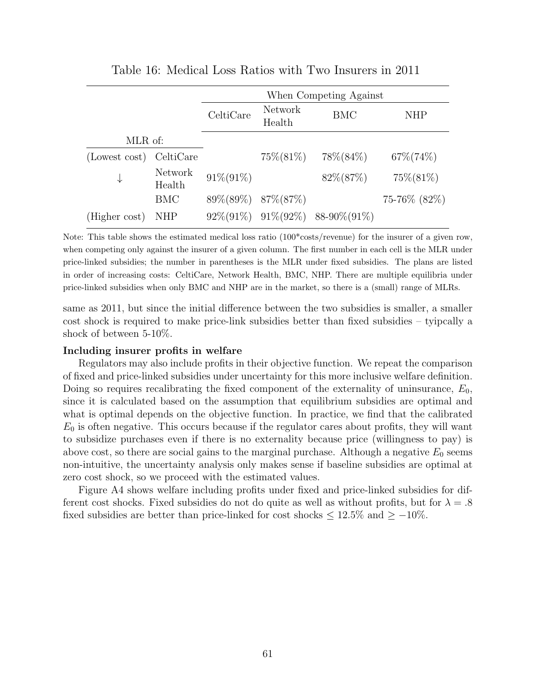<span id="page-62-0"></span>

|               |                   | When Competing Against |                          |                                            |               |  |
|---------------|-------------------|------------------------|--------------------------|--------------------------------------------|---------------|--|
|               |                   | CeltiCare              | <b>Network</b><br>Health | BMC                                        | NHP           |  |
| MLR of:       |                   |                        |                          |                                            |               |  |
| (Lowest cost) | CeltiCare         |                        | $75\%(81\%)$             | 78\%(84\%)                                 | $67\% (74\%)$ |  |
| ⇃             | Network<br>Health | $91\% (91\%)$          |                          | $82\%(87\%)$                               | $75\%(81\%)$  |  |
|               | <b>BMC</b>        |                        | 89\%(89\%) 87\%(87\%)    |                                            | 75-76% (82%)  |  |
| (Higher cost) | <b>NHP</b>        |                        |                          | $92\%(91\%)$ $91\%(92\%)$ 88-90\% $(91\%)$ |               |  |

Table 16: Medical Loss Ratios with Two Insurers in 2011

Note: This table shows the estimated medical loss ratio  $(100* \text{costs/revenue})$  for the insurer of a given row, when competing only against the insurer of a given column. The first number in each cell is the MLR under price-linked subsidies; the number in parentheses is the MLR under fixed subsidies. The plans are listed in order of increasing costs: CeltiCare, Network Health, BMC, NHP. There are multiple equilibria under price-linked subsidies when only BMC and NHP are in the market, so there is a (small) range of MLRs.

same as 2011, but since the initial difference between the two subsidies is smaller, a smaller cost shock is required to make price-link subsidies better than fixed subsidies – tyipcally a shock of between 5-10%.

#### Including insurer profits in welfare

Regulators may also include profits in their objective function. We repeat the comparison of fixed and price-linked subsidies under uncertainty for this more inclusive welfare definition. Doing so requires recalibrating the fixed component of the externality of uninsurance,  $E_0$ , since it is calculated based on the assumption that equilibrium subsidies are optimal and what is optimal depends on the objective function. In practice, we find that the calibrated  $E_0$  is often negative. This occurs because if the regulator cares about profits, they will want to subsidize purchases even if there is no externality because price (willingness to pay) is above cost, so there are social gains to the marginal purchase. Although a negative  $E_0$  seems non-intuitive, the uncertainty analysis only makes sense if baseline subsidies are optimal at zero cost shock, so we proceed with the estimated values.

Figure [A4](#page-64-0) shows welfare including profits under fixed and price-linked subsidies for different cost shocks. Fixed subsidies do not do quite as well as without profits, but for  $\lambda = .8$ fixed subsidies are better than price-linked for cost shocks  $\leq 12.5\%$  and  $\geq -10\%$ .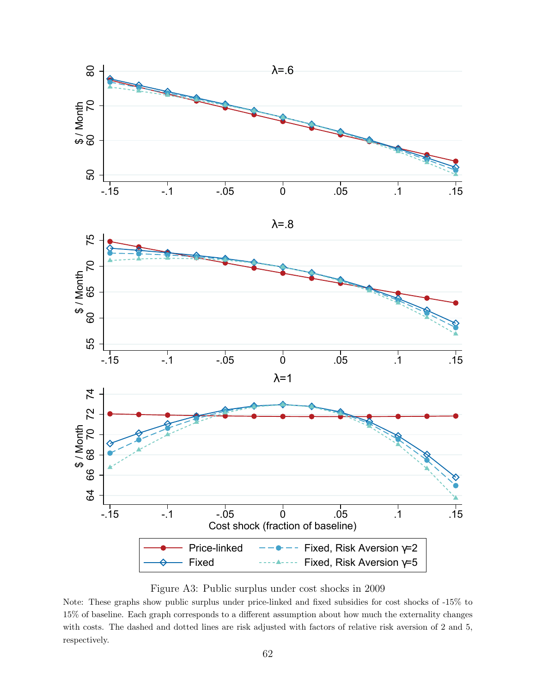<span id="page-63-0"></span>



Figure A3: Public surplus under cost shocks in 2009

Note: These graphs show public surplus under price-linked and fixed subsidies for cost shocks of -15% to 15% of baseline. Each graph corresponds to a different assumption about how much the externality changes with costs. The dashed and dotted lines are risk adjusted with factors of relative risk aversion of 2 and 5, respectively.